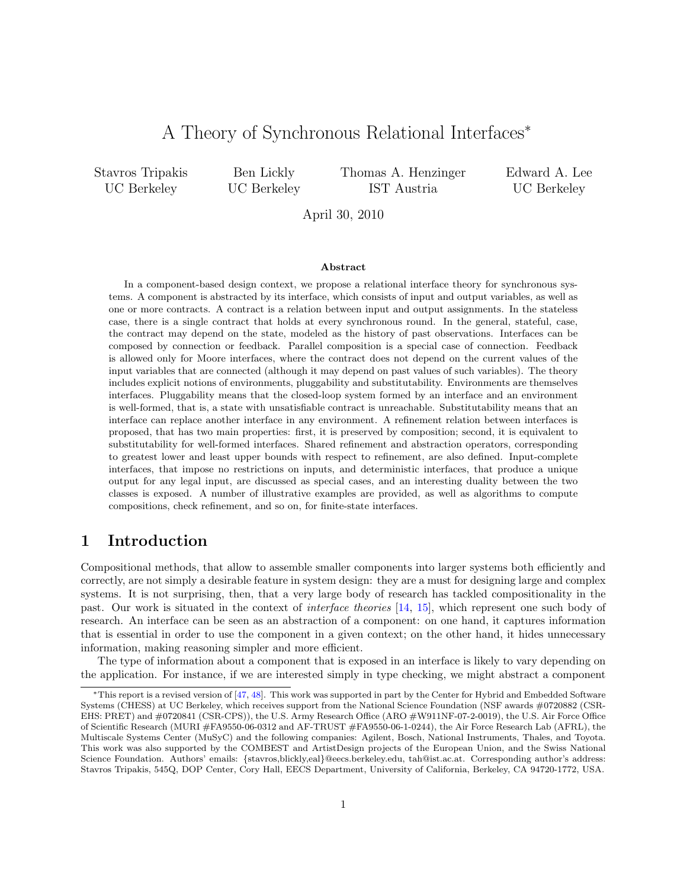# A Theory of Synchronous Relational Interfaces<sup>∗</sup>

Stavros Tripakis UC Berkeley

Ben Lickly UC Berkeley Thomas A. Henzinger IST Austria

Edward A. Lee UC Berkeley

April 30, 2010

#### Abstract

In a component-based design context, we propose a relational interface theory for synchronous systems. A component is abstracted by its interface, which consists of input and output variables, as well as one or more contracts. A contract is a relation between input and output assignments. In the stateless case, there is a single contract that holds at every synchronous round. In the general, stateful, case, the contract may depend on the state, modeled as the history of past observations. Interfaces can be composed by connection or feedback. Parallel composition is a special case of connection. Feedback is allowed only for Moore interfaces, where the contract does not depend on the current values of the input variables that are connected (although it may depend on past values of such variables). The theory includes explicit notions of environments, pluggability and substitutability. Environments are themselves interfaces. Pluggability means that the closed-loop system formed by an interface and an environment is well-formed, that is, a state with unsatisfiable contract is unreachable. Substitutability means that an interface can replace another interface in any environment. A refinement relation between interfaces is proposed, that has two main properties: first, it is preserved by composition; second, it is equivalent to substitutability for well-formed interfaces. Shared refinement and abstraction operators, corresponding to greatest lower and least upper bounds with respect to refinement, are also defined. Input-complete interfaces, that impose no restrictions on inputs, and deterministic interfaces, that produce a unique output for any legal input, are discussed as special cases, and an interesting duality between the two classes is exposed. A number of illustrative examples are provided, as well as algorithms to compute compositions, check refinement, and so on, for finite-state interfaces.

# 1 Introduction

Compositional methods, that allow to assemble smaller components into larger systems both efficiently and correctly, are not simply a desirable feature in system design: they are a must for designing large and complex systems. It is not surprising, then, that a very large body of research has tackled compositionality in the past. Our work is situated in the context of interface theories [\[14,](#page-37-0) [15\]](#page-37-1), which represent one such body of research. An interface can be seen as an abstraction of a component: on one hand, it captures information that is essential in order to use the component in a given context; on the other hand, it hides unnecessary information, making reasoning simpler and more efficient.

The type of information about a component that is exposed in an interface is likely to vary depending on the application. For instance, if we are interested simply in type checking, we might abstract a component

<sup>∗</sup>This report is a revised version of [\[47,](#page-39-0) [48\]](#page-39-1). This work was supported in part by the Center for Hybrid and Embedded Software Systems (CHESS) at UC Berkeley, which receives support from the National Science Foundation (NSF awards #0720882 (CSR-EHS: PRET) and #0720841 (CSR-CPS)), the U.S. Army Research Office (ARO #W911NF-07-2-0019), the U.S. Air Force Office of Scientific Research (MURI #FA9550-06-0312 and AF-TRUST #FA9550-06-1-0244), the Air Force Research Lab (AFRL), the Multiscale Systems Center (MuSyC) and the following companies: Agilent, Bosch, National Instruments, Thales, and Toyota. This work was also supported by the COMBEST and ArtistDesign projects of the European Union, and the Swiss National Science Foundation. Authors' emails: {stavros,blickly,eal}@eecs.berkeley.edu, tah@ist.ac.at. Corresponding author's address: Stavros Tripakis, 545Q, DOP Center, Cory Hall, EECS Department, University of California, Berkeley, CA 94720-1772, USA.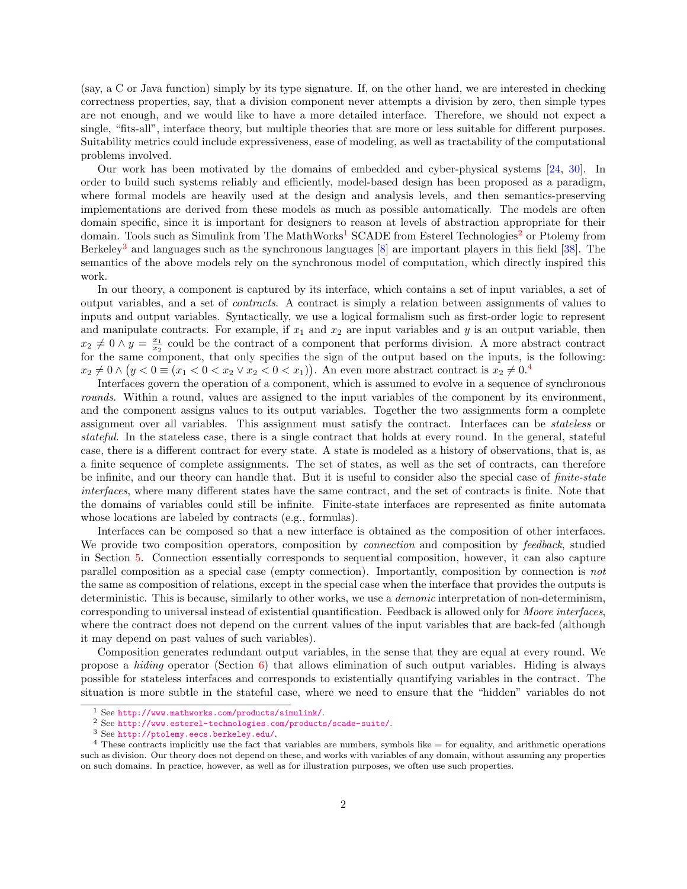(say, a C or Java function) simply by its type signature. If, on the other hand, we are interested in checking correctness properties, say, that a division component never attempts a division by zero, then simple types are not enough, and we would like to have a more detailed interface. Therefore, we should not expect a single, "fits-all", interface theory, but multiple theories that are more or less suitable for different purposes. Suitability metrics could include expressiveness, ease of modeling, as well as tractability of the computational problems involved.

Our work has been motivated by the domains of embedded and cyber-physical systems [\[24,](#page-38-0) [30\]](#page-38-1). In order to build such systems reliably and efficiently, model-based design has been proposed as a paradigm, where formal models are heavily used at the design and analysis levels, and then semantics-preserving implementations are derived from these models as much as possible automatically. The models are often domain specific, since it is important for designers to reason at levels of abstraction appropriate for their domain. Tools such as Simulink from The MathWorks<sup>[1](#page-1-0)</sup> SCADE from Esterel Technologies<sup>[2](#page-1-1)</sup> or Ptolemy from Berkeley<sup>[3](#page-1-2)</sup> and languages such as the synchronous languages  $[8]$  are important players in this field  $[38]$ . The semantics of the above models rely on the synchronous model of computation, which directly inspired this work.

In our theory, a component is captured by its interface, which contains a set of input variables, a set of output variables, and a set of contracts. A contract is simply a relation between assignments of values to inputs and output variables. Syntactically, we use a logical formalism such as first-order logic to represent and manipulate contracts. For example, if  $x_1$  and  $x_2$  are input variables and y is an output variable, then  $x_2 \neq 0 \wedge y = \frac{x_1}{x_2}$  could be the contract of a component that performs division. A more abstract contract for the same component, that only specifies the sign of the output based on the inputs, is the following:  $x_2 \neq 0 \wedge (y < 0 \equiv (x_1 < 0 < x_2 \vee x_2 < 0 < x_1))$ . An even more abstract contract is  $x_2 \neq 0$ .<sup>[4](#page-1-3)</sup>

Interfaces govern the operation of a component, which is assumed to evolve in a sequence of synchronous rounds. Within a round, values are assigned to the input variables of the component by its environment, and the component assigns values to its output variables. Together the two assignments form a complete assignment over all variables. This assignment must satisfy the contract. Interfaces can be stateless or stateful. In the stateless case, there is a single contract that holds at every round. In the general, stateful case, there is a different contract for every state. A state is modeled as a history of observations, that is, as a finite sequence of complete assignments. The set of states, as well as the set of contracts, can therefore be infinite, and our theory can handle that. But it is useful to consider also the special case of *finite-state* interfaces, where many different states have the same contract, and the set of contracts is finite. Note that the domains of variables could still be infinite. Finite-state interfaces are represented as finite automata whose locations are labeled by contracts (e.g., formulas).

Interfaces can be composed so that a new interface is obtained as the composition of other interfaces. We provide two composition operators, composition by *connection* and composition by *feedback*, studied in Section [5.](#page-8-0) Connection essentially corresponds to sequential composition, however, it can also capture parallel composition as a special case (empty connection). Importantly, composition by connection is not the same as composition of relations, except in the special case when the interface that provides the outputs is deterministic. This is because, similarly to other works, we use a demonic interpretation of non-determinism, corresponding to universal instead of existential quantification. Feedback is allowed only for Moore interfaces, where the contract does not depend on the current values of the input variables that are back-fed (although it may depend on past values of such variables).

Composition generates redundant output variables, in the sense that they are equal at every round. We propose a *hiding* operator (Section  $6$ ) that allows elimination of such output variables. Hiding is always possible for stateless interfaces and corresponds to existentially quantifying variables in the contract. The situation is more subtle in the stateful case, where we need to ensure that the "hidden" variables do not

<span id="page-1-0"></span><sup>1</sup> See <http://www.mathworks.com/products/simulink/>.

<span id="page-1-1"></span><sup>2</sup> See <http://www.esterel-technologies.com/products/scade-suite/>.

<span id="page-1-3"></span><span id="page-1-2"></span><sup>3</sup> See <http://ptolemy.eecs.berkeley.edu/>[.](http://ptolemy.eecs.berkeley.edu/)

 $4$  These contracts implicitly use the fact that variables are numbers, symbols like  $=$  for equality, and arithmetic operations such as division. Our theory does not depend on these, and works with variables of any domain, without assuming any properties on such domains. In practice, however, as well as for illustration purposes, we often use such properties.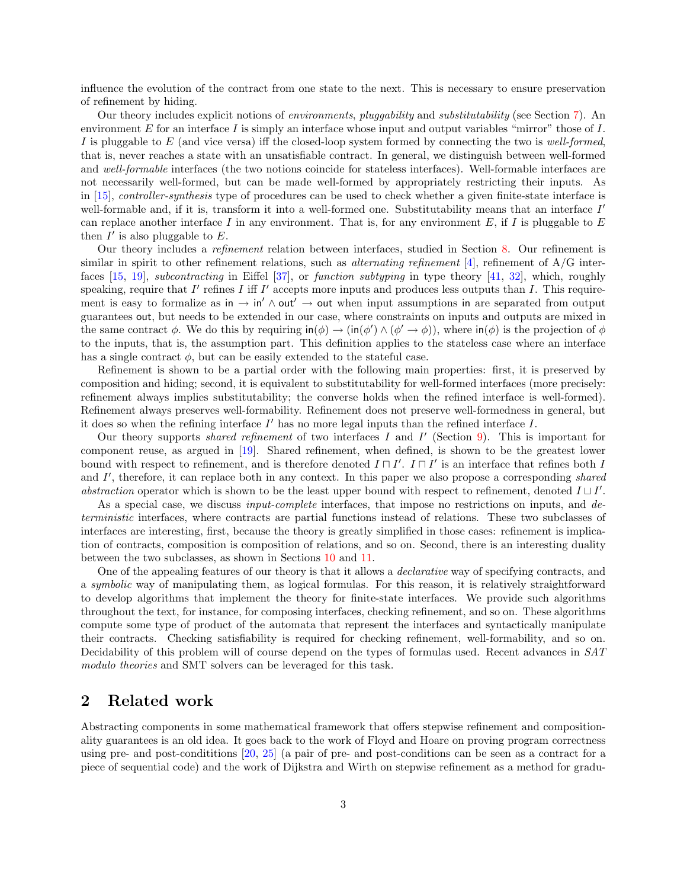influence the evolution of the contract from one state to the next. This is necessary to ensure preservation of refinement by hiding.

Our theory includes explicit notions of environments, pluggability and substitutability (see Section [7\)](#page-18-0). An environment  $E$  for an interface  $I$  is simply an interface whose input and output variables "mirror" those of  $I$ . I is pluggable to  $E$  (and vice versa) iff the closed-loop system formed by connecting the two is well-formed, that is, never reaches a state with an unsatisfiable contract. In general, we distinguish between well-formed and well-formable interfaces (the two notions coincide for stateless interfaces). Well-formable interfaces are not necessarily well-formed, but can be made well-formed by appropriately restricting their inputs. As in [\[15\]](#page-37-1), controller-synthesis type of procedures can be used to check whether a given finite-state interface is well-formable and, if it is, transform it into a well-formed one. Substitutability means that an interface I' can replace another interface I in any environment. That is, for any environment  $E$ , if I is pluggable to  $E$ then  $I'$  is also pluggable to  $E$ .

Our theory includes a refinement relation between interfaces, studied in Section [8.](#page-20-0) Our refinement is similar in spirit to other refinement relations, such as *alternating refinement* [\[4\]](#page-37-3), refinement of  $A/G$  interfaces [\[15,](#page-37-1) [19\]](#page-37-4), subcontracting in Eiffel [\[37\]](#page-38-3), or function subtyping in type theory [\[41,](#page-39-2) [32\]](#page-38-4), which, roughly speaking, require that  $I'$  refines  $I$  iff  $I'$  accepts more inputs and produces less outputs than  $I$ . This requirement is easy to formalize as in  $\rightarrow$  in' $\land$  out' $\rightarrow$  out when input assumptions in are separated from output guarantees out, but needs to be extended in our case, where constraints on inputs and outputs are mixed in the same contract  $\phi$ . We do this by requiring  $\text{in}(\phi) \to (\text{in}(\phi') \land (\phi' \to \phi))$ , where  $\text{in}(\phi)$  is the projection of  $\phi$ to the inputs, that is, the assumption part. This definition applies to the stateless case where an interface has a single contract  $\phi$ , but can be easily extended to the stateful case.

Refinement is shown to be a partial order with the following main properties: first, it is preserved by composition and hiding; second, it is equivalent to substitutability for well-formed interfaces (more precisely: refinement always implies substitutability; the converse holds when the refined interface is well-formed). Refinement always preserves well-formability. Refinement does not preserve well-formedness in general, but it does so when the refining interface  $I'$  has no more legal inputs than the refined interface  $I$ .

Our theory supports *shared refinement* of two interfaces  $I$  and  $I'$  (Section [9\)](#page-28-0). This is important for component reuse, as argued in [\[19\]](#page-37-4). Shared refinement, when defined, is shown to be the greatest lower bound with respect to refinement, and is therefore denoted  $I \sqcap I'$ .  $I \sqcap I'$  is an interface that refines both I and I', therefore, it can replace both in any context. In this paper we also propose a corresponding shared abstraction operator which is shown to be the least upper bound with respect to refinement, denoted  $I \sqcup I'$ .

As a special case, we discuss *input-complete* interfaces, that impose no restrictions on inputs, and deterministic interfaces, where contracts are partial functions instead of relations. These two subclasses of interfaces are interesting, first, because the theory is greatly simplified in those cases: refinement is implication of contracts, composition is composition of relations, and so on. Second, there is an interesting duality between the two subclasses, as shown in Sections [10](#page-32-0) and [11.](#page-34-0)

One of the appealing features of our theory is that it allows a declarative way of specifying contracts, and a symbolic way of manipulating them, as logical formulas. For this reason, it is relatively straightforward to develop algorithms that implement the theory for finite-state interfaces. We provide such algorithms throughout the text, for instance, for composing interfaces, checking refinement, and so on. These algorithms compute some type of product of the automata that represent the interfaces and syntactically manipulate their contracts. Checking satisfiability is required for checking refinement, well-formability, and so on. Decidability of this problem will of course depend on the types of formulas used. Recent advances in SAT modulo theories and SMT solvers can be leveraged for this task.

# 2 Related work

Abstracting components in some mathematical framework that offers stepwise refinement and compositionality guarantees is an old idea. It goes back to the work of Floyd and Hoare on proving program correctness using pre- and post-condititions [\[20,](#page-37-5) [25\]](#page-38-5) (a pair of pre- and post-conditions can be seen as a contract for a piece of sequential code) and the work of Dijkstra and Wirth on stepwise refinement as a method for gradu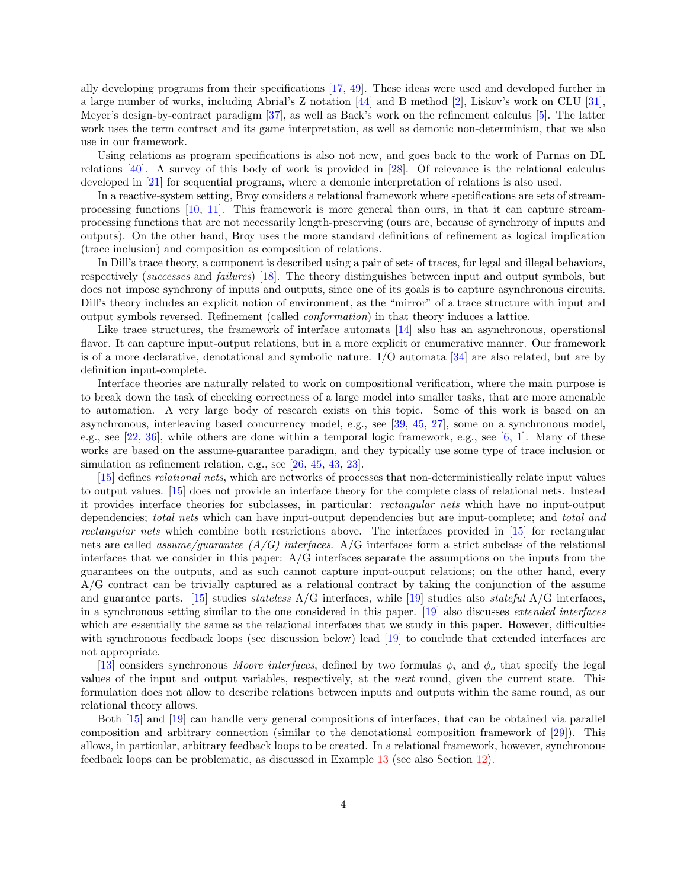ally developing programs from their specifications [\[17,](#page-37-6) [49\]](#page-39-3). These ideas were used and developed further in a large number of works, including Abrial's Z notation [\[44\]](#page-39-4) and B method [\[2\]](#page-37-7), Liskov's work on CLU [\[31\]](#page-38-6), Meyer's design-by-contract paradigm [\[37\]](#page-38-3), as well as Back's work on the refinement calculus [\[5\]](#page-37-8). The latter work uses the term contract and its game interpretation, as well as demonic non-determinism, that we also use in our framework.

Using relations as program specifications is also not new, and goes back to the work of Parnas on DL relations [\[40\]](#page-38-7). A survey of this body of work is provided in [\[28\]](#page-38-8). Of relevance is the relational calculus developed in [\[21\]](#page-38-9) for sequential programs, where a demonic interpretation of relations is also used.

In a reactive-system setting, Broy considers a relational framework where specifications are sets of streamprocessing functions [\[10,](#page-37-9) [11\]](#page-37-10). This framework is more general than ours, in that it can capture streamprocessing functions that are not necessarily length-preserving (ours are, because of synchrony of inputs and outputs). On the other hand, Broy uses the more standard definitions of refinement as logical implication (trace inclusion) and composition as composition of relations.

In Dill's trace theory, a component is described using a pair of sets of traces, for legal and illegal behaviors, respectively (successes and failures) [\[18\]](#page-37-11). The theory distinguishes between input and output symbols, but does not impose synchrony of inputs and outputs, since one of its goals is to capture asynchronous circuits. Dill's theory includes an explicit notion of environment, as the "mirror" of a trace structure with input and output symbols reversed. Refinement (called conformation) in that theory induces a lattice.

Like trace structures, the framework of interface automata [\[14\]](#page-37-0) also has an asynchronous, operational flavor. It can capture input-output relations, but in a more explicit or enumerative manner. Our framework is of a more declarative, denotational and symbolic nature. I/O automata [\[34\]](#page-38-10) are also related, but are by definition input-complete.

Interface theories are naturally related to work on compositional verification, where the main purpose is to break down the task of checking correctness of a large model into smaller tasks, that are more amenable to automation. A very large body of research exists on this topic. Some of this work is based on an asynchronous, interleaving based concurrency model, e.g., see [\[39,](#page-38-11) [45,](#page-39-5) [27\]](#page-38-12), some on a synchronous model, e.g., see [\[22,](#page-38-13) [36\]](#page-38-14), while others are done within a temporal logic framework, e.g., see [\[6,](#page-37-12) [1\]](#page-37-13). Many of these works are based on the assume-guarantee paradigm, and they typically use some type of trace inclusion or simulation as refinement relation, e.g., see [\[26,](#page-38-15) [45,](#page-39-5) [43,](#page-39-6) [23\]](#page-38-16).

[\[15\]](#page-37-1) defines relational nets, which are networks of processes that non-deterministically relate input values to output values. [\[15\]](#page-37-1) does not provide an interface theory for the complete class of relational nets. Instead it provides interface theories for subclasses, in particular: rectangular nets which have no input-output dependencies; total nets which can have input-output dependencies but are input-complete; and total and rectangular nets which combine both restrictions above. The interfaces provided in [\[15\]](#page-37-1) for rectangular nets are called *assume/guarantee*  $(A/G)$  *interfaces.* A/G interfaces form a strict subclass of the relational interfaces that we consider in this paper:  $A/G$  interfaces separate the assumptions on the inputs from the guarantees on the outputs, and as such cannot capture input-output relations; on the other hand, every A/G contract can be trivially captured as a relational contract by taking the conjunction of the assume and guarantee parts. [\[15\]](#page-37-1) studies stateless A/G interfaces, while [\[19\]](#page-37-4) studies also stateful A/G interfaces, in a synchronous setting similar to the one considered in this paper. [\[19\]](#page-37-4) also discusses extended interfaces which are essentially the same as the relational interfaces that we study in this paper. However, difficulties with synchronous feedback loops (see discussion below) lead [\[19\]](#page-37-4) to conclude that extended interfaces are not appropriate.

[\[13\]](#page-37-14) considers synchronous Moore interfaces, defined by two formulas  $\phi_i$  and  $\phi_o$  that specify the legal values of the input and output variables, respectively, at the next round, given the current state. This formulation does not allow to describe relations between inputs and outputs within the same round, as our relational theory allows.

Both [\[15\]](#page-37-1) and [\[19\]](#page-37-4) can handle very general compositions of interfaces, that can be obtained via parallel composition and arbitrary connection (similar to the denotational composition framework of [\[29\]](#page-38-17)). This allows, in particular, arbitrary feedback loops to be created. In a relational framework, however, synchronous feedback loops can be problematic, as discussed in Example [13](#page-26-0) (see also Section [12\)](#page-36-0).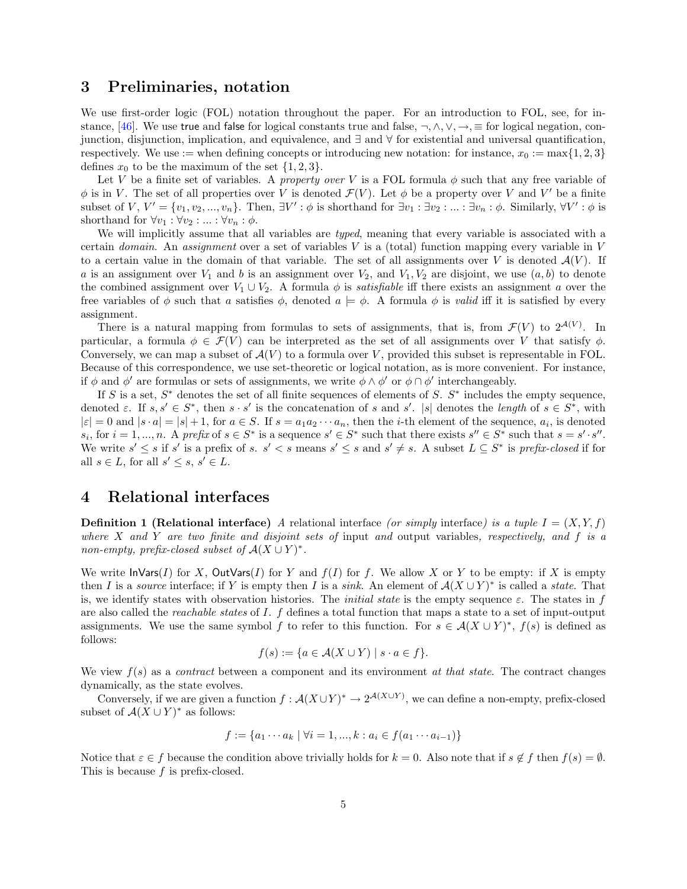### 3 Preliminaries, notation

We use first-order logic (FOL) notation throughout the paper. For an introduction to FOL, see, for in-stance, [\[46\]](#page-39-7). We use true and false for logical constants true and false,  $\neg, \wedge, \vee, \rightarrow, \equiv$  for logical negation, conjunction, disjunction, implication, and equivalence, and ∃ and ∀ for existential and universal quantification, respectively. We use := when defining concepts or introducing new notation: for instance,  $x_0 := \max\{1, 2, 3\}$ defines  $x_0$  to be the maximum of the set  $\{1, 2, 3\}.$ 

Let V be a finite set of variables. A property over V is a FOL formula  $\phi$  such that any free variable of  $\phi$  is in V. The set of all properties over V is denoted  $\mathcal{F}(V)$ . Let  $\phi$  be a property over V and V' be a finite subset of  $V, V' = \{v_1, v_2, ..., v_n\}$ . Then,  $\exists V' : \phi$  is shorthand for  $\exists v_1 : \exists v_2 : ... : \exists v_n : \phi$ . Similarly,  $\forall V' : \phi$  is shorthand for  $\forall v_1 : \forall v_2 : \ldots : \forall v_n : \phi$ .

We will implicitly assume that all variables are typed, meaning that every variable is associated with a certain *domain*. An assignment over a set of variables  $V$  is a (total) function mapping every variable in  $V$ to a certain value in the domain of that variable. The set of all assignments over V is denoted  $\mathcal{A}(V)$ . If a is an assignment over  $V_1$  and b is an assignment over  $V_2$ , and  $V_1, V_2$  are disjoint, we use  $(a, b)$  to denote the combined assignment over  $V_1 \cup V_2$ . A formula  $\phi$  is *satisfiable* iff there exists an assignment a over the free variables of  $\phi$  such that a satisfies  $\phi$ , denoted  $a \models \phi$ . A formula  $\phi$  is valid iff it is satisfied by every assignment.

There is a natural mapping from formulas to sets of assignments, that is, from  $\mathcal{F}(V)$  to  $2^{\mathcal{A}(V)}$ . In particular, a formula  $\phi \in \mathcal{F}(V)$  can be interpreted as the set of all assignments over V that satisfy  $\phi$ . Conversely, we can map a subset of  $\mathcal{A}(V)$  to a formula over V, provided this subset is representable in FOL. Because of this correspondence, we use set-theoretic or logical notation, as is more convenient. For instance, if  $\phi$  and  $\phi'$  are formulas or sets of assignments, we write  $\phi \wedge \phi'$  or  $\phi \cap \phi'$  interchangeably.

If S is a set,  $S^*$  denotes the set of all finite sequences of elements of S.  $S^*$  includes the empty sequence, denoted  $\varepsilon$ . If  $s, s' \in S^*$ , then  $s \cdot s'$  is the concatenation of s and s'. |s| denotes the length of  $s \in S^*$ , with  $|\varepsilon| = 0$  and  $|s \cdot a| = |s| + 1$ , for  $a \in S$ . If  $s = a_1 a_2 \cdots a_n$ , then the *i*-th element of the sequence,  $a_i$ , is denoted  $s_i$ , for  $i = 1, ..., n$ . A prefix of  $s \in S^*$  is a sequence  $s' \in S^*$  such that there exists  $s'' \in S^*$  such that  $s = s' \cdot s''$ . We write  $s' \leq s$  if s' is a prefix of s.  $s' < s$  means  $s' \leq s$  and  $s' \neq s$ . A subset  $L \subseteq S^*$  is prefix-closed if for all  $s \in L$ , for all  $s' \leq s, s' \in L$ .

### 4 Relational interfaces

**Definition 1 (Relational interface)** A relational interface (or simply interface) is a tuple  $I = (X, Y, f)$ where X and Y are two finite and disjoint sets of input and output variables, respectively, and f is a non-empty, prefix-closed subset of  $A(X \cup Y)^*$ .

We write  $\textsf{InVars}(I)$  for X,  $\textsf{OutVars}(I)$  for Y and  $f(I)$  for f. We allow X or Y to be empty: if X is empty then I is a source interface; if Y is empty then I is a sink. An element of  $\mathcal{A}(X \cup Y)^*$  is called a state. That is, we identify states with observation histories. The *initial state* is the empty sequence  $\varepsilon$ . The states in f are also called the reachable states of I. f defines a total function that maps a state to a set of input-output assignments. We use the same symbol f to refer to this function. For  $s \in A(X \cup Y)^*$ ,  $f(s)$  is defined as follows:

$$
f(s) := \{ a \in \mathcal{A}(X \cup Y) \mid s \cdot a \in f \}.
$$

We view  $f(s)$  as a *contract* between a component and its environment *at that state*. The contract changes dynamically, as the state evolves.

Conversely, if we are given a function  $f : \mathcal{A}(X \cup Y)^* \to 2^{\mathcal{A}(X \cup Y)}$ , we can define a non-empty, prefix-closed subset of  $\mathcal{A}(X \cup Y)^*$  as follows:

$$
f := \{a_1 \cdots a_k \mid \forall i = 1, ..., k : a_i \in f(a_1 \cdots a_{i-1})\}
$$

Notice that  $\varepsilon \in f$  because the condition above trivially holds for  $k = 0$ . Also note that if  $s \notin f$  then  $f(s) = \emptyset$ . This is because  $f$  is prefix-closed.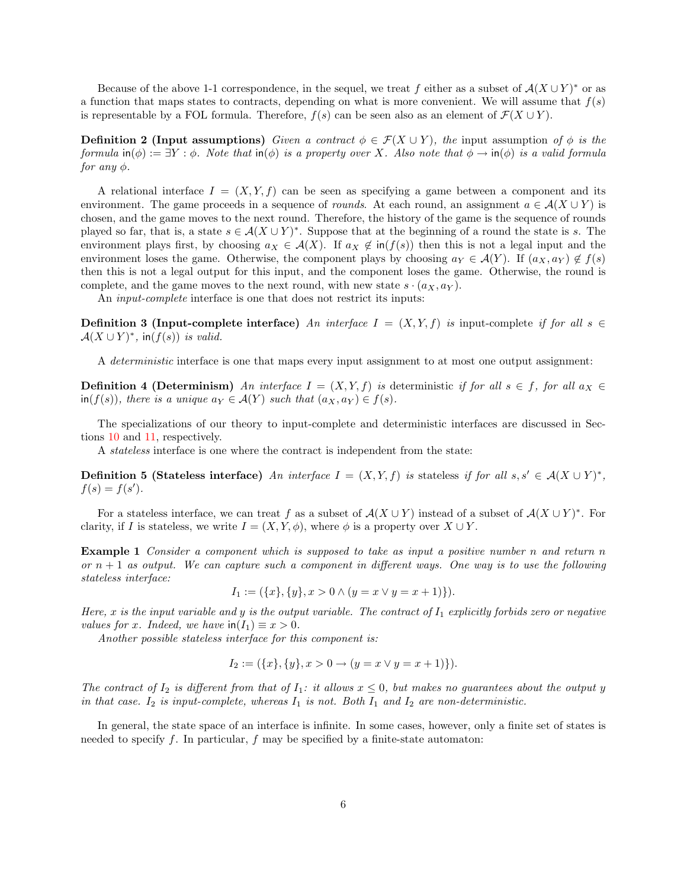Because of the above 1-1 correspondence, in the sequel, we treat f either as a subset of  $\mathcal{A}(X \cup Y)^*$  or as a function that maps states to contracts, depending on what is more convenient. We will assume that  $f(s)$ is representable by a FOL formula. Therefore,  $f(s)$  can be seen also as an element of  $\mathcal{F}(X \cup Y)$ .

**Definition 2 (Input assumptions)** Given a contract  $\phi \in \mathcal{F}(X \cup Y)$ , the input assumption of  $\phi$  is the formula  $\text{in}(\phi) := \exists Y : \phi$ . Note that  $\text{in}(\phi)$  is a property over X. Also note that  $\phi \to \text{in}(\phi)$  is a valid formula for any  $\phi$ .

A relational interface  $I = (X, Y, f)$  can be seen as specifying a game between a component and its environment. The game proceeds in a sequence of *rounds*. At each round, an assignment  $a \in \mathcal{A}(X \cup Y)$  is chosen, and the game moves to the next round. Therefore, the history of the game is the sequence of rounds played so far, that is, a state  $s \in A(X \cup Y)^*$ . Suppose that at the beginning of a round the state is s. The environment plays first, by choosing  $a_X \in \mathcal{A}(X)$ . If  $a_X \notin \text{in}(f(s))$  then this is not a legal input and the environment loses the game. Otherwise, the component plays by choosing  $a_Y \in \mathcal{A}(Y)$ . If  $(a_X, a_Y) \notin f(s)$ then this is not a legal output for this input, and the component loses the game. Otherwise, the round is complete, and the game moves to the next round, with new state  $s \cdot (a_X, a_Y)$ .

An *input-complete* interface is one that does not restrict its inputs:

<span id="page-5-1"></span>**Definition 3 (Input-complete interface)** An interface  $I = (X, Y, f)$  is input-complete if for all  $s \in$  $\mathcal{A}(X \cup Y)^*$ , in $(f(s))$  is valid.

A deterministic interface is one that maps every input assignment to at most one output assignment:

**Definition 4 (Determinism)** An interface  $I = (X, Y, f)$  is deterministic if for all  $s \in f$ , for all  $a_X \in$  $\inf(f(s)),$  there is a unique  $a_Y \in \mathcal{A}(Y)$  such that  $(a_X, a_Y) \in f(s)$ .

The specializations of our theory to input-complete and deterministic interfaces are discussed in Sections [10](#page-32-0) and [11,](#page-34-0) respectively.

A stateless interface is one where the contract is independent from the state:

Definition 5 (Stateless interface) An interface  $I = (X, Y, f)$  is stateless if for all  $s, s' \in A(X \cup Y)^*$ ,  $f(s) = f(s')$ .

For a stateless interface, we can treat f as a subset of  $\mathcal{A}(X \cup Y)$  instead of a subset of  $\mathcal{A}(X \cup Y)^*$ . For clarity, if I is stateless, we write  $I = (X, Y, \phi)$ , where  $\phi$  is a property over  $X \cup Y$ .

<span id="page-5-0"></span>Example 1 Consider a component which is supposed to take as input a positive number n and return n or  $n + 1$  as output. We can capture such a component in different ways. One way is to use the following stateless interface:

$$
I_1 := (\{x\}, \{y\}, x > 0 \land (y = x \lor y = x + 1)\}).
$$

Here, x is the input variable and y is the output variable. The contract of  $I_1$  explicitly forbids zero or negative values for x. Indeed, we have  $\text{in}(I_1) \equiv x > 0$ .

Another possible stateless interface for this component is:

$$
I_2 := (\{x\}, \{y\}, x > 0 \to (y = x \lor y = x + 1)\}).
$$

The contract of  $I_2$  is different from that of  $I_1$ : it allows  $x \leq 0$ , but makes no guarantees about the output y in that case. I<sub>2</sub> is input-complete, whereas  $I_1$  is not. Both  $I_1$  and  $I_2$  are non-deterministic.

In general, the state space of an interface is infinite. In some cases, however, only a finite set of states is needed to specify f. In particular, f may be specified by a finite-state automaton: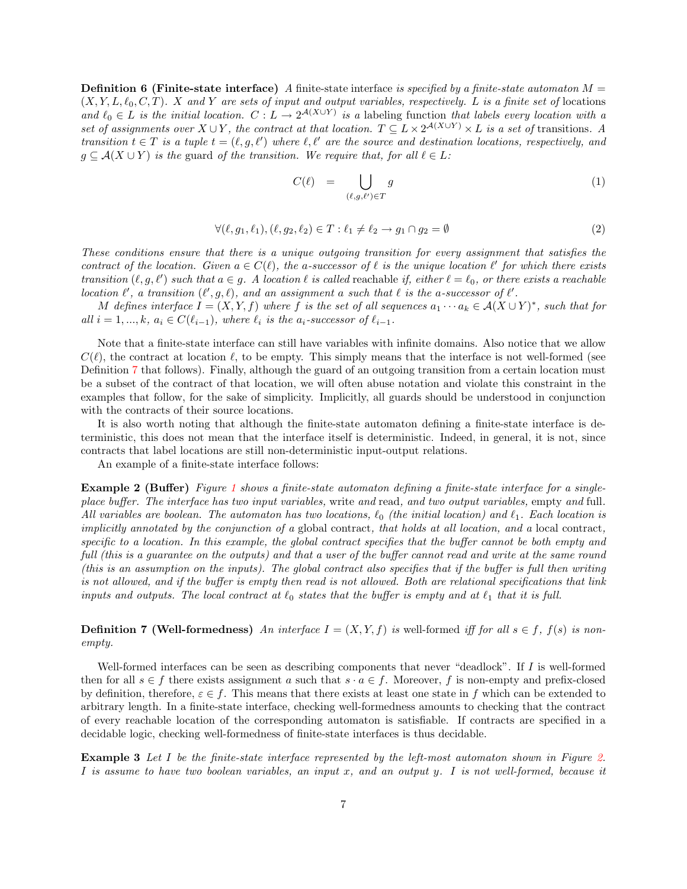**Definition 6 (Finite-state interface)** A finite-state interface is specified by a finite-state automaton  $M =$  $(X, Y, L, \ell_0, C, T)$ . X and Y are sets of input and output variables, respectively. L is a finite set of locations and  $\ell_0 \in L$  is the initial location.  $C: L \to 2^{\mathcal{A}(X \cup Y)}$  is a labeling function that labels every location with a set of assignments over  $X \cup Y$ , the contract at that location.  $T \subseteq L \times 2^{\mathcal{A}(X \cup Y)} \times L$  is a set of transitions. A transition  $t \in T$  is a tuple  $t = (\ell, g, \ell')$  where  $\ell, \ell'$  are the source and destination locations, respectively, and  $g \subseteq \mathcal{A}(X \cup Y)$  is the guard of the transition. We require that, for all  $\ell \in L$ :

$$
C(\ell) = \bigcup_{(\ell,g,\ell') \in T} g \tag{1}
$$

$$
\forall (\ell, g_1, \ell_1), (\ell, g_2, \ell_2) \in T : \ell_1 \neq \ell_2 \rightarrow g_1 \cap g_2 = \emptyset \tag{2}
$$

These conditions ensure that there is a unique outgoing transition for every assignment that satisfies the contract of the location. Given  $a \in C(\ell)$ , the a-successor of  $\ell$  is the unique location  $\ell'$  for which there exists transition  $(\ell, g, \ell')$  such that  $a \in g$ . A location  $\ell$  is called reachable if, either  $\ell = \ell_0$ , or there exists a reachable location  $\ell'$ , a transition  $(\ell', g, \ell)$ , and an assignment a such that  $\ell$  is the a-successor of  $\ell'$ .

M defines interface  $I = (X, Y, f)$  where f is the set of all sequences  $a_1 \cdots a_k \in \mathcal{A}(X \cup Y)^*$ , such that for all  $i = 1, ..., k, a_i \in C(\ell_{i-1}),$  where  $\ell_i$  is the  $a_i$ -successor of  $\ell_{i-1}.$ 

Note that a finite-state interface can still have variables with infinite domains. Also notice that we allow  $C(\ell)$ , the contract at location  $\ell$ , to be empty. This simply means that the interface is not well-formed (see Definition [7](#page-6-0) that follows). Finally, although the guard of an outgoing transition from a certain location must be a subset of the contract of that location, we will often abuse notation and violate this constraint in the examples that follow, for the sake of simplicity. Implicitly, all guards should be understood in conjunction with the contracts of their source locations.

It is also worth noting that although the finite-state automaton defining a finite-state interface is deterministic, this does not mean that the interface itself is deterministic. Indeed, in general, it is not, since contracts that label locations are still non-deterministic input-output relations.

An example of a finite-state interface follows:

<span id="page-6-2"></span>Example 2 (Buffer) Figure [1](#page-7-0) shows a finite-state automaton defining a finite-state interface for a singleplace buffer. The interface has two input variables, write and read, and two output variables, empty and full. All variables are boolean. The automaton has two locations,  $\ell_0$  (the initial location) and  $\ell_1$ . Each location is implicitly annotated by the conjunction of a global contract, that holds at all location, and a local contract, specific to a location. In this example, the global contract specifies that the buffer cannot be both empty and full (this is a guarantee on the outputs) and that a user of the buffer cannot read and write at the same round (this is an assumption on the inputs). The global contract also specifies that if the buffer is full then writing is not allowed, and if the buffer is empty then read is not allowed. Both are relational specifications that link inputs and outputs. The local contract at  $\ell_0$  states that the buffer is empty and at  $\ell_1$  that it is full.

<span id="page-6-0"></span>**Definition 7 (Well-formedness)** An interface  $I = (X, Y, f)$  is well-formed iff for all  $s \in f$ ,  $f(s)$  is nonempty.

Well-formed interfaces can be seen as describing components that never "deadlock". If I is well-formed then for all  $s \in f$  there exists assignment a such that  $s \cdot a \in f$ . Moreover, f is non-empty and prefix-closed by definition, therefore,  $\varepsilon \in f$ . This means that there exists at least one state in f which can be extended to arbitrary length. In a finite-state interface, checking well-formedness amounts to checking that the contract of every reachable location of the corresponding automaton is satisfiable. If contracts are specified in a decidable logic, checking well-formedness of finite-state interfaces is thus decidable.

<span id="page-6-1"></span>Example 3 Let I be the finite-state interface represented by the left-most automaton shown in Figure [2.](#page-7-1) I is assume to have two boolean variables, an input x, and an output y. I is not well-formed, because it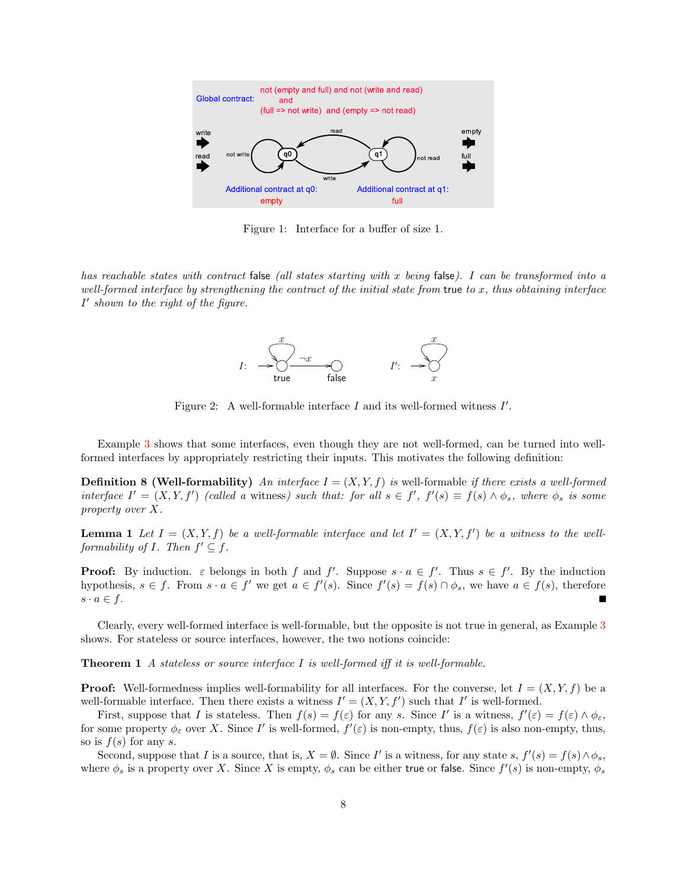

<span id="page-7-0"></span>Figure 1: Interface for a buffer of size 1.

has reachable states with contract false (all states starting with x being false). I can be transformed into a well-formed interface by strengthening the contract of the initial state from true to  $x$ , thus obtaining interface  $I'$  shown to the right of the figure.



<span id="page-7-1"></span>Figure 2: A well-formable interface  $I$  and its well-formed witness  $I'$ .

Example [3](#page-6-1) shows that some interfaces, even though they are not well-formed, can be turned into wellformed interfaces by appropriately restricting their inputs. This motivates the following definition:

<span id="page-7-2"></span>**Definition 8 (Well-formability)** An interface  $I = (X, Y, f)$  is well-formable if there exists a well-formed interface  $I' = (X, Y, f')$  (called a witness) such that: for all  $s \in f'$ ,  $f'(s) \equiv f(s) \wedge \phi_s$ , where  $\phi_s$  is some property over X.

**Lemma 1** Let  $I = (X, Y, f)$  be a well-formable interface and let  $I' = (X, Y, f')$  be a witness to the wellformability of  $I$ . Then  $f' \subseteq f$ .

**Proof:** By induction.  $\varepsilon$  belongs in both f and f'. Suppose  $s \cdot a \in f'$ . Thus  $s \in f'$ . By the induction hypothesis,  $s \in f$ . From  $s \cdot a \in f'$  we get  $a \in f'(s)$ . Since  $f'(s) = f(s) \cap \phi_s$ , we have  $a \in f(s)$ , therefore  $s \cdot a \in f$ .

Clearly, every well-formed interface is well-formable, but the opposite is not true in general, as Example [3](#page-6-1) shows. For stateless or source interfaces, however, the two notions coincide:

**Theorem 1** A stateless or source interface I is well-formed iff it is well-formable.

**Proof:** Well-formedness implies well-formability for all interfaces. For the converse, let  $I = (X, Y, f)$  be a well-formable interface. Then there exists a witness  $I' = (X, Y, f')$  such that I' is well-formed.

First, suppose that I is stateless. Then  $f(s) = f(\varepsilon)$  for any s. Since I' is a witness,  $f'(\varepsilon) = f(\varepsilon) \wedge \phi_{\varepsilon}$ , for some property  $\phi_{\varepsilon}$  over X. Since I' is well-formed,  $f'(\varepsilon)$  is non-empty, thus,  $f(\varepsilon)$  is also non-empty, thus, so is  $f(s)$  for any s.

Second, suppose that I is a source, that is,  $X = \emptyset$ . Since I' is a witness, for any state s,  $f'(s) = f(s) \wedge \phi_s$ , where  $\phi_s$  is a property over X. Since X is empty,  $\phi_s$  can be either true or false. Since  $f'(s)$  is non-empty,  $\phi_s$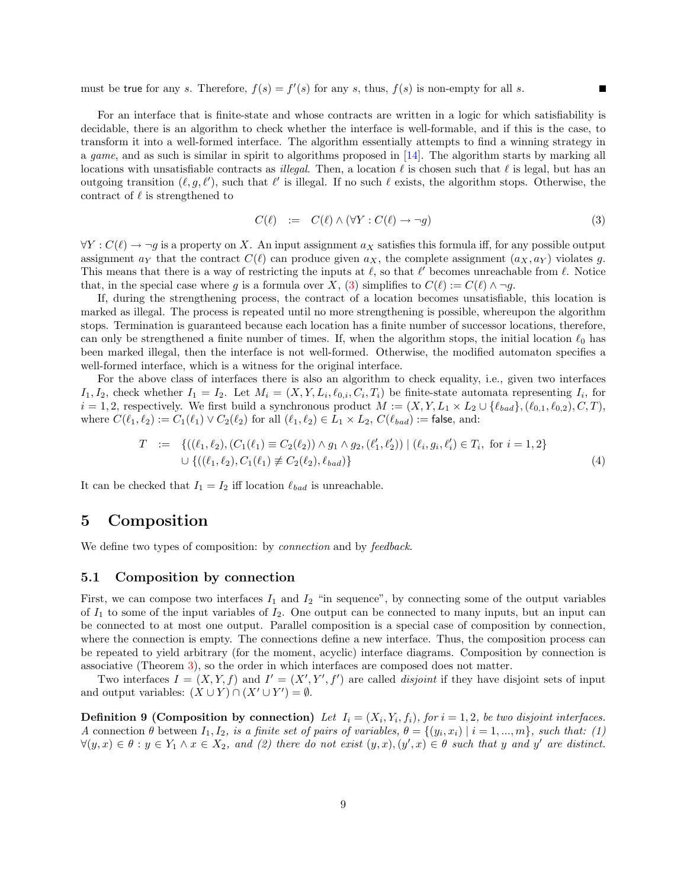must be true for any s. Therefore,  $f(s) = f'(s)$  for any s, thus,  $f(s)$  is non-empty for all s.

For an interface that is finite-state and whose contracts are written in a logic for which satisfiability is decidable, there is an algorithm to check whether the interface is well-formable, and if this is the case, to transform it into a well-formed interface. The algorithm essentially attempts to find a winning strategy in a game, and as such is similar in spirit to algorithms proposed in [\[14\]](#page-37-0). The algorithm starts by marking all locations with unsatisfiable contracts as *illegal*. Then, a location  $\ell$  is chosen such that  $\ell$  is legal, but has an outgoing transition  $(\ell, g, \ell')$ , such that  $\ell'$  is illegal. If no such  $\ell$  exists, the algorithm stops. Otherwise, the contract of  $\ell$  is strengthened to

<span id="page-8-1"></span>
$$
C(\ell) := C(\ell) \wedge (\forall Y : C(\ell) \to \neg g)
$$
\n(3)

 $\forall Y : C(\ell) \rightarrow \neg g$  is a property on X. An input assignment  $a_X$  satisfies this formula iff, for any possible output assignment  $a_Y$  that the contract  $C(\ell)$  can produce given  $a_X$ , the complete assignment  $(a_X, a_Y)$  violates g. This means that there is a way of restricting the inputs at  $\ell$ , so that  $\ell'$  becomes unreachable from  $\ell$ . Notice that, in the special case where g is a formula over X, [\(3\)](#page-8-1) simplifies to  $C(\ell) := C(\ell) \wedge \neg g$ .

If, during the strengthening process, the contract of a location becomes unsatisfiable, this location is marked as illegal. The process is repeated until no more strengthening is possible, whereupon the algorithm stops. Termination is guaranteed because each location has a finite number of successor locations, therefore, can only be strengthened a finite number of times. If, when the algorithm stops, the initial location  $\ell_0$  has been marked illegal, then the interface is not well-formed. Otherwise, the modified automaton specifies a well-formed interface, which is a witness for the original interface.

For the above class of interfaces there is also an algorithm to check equality, i.e., given two interfaces  $I_1, I_2$ , check whether  $I_1 = I_2$ . Let  $M_i = (X, Y, L_i, \ell_{0,i}, C_i, T_i)$  be finite-state automata representing  $I_i$ , for  $i = 1, 2$ , respectively. We first build a synchronous product  $M := (X, Y, L_1 \times L_2 \cup \{\ell_{bad}\}, (\ell_{0,1}, \ell_{0,2}), C, T)$ , where  $C(\ell_1, \ell_2) := C_1(\ell_1) \vee C_2(\ell_2)$  for all  $(\ell_1, \ell_2) \in L_1 \times L_2$ ,  $C(\ell_{bad}) := \text{false}$ , and:

$$
T := \{ ((\ell_1, \ell_2), (C_1(\ell_1) \equiv C_2(\ell_2)) \land g_1 \land g_2, (\ell'_1, \ell'_2)) \mid (\ell_i, g_i, \ell'_i) \in T_i, \text{ for } i = 1, 2 \}
$$
  

$$
\cup \{ ((\ell_1, \ell_2), C_1(\ell_1) \not\equiv C_2(\ell_2), \ell_{bad}) \}
$$
 (4)

It can be checked that  $I_1 = I_2$  iff location  $\ell_{bad}$  is unreachable.

# <span id="page-8-0"></span>5 Composition

We define two types of composition: by *connection* and by *feedback*.

### 5.1 Composition by connection

First, we can compose two interfaces  $I_1$  and  $I_2$  "in sequence", by connecting some of the output variables of  $I_1$  to some of the input variables of  $I_2$ . One output can be connected to many inputs, but an input can be connected to at most one output. Parallel composition is a special case of composition by connection, where the connection is empty. The connections define a new interface. Thus, the composition process can be repeated to yield arbitrary (for the moment, acyclic) interface diagrams. Composition by connection is associative (Theorem [3\)](#page-10-0), so the order in which interfaces are composed does not matter.

Two interfaces  $I = (X, Y, f)$  and  $I' = (X', Y', f')$  are called *disjoint* if they have disjoint sets of input and output variables:  $(X \cup Y) \cap (X' \cup Y') = \emptyset$ .

<span id="page-8-2"></span>**Definition 9 (Composition by connection)** Let  $I_i = (X_i, Y_i, f_i)$ , for  $i = 1, 2$ , be two disjoint interfaces. A connection  $\theta$  between  $I_1, I_2$ , is a finite set of pairs of variables,  $\theta = \{(y_i, x_i) | i = 1, ..., m\}$ , such that: (1)  $\forall (y,x) \in \theta : y \in Y_1 \land x \in X_2$ , and (2) there do not exist  $(y,x), (y',x) \in \theta$  such that y and y' are distinct.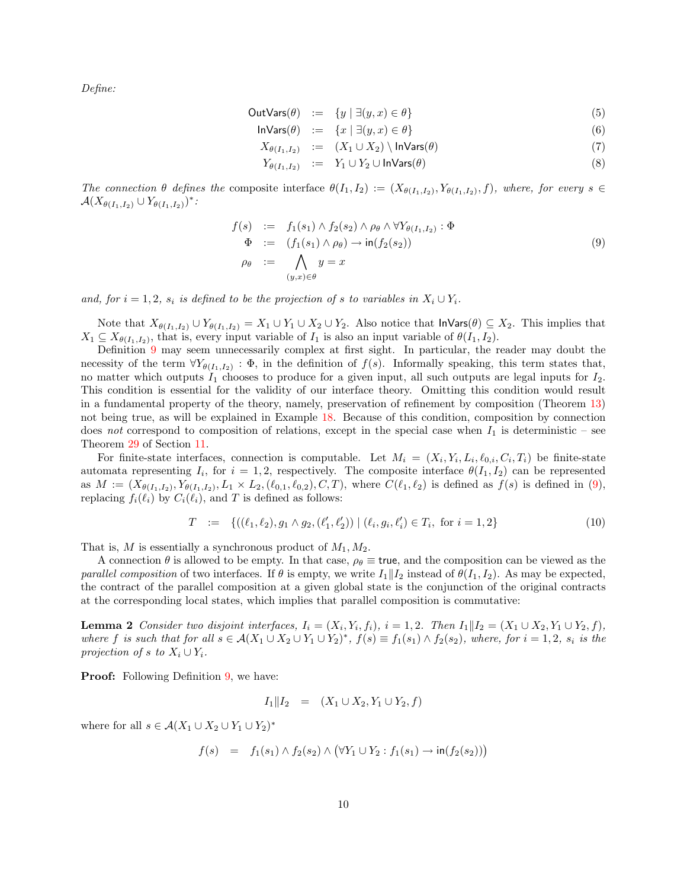Define:

$$
\text{OutVars}(\theta) := \{ y \mid \exists (y, x) \in \theta \} \tag{5}
$$

$$
\mathsf{InVars}(\theta) \quad := \quad \{x \mid \exists (y, x) \in \theta\} \tag{6}
$$

$$
X_{\theta(I_1,I_2)} := (X_1 \cup X_2) \setminus \mathsf{InVars}(\theta) \tag{7}
$$

$$
Y_{\theta(I_1, I_2)} := Y_1 \cup Y_2 \cup \mathsf{InVars}(\theta) \tag{8}
$$

The connection  $\theta$  defines the composite interface  $\theta(I_1,I_2):=(X_{\theta(I_1,I_2)},Y_{\theta(I_1,I_2)},f)$ , where, for every  $s \in$  $\mathcal{A}(X_{\theta(I_1,I_2)} \cup Y_{\theta(I_1,I_2)})^*$ :

<span id="page-9-0"></span>
$$
f(s) := f_1(s_1) \wedge f_2(s_2) \wedge \rho_\theta \wedge \forall Y_{\theta(I_1, I_2)} : \Phi
$$
  
\n
$$
\Phi := (f_1(s_1) \wedge \rho_\theta) \rightarrow \text{in}(f_2(s_2))
$$
  
\n
$$
\rho_\theta := \bigwedge_{(y,x) \in \theta} y = x
$$
\n(9)

and, for  $i = 1, 2$ ,  $s_i$  is defined to be the projection of s to variables in  $X_i \cup Y_i$ .

Note that  $X_{\theta(I_1,I_2)} \cup Y_{\theta(I_1,I_2)} = X_1 \cup Y_1 \cup X_2 \cup Y_2$ . Also notice that  $\mathsf{Invars}(\theta) \subseteq X_2$ . This implies that  $X_1 \subseteq X_{\theta(I_1,I_2)}$ , that is, every input variable of  $I_1$  is also an input variable of  $\theta(I_1,I_2)$ .

Definition [9](#page-8-2) may seem unnecessarily complex at first sight. In particular, the reader may doubt the necessity of the term  $\forall Y_{\theta(I_1,I_2)}: \Phi$ , in the definition of  $f(s)$ . Informally speaking, this term states that, no matter which outputs  $I_1$  chooses to produce for a given input, all such outputs are legal inputs for  $I_2$ . This condition is essential for the validity of our interface theory. Omitting this condition would result in a fundamental property of the theory, namely, preservation of refinement by composition (Theorem [13\)](#page-24-0) not being true, as will be explained in Example [18.](#page-33-0) Because of this condition, composition by connection does not correspond to composition of relations, except in the special case when  $I_1$  is deterministic – see Theorem [29](#page-34-1) of Section [11.](#page-34-0)

For finite-state interfaces, connection is computable. Let  $M_i = (X_i, Y_i, L_i, \ell_{0,i}, C_i, T_i)$  be finite-state automata representing  $I_i$ , for  $i = 1, 2$ , respectively. The composite interface  $\theta(I_1, I_2)$  can be represented as  $M := (X_{\theta(I_1,I_2)}, Y_{\theta(I_1,I_2)}, L_1 \times L_2, (\ell_{0,1}, \ell_{0,2}), C, T)$ , where  $C(\ell_1, \ell_2)$  is defined as  $f(s)$  is defined in [\(9\)](#page-9-0), replacing  $f_i(\ell_i)$  by  $C_i(\ell_i)$ , and T is defined as follows:

$$
T := \{((\ell_1, \ell_2), g_1 \wedge g_2, (\ell'_1, \ell'_2)) \mid (\ell_i, g_i, \ell'_i) \in T_i, \text{ for } i = 1, 2\}
$$
\n
$$
(10)
$$

That is, M is essentially a synchronous product of  $M_1, M_2$ .

A connection  $\theta$  is allowed to be empty. In that case,  $\rho_{\theta} \equiv$  true, and the composition can be viewed as the parallel composition of two interfaces. If  $\theta$  is empty, we write  $I_1||I_2$  instead of  $\theta(I_1, I_2)$ . As may be expected, the contract of the parallel composition at a given global state is the conjunction of the original contracts at the corresponding local states, which implies that parallel composition is commutative:

<span id="page-9-1"></span>**Lemma 2** Consider two disjoint interfaces,  $I_i = (X_i, Y_i, f_i)$ ,  $i = 1, 2$ . Then  $I_1 || I_2 = (X_1 \cup X_2, Y_1 \cup Y_2, f)$ , where f is such that for all  $s \in A(X_1 \cup X_2 \cup Y_1 \cup Y_2)^*$ ,  $f(s) \equiv f_1(s_1) \wedge f_2(s_2)$ , where, for  $i = 1, 2$ ,  $s_i$  is the projection of s to  $X_i \cup Y_i$ .

**Proof:** Following Definition [9,](#page-8-2) we have:

$$
I_1 \| I_2 = (X_1 \cup X_2, Y_1 \cup Y_2, f)
$$

where for all  $s \in \mathcal{A}(X_1 \cup X_2 \cup Y_1 \cup Y_2)^*$ 

$$
f(s) = f_1(s_1) \wedge f_2(s_2) \wedge (\forall Y_1 \cup Y_2 : f_1(s_1) \to \text{in}(f_2(s_2)))
$$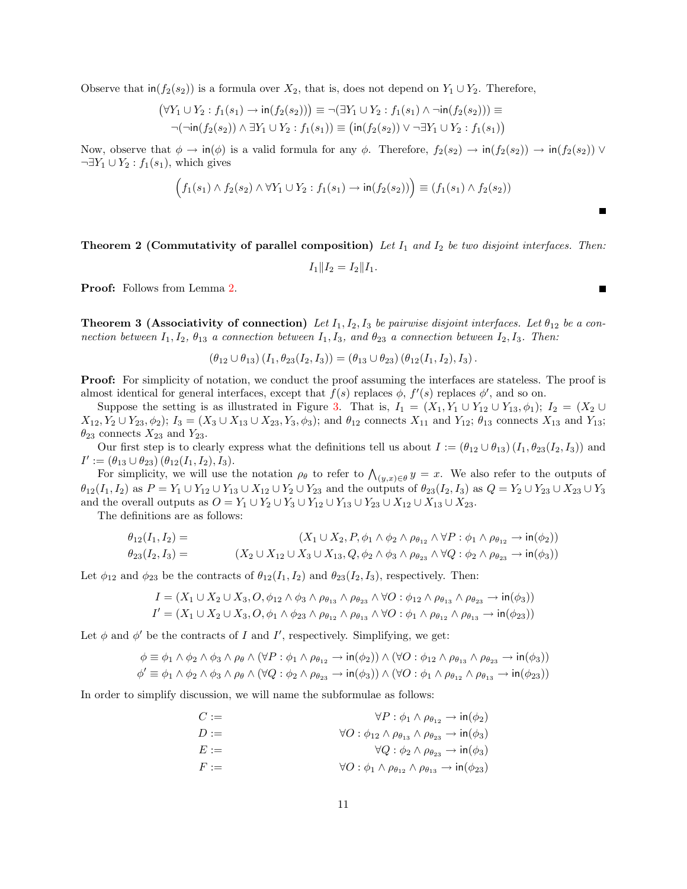Observe that  $\text{in}(f_2(s_2))$  is a formula over  $X_2$ , that is, does not depend on  $Y_1 \cup Y_2$ . Therefore,

$$
(\forall Y_1 \cup Y_2 : f_1(s_1) \to \text{in}(f_2(s_2))) \equiv \neg(\exists Y_1 \cup Y_2 : f_1(s_1) \land \neg \text{in}(f_2(s_2))) \equiv \neg(\neg \text{in}(f_2(s_2)) \land \exists Y_1 \cup Y_2 : f_1(s_1)) \equiv (\text{in}(f_2(s_2)) \lor \neg \exists Y_1 \cup Y_2 : f_1(s_1))
$$

Now, observe that  $\phi \to \text{in}(\phi)$  is a valid formula for any  $\phi$ . Therefore,  $f_2(s_2) \to \text{in}(f_2(s_2)) \to \text{in}(f_2(s_2)) \vee \text{in}(f_2(s_2))$  $\neg \exists Y_1 \cup Y_2 : f_1(s_1)$ , which gives

$$
(f_1(s_1) \wedge f_2(s_2) \wedge \forall Y_1 \cup Y_2 : f_1(s_1) \rightarrow \text{in}(f_2(s_2)) \equiv (f_1(s_1) \wedge f_2(s_2))
$$

**Theorem 2 (Commutativity of parallel composition)** Let  $I_1$  and  $I_2$  be two disjoint interfaces. Then:

 $I_1||I_2 = I_2||I_1.$ 

Proof: Follows from Lemma [2.](#page-9-1)

<span id="page-10-0"></span>**Theorem 3 (Associativity of connection)** Let  $I_1, I_2, I_3$  be pairwise disjoint interfaces. Let  $\theta_{12}$  be a connection between  $I_1, I_2, \theta_{13}$  a connection between  $I_1, I_3$ , and  $\theta_{23}$  a connection between  $I_2, I_3$ . Then:

$$
(\theta_{12}\cup\theta_{13}) (I_1, \theta_{23}(I_2, I_3)) = (\theta_{13}\cup\theta_{23}) (\theta_{12}(I_1, I_2), I_3).
$$

**Proof:** For simplicity of notation, we conduct the proof assuming the interfaces are stateless. The proof is almost identical for general interfaces, except that  $f(s)$  replaces  $\phi$ ,  $f'(s)$  replaces  $\phi'$ , and so on.

Suppose the setting is as illustrated in Figure [3.](#page-12-0) That is,  $I_1 = (X_1, Y_1 \cup Y_{12} \cup Y_{13}, \phi_1); I_2 = (X_2 \cup Y_{13}, \phi_1)$  $X_{12}, Y_2 \cup Y_{23}, \phi_2$ ;  $I_3 = (X_3 \cup X_{13} \cup X_{23}, Y_3, \phi_3)$ ; and  $\theta_{12}$  connects  $X_{11}$  and  $Y_{12}$ ;  $\theta_{13}$  connects  $X_{13}$  and  $Y_{13}$ ;  $\theta_{23}$  connects  $X_{23}$  and  $Y_{23}$ .

Our first step is to clearly express what the definitions tell us about  $I := (\theta_{12} \cup \theta_{13}) (I_1, \theta_{23}(I_2, I_3))$  and  $I' := (\theta_{13} \cup \theta_{23}) (\theta_{12}(I_1, I_2), I_3).$ 

For simplicity, we will use the notation  $\rho_\theta$  to refer to  $\bigwedge_{(y,x)\in\theta} y = x$ . We also refer to the outputs of  $\theta_{12}(I_1, I_2)$  as  $P = Y_1 \cup Y_{12} \cup Y_{13} \cup X_{12} \cup Y_2 \cup Y_{23}$  and the outputs of  $\theta_{23}(I_2, I_3)$  as  $Q = Y_2 \cup Y_{23} \cup X_{23} \cup Y_3$ and the overall outputs as  $O = Y_1 \cup Y_2 \cup Y_3 \cup Y_{12} \cup Y_{13} \cup Y_{23} \cup X_{12} \cup X_{13} \cup X_{23}$ .

The definitions are as follows:

$$
\theta_{12}(I_1, I_2) = (X_1 \cup X_2, P, \phi_1 \wedge \phi_2 \wedge \rho_{\theta_{12}} \wedge \forall P : \phi_1 \wedge \rho_{\theta_{12}} \rightarrow \text{in}(\phi_2))
$$
  

$$
\theta_{23}(I_2, I_3) = (X_2 \cup X_{12} \cup X_3 \cup X_{13}, Q, \phi_2 \wedge \phi_3 \wedge \rho_{\theta_{23}} \wedge \forall Q : \phi_2 \wedge \rho_{\theta_{23}} \rightarrow \text{in}(\phi_3))
$$

Let  $\phi_{12}$  and  $\phi_{23}$  be the contracts of  $\theta_{12}(I_1, I_2)$  and  $\theta_{23}(I_2, I_3)$ , respectively. Then:

$$
I = (X_1 \cup X_2 \cup X_3, O, \phi_{12} \wedge \phi_3 \wedge \rho_{\theta_{13}} \wedge \rho_{\theta_{23}} \wedge \forall O : \phi_{12} \wedge \rho_{\theta_{13}} \wedge \rho_{\theta_{23}} \rightarrow in(\phi_3))
$$
  

$$
I' = (X_1 \cup X_2 \cup X_3, O, \phi_1 \wedge \phi_{23} \wedge \rho_{\theta_{12}} \wedge \rho_{\theta_{13}} \wedge \forall O : \phi_1 \wedge \rho_{\theta_{12}} \wedge \rho_{\theta_{13}} \rightarrow in(\phi_{23}))
$$

Let  $\phi$  and  $\phi'$  be the contracts of I and I', respectively. Simplifying, we get:

$$
\phi \equiv \phi_1 \land \phi_2 \land \phi_3 \land \rho_\theta \land (\forall P : \phi_1 \land \rho_{\theta_{12}} \to \text{in}(\phi_2)) \land (\forall O : \phi_{12} \land \rho_{\theta_{13}} \land \rho_{\theta_{23}} \to \text{in}(\phi_3))
$$
  

$$
\phi' \equiv \phi_1 \land \phi_2 \land \phi_3 \land \rho_\theta \land (\forall Q : \phi_2 \land \rho_{\theta_{23}} \to \text{in}(\phi_3)) \land (\forall O : \phi_1 \land \rho_{\theta_{12}} \land \rho_{\theta_{13}} \to \text{in}(\phi_{23}))
$$

In order to simplify discussion, we will name the subformulae as follows:

$$
C := \forall P : \phi_1 \land \rho_{\theta_{12}} \to \text{in}(\phi_2)
$$
  
\n
$$
D := \forall O : \phi_{12} \land \rho_{\theta_{13}} \land \rho_{\theta_{23}} \to \text{in}(\phi_3)
$$
  
\n
$$
E := \forall Q : \phi_2 \land \rho_{\theta_{23}} \to \text{in}(\phi_3)
$$
  
\n
$$
F := \forall O : \phi_1 \land \rho_{\theta_{12}} \land \rho_{\theta_{13}} \to \text{in}(\phi_{23})
$$

Е

Г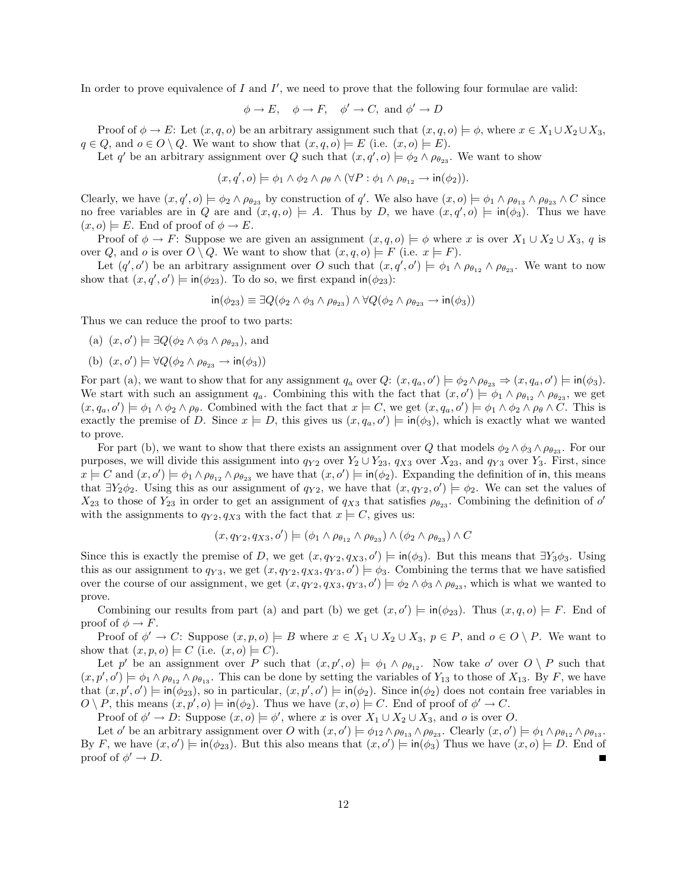In order to prove equivalence of  $I$  and  $I'$ , we need to prove that the following four formulae are valid:

$$
\phi \to E
$$
,  $\phi \to F$ ,  $\phi' \to C$ , and  $\phi' \to D$ 

Proof of  $\phi \to E$ : Let  $(x, q, o)$  be an arbitrary assignment such that  $(x, q, o) \models \phi$ , where  $x \in X_1 \cup X_2 \cup X_3$ ,  $q \in Q$ , and  $o \in O \setminus Q$ . We want to show that  $(x, q, o) \models E$  (i.e.  $(x, o) \models E$ ).

Let q' be an arbitrary assignment over Q such that  $(x, q', o) \models \phi_2 \land \rho_{\theta_{23}}$ . We want to show

$$
(x,q',o) \models \phi_1 \land \phi_2 \land \rho_\theta \land (\forall P : \phi_1 \land \rho_{\theta_{12}} \rightarrow \text{in}(\phi_2)).
$$

Clearly, we have  $(x, q', o) \models \phi_2 \land \rho_{\theta_{23}}$  by construction of q'. We also have  $(x, o) \models \phi_1 \land \rho_{\theta_{13}} \land \rho_{\theta_{23}} \land C$  since no free variables are in Q are and  $(x,q,o) \models A$ . Thus by D, we have  $(x,q',o) \models \text{in}(\phi_3)$ . Thus we have  $(x, o) \models E$ . End of proof of  $\phi \rightarrow E$ .

Proof of  $\phi \to F$ : Suppose we are given an assignment  $(x, q, o) \models \phi$  where x is over  $X_1 \cup X_2 \cup X_3$ , q is over Q, and o is over  $O \setminus Q$ . We want to show that  $(x, q, o) \models F$  (i.e.  $x \models F$ ).

Let  $(q', o')$  be an arbitrary assignment over O such that  $(x, q', o') \models \phi_1 \land \rho_{\theta_{12}} \land \rho_{\theta_{23}}$ . We want to now show that  $(x, q', o') \models \text{in}(\phi_{23})$ . To do so, we first expand  $\text{in}(\phi_{23})$ :

$$
\text{in}(\phi_{23}) \equiv \exists Q(\phi_2 \land \phi_3 \land \rho_{\theta_{23}}) \land \forall Q(\phi_2 \land \rho_{\theta_{23}} \to \text{in}(\phi_3))
$$

Thus we can reduce the proof to two parts:

- (a)  $(x, o') \models \exists Q(\phi_2 \land \phi_3 \land \rho_{\theta_{23}})$ , and
- (b)  $(x, o') \models \forall Q(\phi_2 \land \rho_{\theta_{23}} \rightarrow \text{in}(\phi_3))$

For part (a), we want to show that for any assignment  $q_a$  over  $Q: (x, q_a, o') \models \phi_2 \land \rho_{\theta_{23}} \Rightarrow (x, q_a, o') \models \text{in}(\phi_3)$ . We start with such an assignment  $q_a$ . Combining this with the fact that  $(x, o') \models \phi_1 \land \rho_{\theta_{12}} \land \rho_{\theta_{23}}$ , we get  $(x, q_a, o') \models \phi_1 \land \phi_2 \land \rho_\theta$ . Combined with the fact that  $x \models C$ , we get  $(x, q_a, o') \models \phi_1 \land \phi_2 \land \rho_\theta \land C$ . This is exactly the premise of D. Since  $x \models D$ , this gives us  $(x, q_a, o') \models \text{in}(\phi_3)$ , which is exactly what we wanted to prove.

For part (b), we want to show that there exists an assignment over Q that models  $\phi_2 \wedge \phi_3 \wedge \rho_{\theta_{23}}$ . For our purposes, we will divide this assignment into  $q_{Y2}$  over  $Y_2 \cup Y_{23}$ ,  $q_{X3}$  over  $X_{23}$ , and  $q_{Y3}$  over  $Y_3$ . First, since  $x \models C$  and  $(x, o') \models \phi_1 \land \rho_{\theta_{12}} \land \rho_{\theta_{23}}$  we have that  $(x, o') \models \text{in}(\phi_2)$ . Expanding the definition of in, this means that  $\exists Y_2 \phi_2$ . Using this as our assignment of  $q_{Y2}$ , we have that  $(x, q_{Y2}, o') \models \phi_2$ . We can set the values of  $X_{23}$  to those of  $Y_{23}$  in order to get an assignment of  $q_{X3}$  that satisfies  $\rho_{\theta_{23}}$ . Combining the definition of  $o'$ with the assignments to  $q_{Y2}, q_{X3}$  with the fact that  $x \models C$ , gives us:

$$
(x, q_{Y2}, q_{X3}, o') \models (\phi_1 \land \rho_{\theta_{12}} \land \rho_{\theta_{23}}) \land (\phi_2 \land \rho_{\theta_{23}}) \land C
$$

Since this is exactly the premise of D, we get  $(x, q_{Y2}, q_{X3}, o') \models \text{in}(\phi_3)$ . But this means that  $\exists Y_3 \phi_3$ . Using this as our assignment to  $q_{Y3}$ , we get  $(x, q_{Y2}, q_{X3}, q_{Y3}, o') \models \phi_3$ . Combining the terms that we have satisfied over the course of our assignment, we get  $(x, q_{Y2}, q_{X3}, q_{Y3}, o') \models \phi_2 \land \phi_3 \land \rho_{\theta_{23}}$ , which is what we wanted to prove.

Combining our results from part (a) and part (b) we get  $(x, o') \models \text{in}(\phi_{23})$ . Thus  $(x, q, o) \models F$ . End of proof of  $\phi \rightarrow F$ .

Proof of  $\phi' \to C$ : Suppose  $(x, p, o) \models B$  where  $x \in X_1 \cup X_2 \cup X_3$ ,  $p \in P$ , and  $o \in O \setminus P$ . We want to show that  $(x, p, o) \models C$  (i.e.  $(x, o) \models C$ ).

Let p' be an assignment over P such that  $(x, p', o) \models \phi_1 \land \rho_{\theta_{12}}$ . Now take o' over  $O \setminus P$  such that  $(x, p', o') \models \phi_1 \land \rho_{\theta_{12}} \land \rho_{\theta_{13}}$ . This can be done by setting the variables of  $Y_{13}$  to those of  $X_{13}$ . By F, we have that  $(x, p', o') \models \text{in}(\phi_{23})$ , so in particular,  $(x, p', o') \models \text{in}(\phi_{2})$ . Since  $\text{in}(\phi_{2})$  does not contain free variables in  $O \setminus P$ , this means  $(x, p', o) \models \text{in}(\phi_2)$ . Thus we have  $(x, o) \models C$ . End of proof of  $\phi' \rightarrow C$ .

Proof of  $\phi' \to D$ : Suppose  $(x, o) \models \phi'$ , where x is over  $X_1 \cup X_2 \cup X_3$ , and o is over O.

<span id="page-11-0"></span>Let o' be an arbitrary assignment over O with  $(x, o') \models \phi_{12} \land \rho_{\theta_{13}} \land \rho_{\theta_{23}}$ . Clearly  $(x, o') \models \phi_1 \land \rho_{\theta_{12}} \land \rho_{\theta_{13}}$ . By F, we have  $(x, o') \models in(\phi_{23})$ . But this also means that  $(x, o') \models in(\phi_{3})$  Thus we have  $(x, o) \models D$ . End of proof of  $\phi' \to D$ .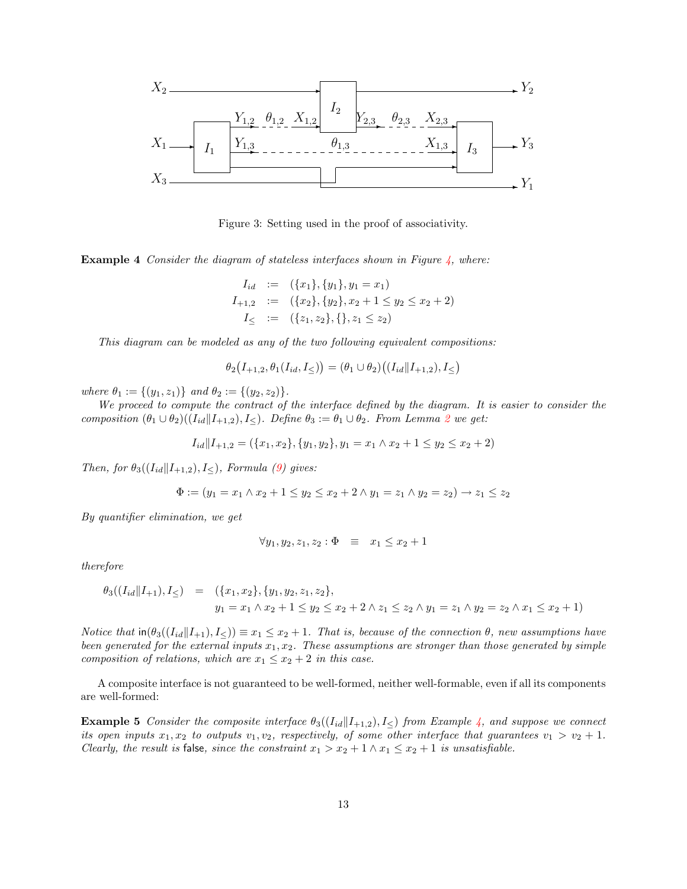

<span id="page-12-0"></span>Figure 3: Setting used in the proof of associativity.

**Example 4** Consider the diagram of stateless interfaces shown in Figure  $\frac{1}{4}$ , where:

$$
I_{id} := (\{x_1\}, \{y_1\}, y_1 = x_1)
$$
  
\n
$$
I_{+1,2} := (\{x_2\}, \{y_2\}, x_2 + 1 \le y_2 \le x_2 + 2)
$$
  
\n
$$
I_{\le} := (\{z_1, z_2\}, \{\}, z_1 \le z_2)
$$

This diagram can be modeled as any of the two following equivalent compositions:

$$
\theta_2(I_{+1,2}, \theta_1(I_{id}, I_{\leq})) = (\theta_1 \cup \theta_2)((I_{id} || I_{+1,2}), I_{\leq})
$$

where  $\theta_1 := \{(y_1, z_1)\}$  and  $\theta_2 := \{(y_2, z_2)\}.$ 

We proceed to compute the contract of the interface defined by the diagram. It is easier to consider the composition  $(\theta_1 \cup \theta_2)((I_{id} | I_{+1,2}), I_{\leq}).$  $(\theta_1 \cup \theta_2)((I_{id} | I_{+1,2}), I_{\leq}).$  $(\theta_1 \cup \theta_2)((I_{id} | I_{+1,2}), I_{\leq}).$  Define  $\theta_3 := \theta_1 \cup \theta_2$ . From Lemma 2 we get:

$$
I_{id}||I_{+1,2} = (\{x_1, x_2\}, \{y_1, y_2\}, y_1 = x_1 \land x_2 + 1 \le y_2 \le x_2 + 2)
$$

Then, for  $\theta_3((I_{id}||I_{+1,2}), I_{\leq})$ , Formula [\(9\)](#page-9-0) gives:

$$
\Phi := (y_1 = x_1 \land x_2 + 1 \le y_2 \le x_2 + 2 \land y_1 = z_1 \land y_2 = z_2) \to z_1 \le z_2
$$

By quantifier elimination, we get

$$
\forall y_1, y_2, z_1, z_2 : \Phi \equiv x_1 \le x_2 + 1
$$

therefore

$$
\theta_3((I_{id}||I_{+1}), I_{\le}) = (\{x_1, x_2\}, \{y_1, y_2, z_1, z_2\},
$$
  

$$
y_1 = x_1 \wedge x_2 + 1 \le y_2 \le x_2 + 2 \wedge z_1 \le z_2 \wedge y_1 = z_1 \wedge y_2 = z_2 \wedge x_1 \le x_2 + 1)
$$

Notice that  $\text{in}(\theta_3((I_{id}||I_{+1}), I_{\leq})) \equiv x_1 \leq x_2 + 1$ . That is, because of the connection  $\theta$ , new assumptions have been generated for the external inputs  $x_1, x_2$ . These assumptions are stronger than those generated by simple composition of relations, which are  $x_1 \le x_2 + 2$  in this case.

A composite interface is not guaranteed to be well-formed, neither well-formable, even if all its components are well-formed:

**Example 5** Consider the composite interface  $\theta_3(I_{id} | I_{+1,2}), I_{\leq}$  from Example [4,](#page-11-0) and suppose we connect its open inputs  $x_1, x_2$  to outputs  $v_1, v_2$ , respectively, of some other interface that guarantees  $v_1 > v_2 + 1$ . Clearly, the result is false, since the constraint  $x_1 > x_2 + 1 \wedge x_1 \le x_2 + 1$  is unsatisfiable.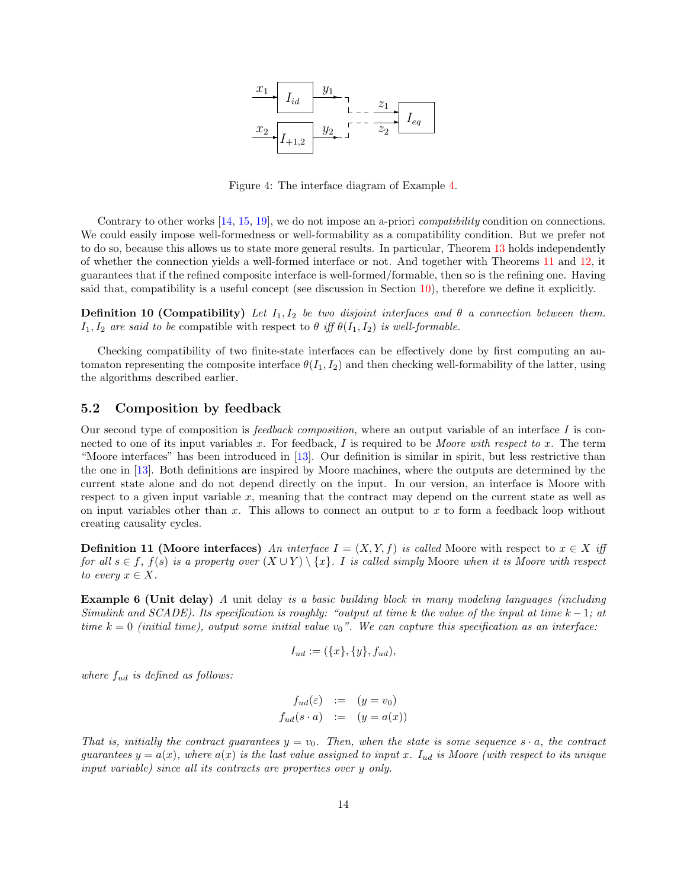

<span id="page-13-0"></span>Figure 4: The interface diagram of Example [4.](#page-11-0)

Contrary to other works [\[14,](#page-37-0) [15,](#page-37-1) [19\]](#page-37-4), we do not impose an a-priori *compatibility* condition on connections. We could easily impose well-formedness or well-formability as a compatibility condition. But we prefer not to do so, because this allows us to state more general results. In particular, Theorem [13](#page-24-0) holds independently of whether the connection yields a well-formed interface or not. And together with Theorems [11](#page-23-0) and [12,](#page-23-1) it guarantees that if the refined composite interface is well-formed/formable, then so is the refining one. Having said that, compatibility is a useful concept (see discussion in Section [10\)](#page-32-0), therefore we define it explicitly.

**Definition 10 (Compatibility)** Let  $I_1, I_2$  be two disjoint interfaces and  $\theta$  a connection between them.  $I_1, I_2$  are said to be compatible with respect to  $\theta$  iff  $\theta(I_1, I_2)$  is well-formable.

Checking compatibility of two finite-state interfaces can be effectively done by first computing an automaton representing the composite interface  $\theta(I_1, I_2)$  and then checking well-formability of the latter, using the algorithms described earlier.

### <span id="page-13-2"></span>5.2 Composition by feedback

Our second type of composition is *feedback composition*, where an output variable of an interface I is connected to one of its input variables  $x$ . For feedback,  $I$  is required to be Moore with respect to  $x$ . The term "Moore interfaces" has been introduced in [\[13\]](#page-37-14). Our definition is similar in spirit, but less restrictive than the one in [\[13\]](#page-37-14). Both definitions are inspired by Moore machines, where the outputs are determined by the current state alone and do not depend directly on the input. In our version, an interface is Moore with respect to a given input variable  $x$ , meaning that the contract may depend on the current state as well as on input variables other than  $x$ . This allows to connect an output to  $x$  to form a feedback loop without creating causality cycles.

**Definition 11 (Moore interfaces)** An interface  $I = (X, Y, f)$  is called Moore with respect to  $x \in X$  iff for all  $s \in f$ ,  $f(s)$  is a property over  $(X \cup Y) \setminus \{x\}$ . I is called simply Moore when it is Moore with respect to every  $x \in X$ .

**Example 6 (Unit delay)** A unit delay is a basic building block in many modeling languages (including Simulink and SCADE). Its specification is roughly: "output at time k the value of the input at time  $k-1$ ; at time  $k = 0$  (initial time), output some initial value  $v_0$ ". We can capture this specification as an interface:

$$
I_{ud} := (\{x\}, \{y\}, f_{ud}),
$$

where  $f_{ud}$  is defined as follows:

$$
f_{ud}(\varepsilon) := (y = v_0)
$$
  

$$
f_{ud}(s \cdot a) := (y = a(x))
$$

<span id="page-13-1"></span>That is, initially the contract guarantees  $y = v_0$ . Then, when the state is some sequence  $s \cdot a$ , the contract guarantees  $y = a(x)$ , where  $a(x)$  is the last value assigned to input x.  $I_{ud}$  is Moore (with respect to its unique input variable) since all its contracts are properties over y only.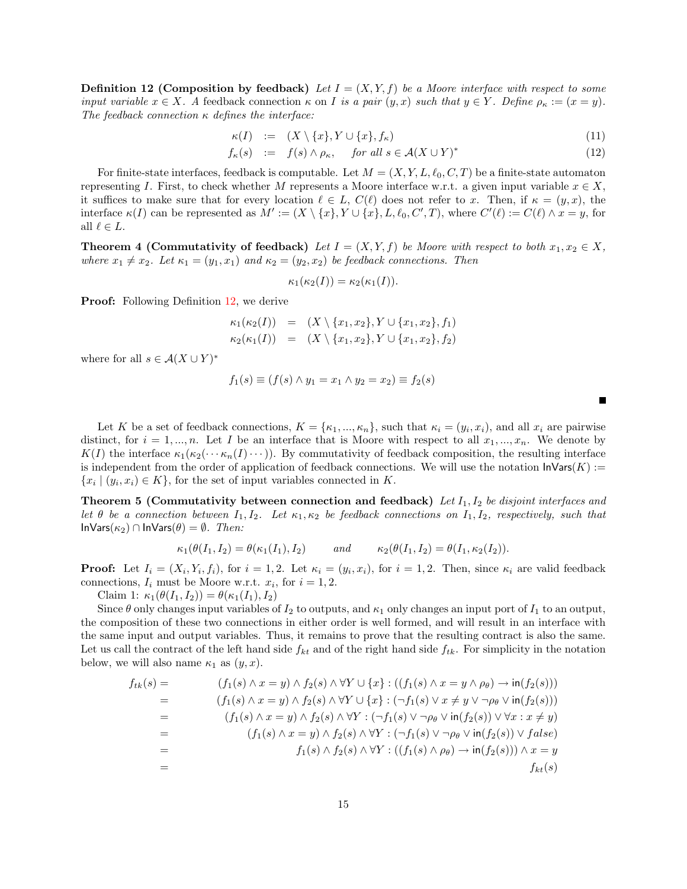**Definition 12 (Composition by feedback)** Let  $I = (X, Y, f)$  be a Moore interface with respect to some input variable  $x \in X$ . A feedback connection  $\kappa$  on I is a pair  $(y, x)$  such that  $y \in Y$ . Define  $\rho_{\kappa} := (x = y)$ . The feedback connection  $\kappa$  defines the interface:

$$
\kappa(I) := (X \setminus \{x\}, Y \cup \{x\}, f_{\kappa}) \tag{11}
$$

$$
f_{\kappa}(s) := f(s) \wedge \rho_{\kappa}, \quad \text{for all } s \in \mathcal{A}(X \cup Y)^{*}
$$
 (12)

For finite-state interfaces, feedback is computable. Let  $M = (X, Y, L, \ell_0, C, T)$  be a finite-state automaton representing I. First, to check whether M represents a Moore interface w.r.t. a given input variable  $x \in X$ , it suffices to make sure that for every location  $\ell \in L$ ,  $C(\ell)$  does not refer to x. Then, if  $\kappa = (y, x)$ , the interface  $\kappa(I)$  can be represented as  $M' := (X \setminus \{x\}, Y \cup \{x\}, L, \ell_0, C', T)$ , where  $C'(\ell) := C(\ell) \wedge x = y$ , for all  $\ell \in L$ .

<span id="page-14-0"></span>**Theorem 4 (Commutativity of feedback)** Let  $I = (X, Y, f)$  be Moore with respect to both  $x_1, x_2 \in X$ , where  $x_1 \neq x_2$ . Let  $\kappa_1 = (y_1, x_1)$  and  $\kappa_2 = (y_2, x_2)$  be feedback connections. Then

$$
\kappa_1(\kappa_2(I)) = \kappa_2(\kappa_1(I)).
$$

Proof: Following Definition [12,](#page-13-1) we derive

$$
\kappa_1(\kappa_2(I)) = (X \setminus \{x_1, x_2\}, Y \cup \{x_1, x_2\}, f_1) \kappa_2(\kappa_1(I)) = (X \setminus \{x_1, x_2\}, Y \cup \{x_1, x_2\}, f_2)
$$

where for all  $s \in \mathcal{A}(X \cup Y)^*$ 

$$
f_1(s) \equiv (f(s) \land y_1 = x_1 \land y_2 = x_2) \equiv f_2(s)
$$

Let K be a set of feedback connections,  $K = \{\kappa_1, ..., \kappa_n\}$ , such that  $\kappa_i = (y_i, x_i)$ , and all  $x_i$  are pairwise distinct, for  $i = 1, ..., n$ . Let I be an interface that is Moore with respect to all  $x_1, ..., x_n$ . We denote by  $K(I)$  the interface  $\kappa_1(\kappa_2(\cdots \kappa_n(I)\cdots))$ . By commutativity of feedback composition, the resulting interface is independent from the order of application of feedback connections. We will use the notation  $\mathsf{InVars}(K) :=$  $\{x_i \mid (y_i, x_i) \in K\}$ , for the set of input variables connected in K.

<span id="page-14-1"></span>Theorem 5 (Commutativity between connection and feedback) Let  $I_1, I_2$  be disjoint interfaces and let  $\theta$  be a connection between  $I_1, I_2$ . Let  $\kappa_1, \kappa_2$  be feedback connections on  $I_1, I_2$ , respectively, such that InVars( $\kappa_2$ ) ∩ InVars( $\theta$ ) =  $\emptyset$ . *Then:* 

$$
\kappa_1(\theta(I_1, I_2) = \theta(\kappa_1(I_1), I_2) \quad \text{and} \quad \kappa_2(\theta(I_1, I_2) = \theta(I_1, \kappa_2(I_2)).
$$

**Proof:** Let  $I_i = (X_i, Y_i, f_i)$ , for  $i = 1, 2$ . Let  $\kappa_i = (y_i, x_i)$ , for  $i = 1, 2$ . Then, since  $\kappa_i$  are valid feedback connections,  $I_i$  must be Moore w.r.t.  $x_i$ , for  $i = 1, 2$ .

Claim 1:  $\kappa_1(\theta(I_1, I_2)) = \theta(\kappa_1(I_1), I_2)$ 

Since  $\theta$  only changes input variables of  $I_2$  to outputs, and  $\kappa_1$  only changes an input port of  $I_1$  to an output, the composition of these two connections in either order is well formed, and will result in an interface with the same input and output variables. Thus, it remains to prove that the resulting contract is also the same. Let us call the contract of the left hand side  $f_{kt}$  and of the right hand side  $f_{tk}$ . For simplicity in the notation below, we will also name  $\kappa_1$  as  $(y, x)$ .

$$
f_{tk}(s) = (f_1(s) \land x = y) \land f_2(s) \land \forall Y \cup \{x\} : ((f_1(s) \land x = y \land \rho_{\theta}) \to \text{in}(f_2(s)))
$$
  
\n
$$
= (f_1(s) \land x = y) \land f_2(s) \land \forall Y \cup \{x\} : (\neg f_1(s) \lor x \neq y \lor \neg \rho_{\theta} \lor \text{in}(f_2(s)))
$$
  
\n
$$
= (f_1(s) \land x = y) \land f_2(s) \land \forall Y : (\neg f_1(s) \lor \neg \rho_{\theta} \lor \text{in}(f_2(s)) \lor \forall x : x \neq y)
$$
  
\n
$$
= (f_1(s) \land x = y) \land f_2(s) \land \forall Y : (\neg f_1(s) \lor \neg \rho_{\theta} \lor \text{in}(f_2(s)) \lor false)
$$
  
\n
$$
= f_1(s) \land f_2(s) \land \forall Y : ((f_1(s) \land \rho_{\theta}) \to \text{in}(f_2(s))) \land x = y
$$
  
\n
$$
f_{kt}(s)
$$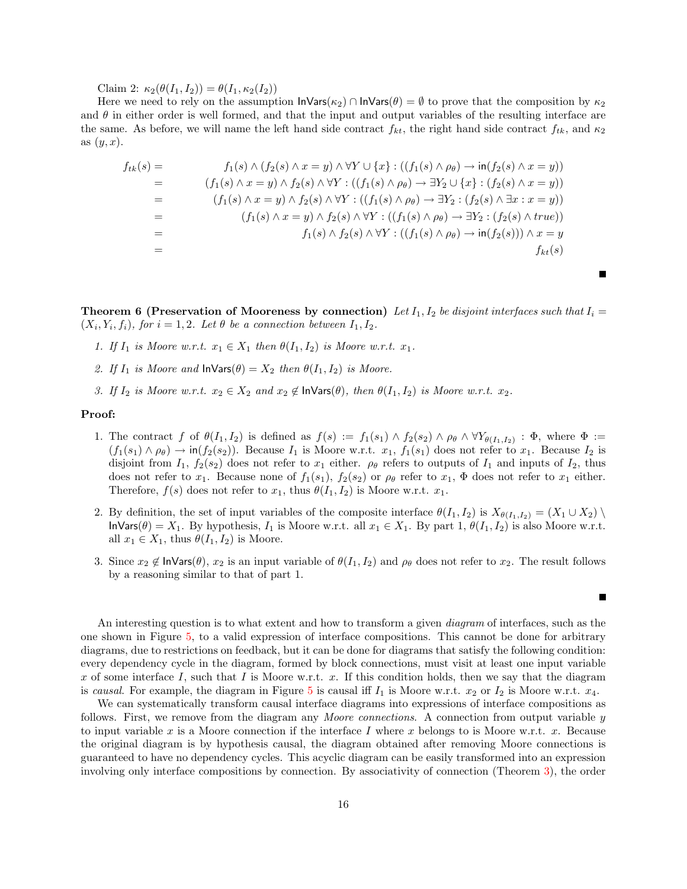Claim 2:  $\kappa_2(\theta(I_1, I_2)) = \theta(I_1, \kappa_2(I_2))$ 

Here we need to rely on the assumption  $\ln \text{Vars}(\kappa_2) \cap \text{Invars}(\theta) = \emptyset$  to prove that the composition by  $\kappa_2$ and  $\theta$  in either order is well formed, and that the input and output variables of the resulting interface are the same. As before, we will name the left hand side contract  $f_{kt}$ , the right hand side contract  $f_{tk}$ , and  $\kappa_2$ as  $(y, x)$ .

$$
f_{tk}(s) = f_1(s) \wedge (f_2(s) \wedge x = y) \wedge \forall Y \cup \{x\} : ((f_1(s) \wedge \rho_\theta) \rightarrow \text{in}(f_2(s) \wedge x = y))
$$
  
\n
$$
= (f_1(s) \wedge x = y) \wedge f_2(s) \wedge \forall Y : ((f_1(s) \wedge \rho_\theta) \rightarrow \exists Y_2 \cup \{x\} : (f_2(s) \wedge x = y))
$$
  
\n
$$
= (f_1(s) \wedge x = y) \wedge f_2(s) \wedge \forall Y : ((f_1(s) \wedge \rho_\theta) \rightarrow \exists Y_2 : (f_2(s) \wedge \exists x : x = y))
$$
  
\n
$$
= (f_1(s) \wedge x = y) \wedge f_2(s) \wedge \forall Y : ((f_1(s) \wedge \rho_\theta) \rightarrow \exists Y_2 : (f_2(s) \wedge true))
$$
  
\n
$$
= f_1(s) \wedge f_2(s) \wedge \forall Y : ((f_1(s) \wedge \rho_\theta) \rightarrow \text{in}(f_2(s))) \wedge x = y
$$
  
\n
$$
= f_{kt}(s)
$$

<span id="page-15-0"></span>**Theorem 6 (Preservation of Mooreness by connection)** Let  $I_1$ ,  $I_2$  be disjoint interfaces such that  $I_i =$  $(X_i, Y_i, f_i)$ , for  $i = 1, 2$ . Let  $\theta$  be a connection between  $I_1, I_2$ .

- 1. If  $I_1$  is Moore w.r.t.  $x_1 \in X_1$  then  $\theta(I_1, I_2)$  is Moore w.r.t.  $x_1$ .
- 2. If  $I_1$  is Moore and  $\mathsf{Inv}\mathsf{args}(\theta) = X_2$  then  $\theta(I_1, I_2)$  is Moore.
- 3. If  $I_2$  is Moore w.r.t.  $x_2 \in X_2$  and  $x_2 \notin \mathsf{InVars}(\theta)$ , then  $\theta(I_1, I_2)$  is Moore w.r.t.  $x_2$ .

### Proof:

- 1. The contract f of  $\theta(I_1,I_2)$  is defined as  $f(s) := f_1(s_1) \wedge f_2(s_2) \wedge \rho_\theta \wedge \forall Y_{\theta(I_1,I_2)} : \Phi$ , where  $\Phi :=$  $(f_1(s_1) \wedge \rho_\theta) \rightarrow \text{in}(f_2(s_2))$ . Because  $I_1$  is Moore w.r.t.  $x_1, f_1(s_1)$  does not refer to  $x_1$ . Because  $I_2$  is disjoint from  $I_1$ ,  $f_2(s_2)$  does not refer to  $x_1$  either.  $\rho_\theta$  refers to outputs of  $I_1$  and inputs of  $I_2$ , thus does not refer to  $x_1$ . Because none of  $f_1(s_1)$ ,  $f_2(s_2)$  or  $\rho_\theta$  refer to  $x_1$ ,  $\Phi$  does not refer to  $x_1$  either. Therefore,  $f(s)$  does not refer to  $x_1$ , thus  $\theta(I_1, I_2)$  is Moore w.r.t.  $x_1$ .
- 2. By definition, the set of input variables of the composite interface  $\theta(I_1, I_2)$  is  $X_{\theta(I_1, I_2)} = (X_1 \cup X_2) \setminus$  $\textsf{InvVars}(\theta) = X_1$ . By hypothesis,  $I_1$  is Moore w.r.t. all  $x_1 \in X_1$ . By part 1,  $\theta(I_1, I_2)$  is also Moore w.r.t. all  $x_1 \in X_1$ , thus  $\theta(I_1, I_2)$  is Moore.
- 3. Since  $x_2 \notin \text{InVars}(\theta)$ ,  $x_2$  is an input variable of  $\theta(I_1, I_2)$  and  $\rho_\theta$  does not refer to  $x_2$ . The result follows by a reasoning similar to that of part 1.

Г

An interesting question is to what extent and how to transform a given *diagram* of interfaces, such as the one shown in Figure [5,](#page-16-0) to a valid expression of interface compositions. This cannot be done for arbitrary diagrams, due to restrictions on feedback, but it can be done for diagrams that satisfy the following condition: every dependency cycle in the diagram, formed by block connections, must visit at least one input variable x of some interface I, such that I is Moore w.r.t. x. If this condition holds, then we say that the diagram is causal. For example, the diagram in Figure [5](#page-16-0) is causal iff  $I_1$  is Moore w.r.t.  $x_2$  or  $I_2$  is Moore w.r.t.  $x_4$ .

We can systematically transform causal interface diagrams into expressions of interface compositions as follows. First, we remove from the diagram any *Moore connections*. A connection from output variable y to input variable x is a Moore connection if the interface I where x belongs to is Moore w.r.t. x. Because the original diagram is by hypothesis causal, the diagram obtained after removing Moore connections is guaranteed to have no dependency cycles. This acyclic diagram can be easily transformed into an expression involving only interface compositions by connection. By associativity of connection (Theorem [3\)](#page-10-0), the order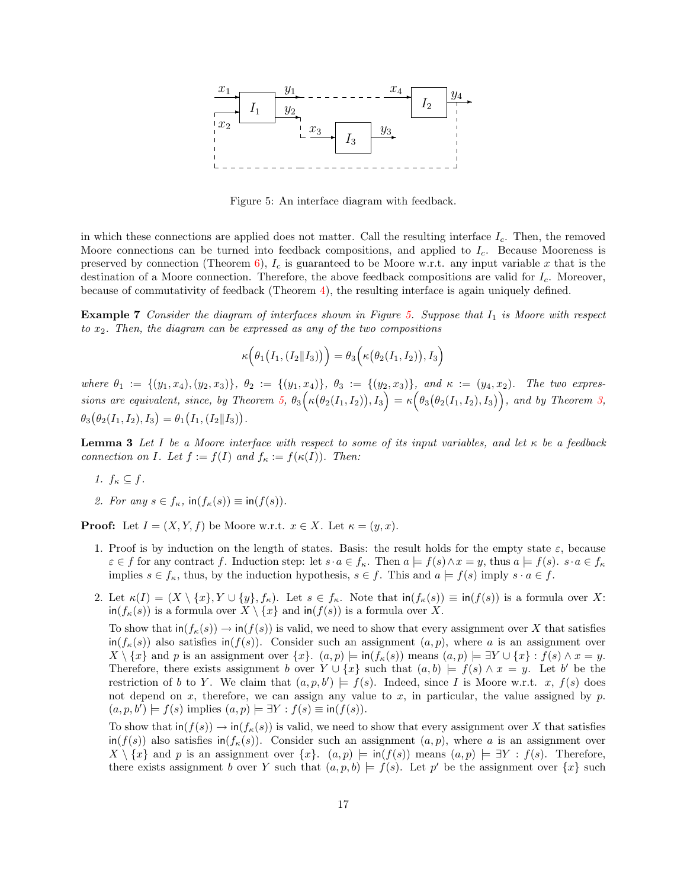

<span id="page-16-0"></span>Figure 5: An interface diagram with feedback.

in which these connections are applied does not matter. Call the resulting interface  $I_c$ . Then, the removed Moore connections can be turned into feedback compositions, and applied to  $I_c$ . Because Mooreness is preserved by connection (Theorem [6\)](#page-15-0),  $I_c$  is guaranteed to be Moore w.r.t. any input variable x that is the destination of a Moore connection. Therefore, the above feedback compositions are valid for  $I_c$ . Moreover, because of commutativity of feedback (Theorem [4\)](#page-14-0), the resulting interface is again uniquely defined.

**Example 7** Consider the diagram of interfaces shown in Figure [5.](#page-16-0) Suppose that  $I_1$  is Moore with respect to  $x_2$ . Then, the diagram can be expressed as any of the two compositions

$$
\kappa\Big(\theta_1\big(I_1,(I_2||I_3)\big)\Big)=\theta_3\Big(\kappa\big(\theta_2(I_1,I_2)\big),I_3\Big)
$$

where  $\theta_1 := \{(y_1, x_4), (y_2, x_3)\}, \ \theta_2 := \{(y_1, x_4)\}, \ \theta_3 := \{(y_2, x_3)\}, \ \text{and } \kappa := (y_4, x_2)$ . The two expres-sions are equivalent, since, by Theorem [5,](#page-14-1)  $\theta_3(\kappa(\theta_2(I_1,I_2)),I_3) = \kappa(\theta_3(\theta_2(I_1,I_2),I_3)),$  and by Theorem [3,](#page-10-0)  $\theta_3(\theta_2(I_1, I_2), I_3) = \theta_1(I_1, (I_2||I_3)).$ 

<span id="page-16-2"></span>**Lemma 3** Let I be a Moore interface with respect to some of its input variables, and let  $\kappa$  be a feedback connection on I. Let  $f := f(I)$  and  $f_{\kappa} := f(\kappa(I))$ . Then:

- <span id="page-16-1"></span>1.  $f_{\kappa} \subseteq f$ .
- <span id="page-16-3"></span>2. For any  $s \in f_{\kappa}$ ,  $\text{in}(f_{\kappa}(s)) \equiv \text{in}(f(s)).$

**Proof:** Let  $I = (X, Y, f)$  be Moore w.r.t.  $x \in X$ . Let  $\kappa = (y, x)$ .

- 1. Proof is by induction on the length of states. Basis: the result holds for the empty state  $\varepsilon$ , because  $\varepsilon \in f$  for any contract f. Induction step: let  $s \cdot a \in f_{\kappa}$ . Then  $a \models f(s) \wedge x = y$ , thus  $a \models f(s)$ .  $s \cdot a \in f_{\kappa}$ implies  $s \in f_{\kappa}$ , thus, by the induction hypothesis,  $s \in f$ . This and  $a \models f(s)$  imply  $s \cdot a \in f$ .
- 2. Let  $\kappa(I) = (X \setminus \{x\}, Y \cup \{y\}, f_{\kappa})$ . Let  $s \in f_{\kappa}$ . Note that  $\text{in}(f_{\kappa}(s)) \equiv \text{in}(f(s))$  is a formula over X:  $\text{in}(f_{\kappa}(s))$  is a formula over  $X \setminus \{x\}$  and  $\text{in}(f(s))$  is a formula over X.

To show that  $\text{in}(f_k(s)) \to \text{in}(f(s))$  is valid, we need to show that every assignment over X that satisfies  $\inf(f_{\kappa}(s))$  also satisfies  $\inf(f(s))$ . Consider such an assignment  $(a, p)$ , where a is an assignment over  $X \setminus \{x\}$  and p is an assignment over  $\{x\}$ .  $(a, p) \models \text{in}(f_{\kappa}(s))$  means  $(a, p) \models \exists Y \cup \{x\} : f(s) \land x = y$ . Therefore, there exists assignment b over  $Y \cup \{x\}$  such that  $(a, b) \models f(s) \land x = y$ . Let b' be the restriction of b to Y. We claim that  $(a, p, b') \models f(s)$ . Indeed, since I is Moore w.r.t. x,  $f(s)$  does not depend on x, therefore, we can assign any value to x, in particular, the value assigned by  $p$ .  $(a, p, b') \models f(s)$  implies  $(a, p) \models \exists Y : f(s) \equiv \text{in}(f(s)).$ 

To show that  $\text{in}(f(s)) \to \text{in}(f_{\kappa}(s))$  is valid, we need to show that every assignment over X that satisfies  $\inf(f(s))$  also satisfies  $\inf(f_k(s))$ . Consider such an assignment  $(a, p)$ , where a is an assignment over  $X \setminus \{x\}$  and p is an assignment over  $\{x\}$ .  $(a, p) \models \text{in}(f(s))$  means  $(a, p) \models \exists Y : f(s)$ . Therefore, there exists assignment b over Y such that  $(a, p, b) \models f(s)$ . Let p' be the assignment over  $\{x\}$  such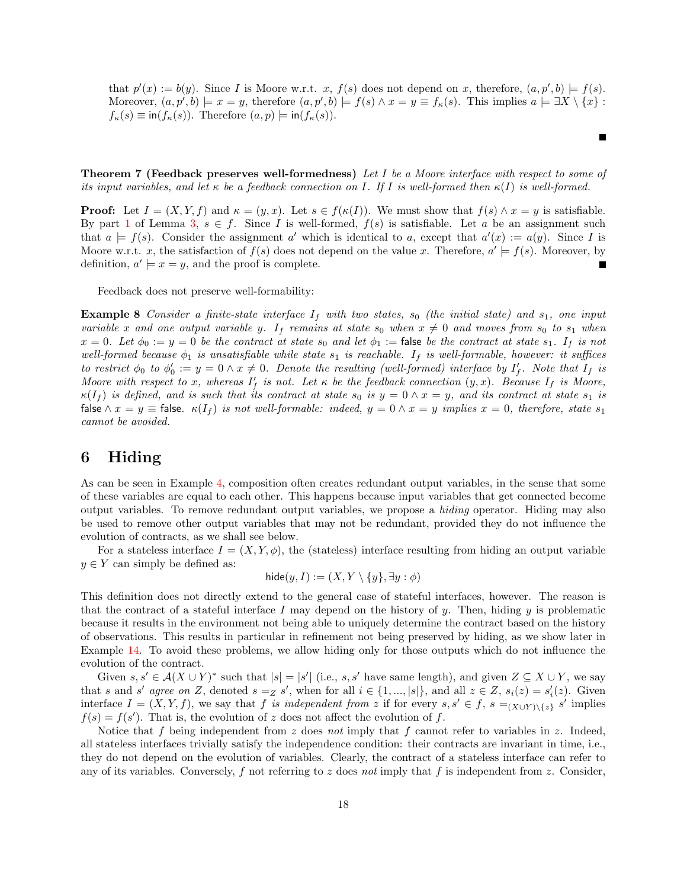that  $p'(x) := b(y)$ . Since I is Moore w.r.t. x,  $f(s)$  does not depend on x, therefore,  $(a, p', b) \models f(s)$ . Moreover,  $(a, p', b) \models x = y$ , therefore  $(a, p', b) \models f(s) \land x = y \equiv f_{\kappa}(s)$ . This implies  $a \models \exists X \setminus \{x\}$ :  $f_{\kappa}(s) \equiv \text{in}(f_{\kappa}(s))$ . Therefore  $(a, p) \models \text{in}(f_{\kappa}(s))$ .

Theorem 7 (Feedback preserves well-formedness) Let I be a Moore interface with respect to some of its input variables, and let  $\kappa$  be a feedback connection on I. If I is well-formed then  $\kappa(I)$  is well-formed.

**Proof:** Let  $I = (X, Y, f)$  and  $\kappa = (y, x)$ . Let  $s \in f(\kappa(I))$ . We must show that  $f(s) \wedge x = y$  is satisfiable. By part [1](#page-16-1) of Lemma [3,](#page-16-2)  $s \in f$ . Since I is well-formed,  $f(s)$  is satisfiable. Let a be an assignment such that  $a \models f(s)$ . Consider the assignment a' which is identical to a, except that  $a'(x) := a(y)$ . Since I is Moore w.r.t. x, the satisfaction of  $f(s)$  does not depend on the value x. Therefore,  $a' \models f(s)$ . Moreover, by definition,  $a' \models x = y$ , and the proof is complete.

Feedback does not preserve well-formability:

**Example 8** Consider a finite-state interface  $I_f$  with two states,  $s_0$  (the initial state) and  $s_1$ , one input variable x and one output variable y. If remains at state  $s_0$  when  $x \neq 0$  and moves from  $s_0$  to  $s_1$  when  $x = 0$ . Let  $\phi_0 := y = 0$  be the contract at state  $s_0$  and let  $\phi_1 :=$  false be the contract at state  $s_1$ . If is not well-formed because  $\phi_1$  is unsatisfiable while state  $s_1$  is reachable. If is well-formable, however: it suffices to restrict  $\phi_0$  to  $\phi'_0 := y = 0 \land x \neq 0$ . Denote the resulting (well-formed) interface by  $I'_f$ . Note that  $I_f$  is Moore with respect to x, whereas  $I'_f$  is not. Let  $\kappa$  be the feedback connection  $(y, x)$ . Because  $I_f$  is Moore,  $\kappa(I_f)$  is defined, and is such that its contract at state  $s_0$  is  $y = 0 \wedge x = y$ , and its contract at state  $s_1$  is false  $\wedge x = y \equiv$  false.  $\kappa(I_f)$  is not well-formable: indeed,  $y = 0 \wedge x = y$  implies  $x = 0$ , therefore, state  $s_1$ cannot be avoided.

# <span id="page-17-0"></span>6 Hiding

As can be seen in Example [4,](#page-11-0) composition often creates redundant output variables, in the sense that some of these variables are equal to each other. This happens because input variables that get connected become output variables. To remove redundant output variables, we propose a hiding operator. Hiding may also be used to remove other output variables that may not be redundant, provided they do not influence the evolution of contracts, as we shall see below.

For a stateless interface  $I = (X, Y, \phi)$ , the (stateless) interface resulting from hiding an output variable  $y \in Y$  can simply be defined as:

$$
\mathsf{hide}(y, I) := (X, Y \setminus \{y\}, \exists y : \phi)
$$

This definition does not directly extend to the general case of stateful interfaces, however. The reason is that the contract of a stateful interface I may depend on the history of y. Then, hiding y is problematic because it results in the environment not being able to uniquely determine the contract based on the history of observations. This results in particular in refinement not being preserved by hiding, as we show later in Example [14.](#page-26-1) To avoid these problems, we allow hiding only for those outputs which do not influence the evolution of the contract.

Given  $s, s' \in \mathcal{A}(X \cup Y)^*$  such that  $|s| = |s'|$  (i.e., s, s' have same length), and given  $Z \subseteq X \cup Y$ , we say that s and s' agree on Z, denoted  $s = z$  s', when for all  $i \in \{1, ..., |s|\}$ , and all  $z \in Z$ ,  $s_i(z) = s'_i(z)$ . Given interface  $I = (X, Y, f)$ , we say that f is independent from z if for every  $s, s' \in f$ ,  $s =_{(X \cup Y) \setminus \{z\}} s'$  implies  $f(s) = f(s')$ . That is, the evolution of z does not affect the evolution of f.

Notice that f being independent from z does not imply that f cannot refer to variables in z. Indeed, all stateless interfaces trivially satisfy the independence condition: their contracts are invariant in time, i.e., they do not depend on the evolution of variables. Clearly, the contract of a stateless interface can refer to any of its variables. Conversely, f not referring to z does not imply that f is independent from z. Consider,

Г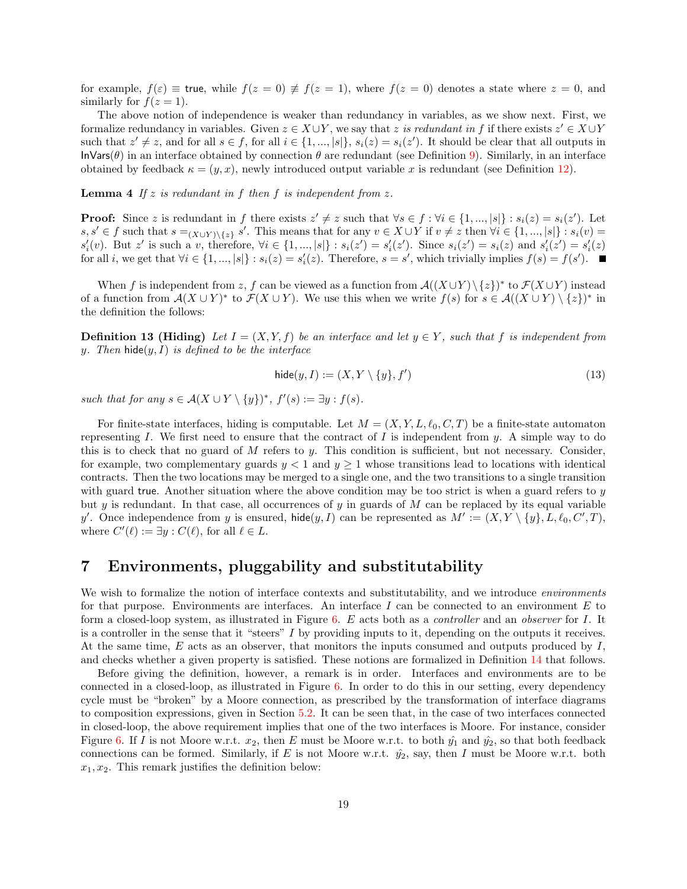for example,  $f(\varepsilon) \equiv$  true, while  $f(z = 0) \not\equiv f(z = 1)$ , where  $f(z = 0)$  denotes a state where  $z = 0$ , and similarly for  $f(z=1)$ .

The above notion of independence is weaker than redundancy in variables, as we show next. First, we formalize redundancy in variables. Given  $z \in X \cup Y$ , we say that z is redundant in f if there exists  $z' \in X \cup Y$ such that  $z' \neq z$ , and for all  $s \in f$ , for all  $i \in \{1, ..., |s|\}$ ,  $s_i(z) = s_i(z')$ . It should be clear that all outputs in InVars( $\theta$ ) in an interface obtained by connection  $\theta$  are redundant (see Definition [9\)](#page-8-2). Similarly, in an interface obtained by feedback  $\kappa = (y, x)$ , newly introduced output variable x is redundant (see Definition [12\)](#page-13-1).

**Lemma 4** If  $z$  is redundant in  $f$  then  $f$  is independent from  $z$ .

**Proof:** Since z is redundant in f there exists  $z' \neq z$  such that  $\forall s \in f : \forall i \in \{1, ..., |s|\} : s_i(z) = s_i(z')$ . Let  $s, s' \in f$  such that  $s =_{(X \cup Y) \setminus \{z\}} s'$ . This means that for any  $v \in X \cup Y$  if  $v \neq z$  then  $\forall i \in \{1, ..., |s|\} : s_i(v) =$  $s_i'(v)$ . But z' is such a v, therefore,  $\forall i \in \{1, ..., |s|\} : s_i(z') = s_i'(z')$ . Since  $s_i(z') = s_i(z)$  and  $s_i'(z') = s_i'(z)$ for all *i*, we get that  $\forall i \in \{1, ..., |s|\} : s_i(z) = s'_i(z)$ . Therefore,  $s = s'$ , which trivially implies  $f(s) = f(s')$ .

When f is independent from z, f can be viewed as a function from  $\mathcal{A}((X \cup Y) \setminus \{z\})^*$  to  $\mathcal{F}(X \cup Y)$  instead of a function from  $\mathcal{A}(X \cup Y)^*$  to  $\mathcal{F}(X \cup Y)$ . We use this when we write  $f(s)$  for  $s \in \mathcal{A}((X \cup Y) \setminus \{z\})^*$  in the definition the follows:

**Definition 13 (Hiding)** Let  $I = (X, Y, f)$  be an interface and let  $y \in Y$ , such that f is independent from y. Then  $\text{hide}(y, I)$  is defined to be the interface

$$
\mathsf{hide}(y, I) := (X, Y \setminus \{y\}, f') \tag{13}
$$

such that for any  $s \in \mathcal{A}(X \cup Y \setminus \{y\})^*, f'(s) := \exists y : f(s)$ .

For finite-state interfaces, hiding is computable. Let  $M = (X, Y, L, \ell_0, C, T)$  be a finite-state automaton representing I. We first need to ensure that the contract of I is independent from  $y$ . A simple way to do this is to check that no guard of M refers to y. This condition is sufficient, but not necessary. Consider, for example, two complementary guards  $y < 1$  and  $y \ge 1$  whose transitions lead to locations with identical contracts. Then the two locations may be merged to a single one, and the two transitions to a single transition with guard true. Another situation where the above condition may be too strict is when a guard refers to  $y$ but y is redundant. In that case, all occurrences of y in guards of  $M$  can be replaced by its equal variable y'. Once independence from y is ensured, hide $(y, I)$  can be represented as  $M' := (X, Y \setminus \{y\}, L, \ell_0, C', T)$ , where  $C'(\ell) := \exists y : C(\ell)$ , for all  $\ell \in L$ .

### <span id="page-18-0"></span>7 Environments, pluggability and substitutability

We wish to formalize the notion of interface contexts and substitutability, and we introduce *environments* for that purpose. Environments are interfaces. An interface I can be connected to an environment  $E$  to form a closed-loop system, as illustrated in Figure [6.](#page-19-0) E acts both as a controller and an observer for I. It is a controller in the sense that it "steers"  $I$  by providing inputs to it, depending on the outputs it receives. At the same time,  $E$  acts as an observer, that monitors the inputs consumed and outputs produced by  $I$ , and checks whether a given property is satisfied. These notions are formalized in Definition [14](#page-18-1) that follows.

<span id="page-18-1"></span>Before giving the definition, however, a remark is in order. Interfaces and environments are to be connected in a closed-loop, as illustrated in Figure [6.](#page-19-0) In order to do this in our setting, every dependency cycle must be "broken" by a Moore connection, as prescribed by the transformation of interface diagrams to composition expressions, given in Section [5.2.](#page-13-2) It can be seen that, in the case of two interfaces connected in closed-loop, the above requirement implies that one of the two interfaces is Moore. For instance, consider Figure [6.](#page-19-0) If I is not Moore w.r.t.  $x_2$ , then E must be Moore w.r.t. to both  $\hat{y}_1$  and  $\hat{y}_2$ , so that both feedback connections can be formed. Similarly, if E is not Moore w.r.t.  $\hat{y}_2$ , say, then I must be Moore w.r.t. both  $x_1, x_2$ . This remark justifies the definition below: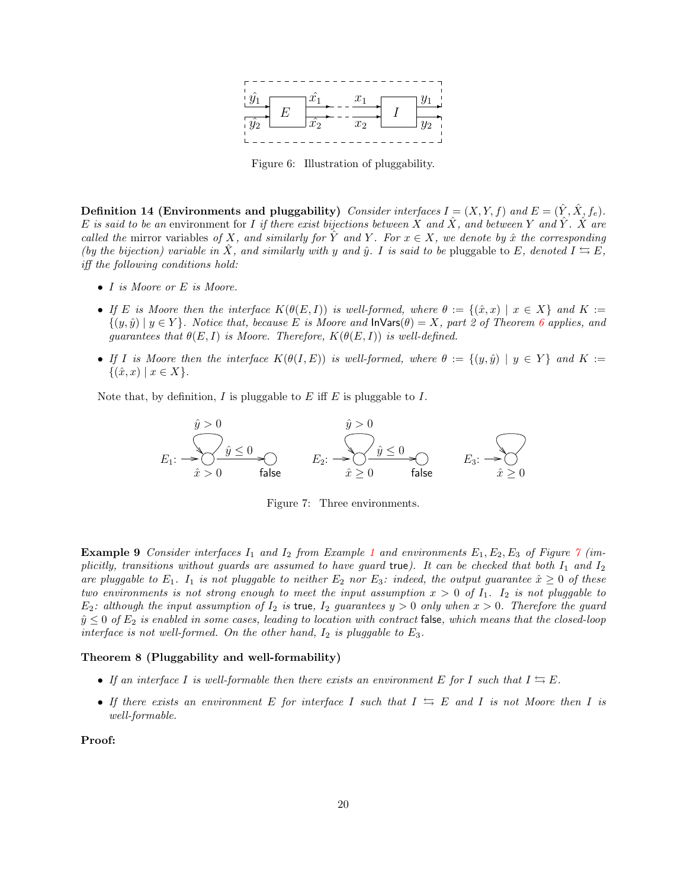

<span id="page-19-0"></span>Figure 6: Illustration of pluggability.

Definition 14 (Environments and pluggability) Consider interfaces  $I = (X, Y, f)$  and  $E = (\hat{Y}, \hat{X}, f_e)$ . E is said to be an environment for I if there exist bijections between X and  $\hat{X}$ , and between Y and  $\hat{Y}$ .  $\hat{X}$  are called the mirror variables of X, and similarly for Y and Y. For  $x \in X$ , we denote by  $\hat{x}$  the corresponding (by the bijection) variable in X, and similarly with y and  $\hat{y}$ . I is said to be pluggable to E, denoted  $I \leftrightarrows E$ , iff the following conditions hold:

- I is Moore or E is Moore.
- If E is Moore then the interface  $K(\theta(E, I))$  is well-formed, where  $\theta := \{(\hat{x}, x) | x \in X\}$  and  $K :=$  $\{(y, \hat{y}) \mid y \in Y\}$ . Notice that, because E is Moore and  $\mathsf{Inv}\{A\}$  = X, part 2 of Theorem [6](#page-15-0) applies, and guarantees that  $\theta(E, I)$  is Moore. Therefore,  $K(\theta(E, I))$  is well-defined.
- If I is Moore then the interface  $K(\theta(I, E))$  is well-formed, where  $\theta := \{(y, \hat{y}) \mid y \in Y\}$  and  $K :=$  $\{(\hat{x}, x) \mid x \in X\}.$

Note that, by definition, I is pluggable to E iff E is pluggable to I.

$$
\hat{y} > 0
$$
\n
$$
E_1: \frac{\hat{y} > 0}{\hat{x} > 0} \qquad \qquad E_2: \frac{\hat{y} > 0}{\hat{x} \ge 0} \qquad \qquad E_3: \frac{\hat{y} > 0}{\hat{x} \ge 0}
$$
\n
$$
E_4: \frac{\hat{y} > 0}{\hat{x} \ge 0} \qquad \qquad E_5: \frac{\hat{y} > 0}{\hat{x} \ge 0}
$$

<span id="page-19-1"></span>Figure 7: Three environments.

<span id="page-19-3"></span>**Example 9** Consider interfaces  $I_1$  $I_1$  and  $I_2$  from Example 1 and environments  $E_1, E_2, E_3$  of Figure [7](#page-19-1) (implicitly, transitions without guards are assumed to have guard true). It can be checked that both  $I_1$  and  $I_2$ are pluggable to  $E_1$ . I<sub>1</sub> is not pluggable to neither  $E_2$  nor  $E_3$ : indeed, the output guarantee  $\hat{x} \geq 0$  of these two environments is not strong enough to meet the input assumption  $x > 0$  of  $I_1$ . I<sub>2</sub> is not pluggable to  $E_2$ : although the input assumption of  $I_2$  is true,  $I_2$  guarantees  $y > 0$  only when  $x > 0$ . Therefore the guard  $\hat{y} \leq 0$  of  $E_2$  is enabled in some cases, leading to location with contract false, which means that the closed-loop interface is not well-formed. On the other hand,  $I_2$  is pluggable to  $E_3$ .

#### <span id="page-19-2"></span>Theorem 8 (Pluggability and well-formability)

- If an interface I is well-formable then there exists an environment E for I such that  $I \subseteq E$ .
- If there exists an environment E for interface I such that  $I \subseteq E$  and I is not Moore then I is well-formable.

Proof: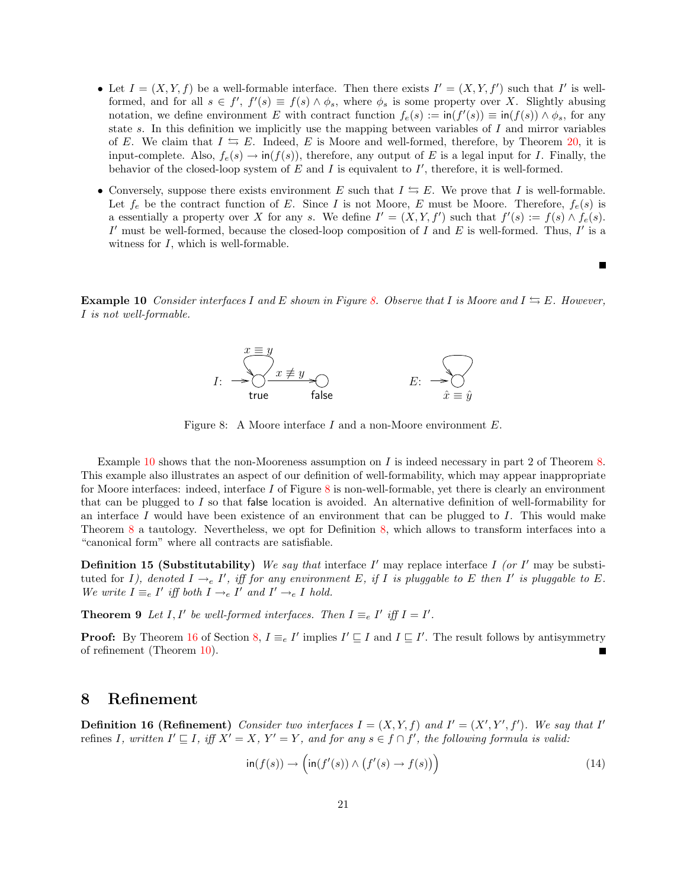- Let  $I = (X, Y, f)$  be a well-formable interface. Then there exists  $I' = (X, Y, f')$  such that I' is wellformed, and for all  $s \in f'$ ,  $f'(s) \equiv f(s) \wedge \phi_s$ , where  $\phi_s$  is some property over X. Slightly abusing notation, we define environment E with contract function  $f_e(s) := \text{in}(f'(s)) \equiv \text{in}(f(s)) \wedge \phi_s$ , for any state s. In this definition we implicitly use the mapping between variables of I and mirror variables of E. We claim that  $I \leftrightarrows E$ . Indeed, E is Moore and well-formed, therefore, by Theorem [20,](#page-32-1) it is input-complete. Also,  $f_e(s) \to \text{in}(f(s))$ , therefore, any output of E is a legal input for I. Finally, the behavior of the closed-loop system of  $E$  and  $I$  is equivalent to  $I'$ , therefore, it is well-formed.
- Conversely, suppose there exists environment E such that  $I \cong E$ . We prove that I is well-formable. Let  $f_e$  be the contract function of E. Since I is not Moore, E must be Moore. Therefore,  $f_e(s)$  is a essentially a property over X for any s. We define  $I' = (X, Y, f')$  such that  $f'(s) := f(s) \wedge f_e(s)$ . I' must be well-formed, because the closed-loop composition of I and E is well-formed. Thus, I' is a witness for  $I$ , which is well-formable.

Г

<span id="page-20-2"></span>**Example 10** Consider interfaces I and E shown in Figure [8.](#page-20-1) Observe that I is Moore and  $I \leftrightarrows E$ . However, I is not well-formable.



<span id="page-20-1"></span>Figure 8: A Moore interface I and a non-Moore environment E.

Example [10](#page-20-2) shows that the non-Mooreness assumption on  $I$  is indeed necessary in part 2 of Theorem [8.](#page-19-2) This example also illustrates an aspect of our definition of well-formability, which may appear inappropriate for Moore interfaces: indeed, interface I of Figure [8](#page-20-1) is non-well-formable, yet there is clearly an environment that can be plugged to I so that false location is avoided. An alternative definition of well-formability for an interface I would have been existence of an environment that can be plugged to I. This would make Theorem [8](#page-19-2) a tautology. Nevertheless, we opt for Definition [8,](#page-7-2) which allows to transform interfaces into a "canonical form" where all contracts are satisfiable.

**Definition 15 (Substitutability)** We say that interface  $I'$  may replace interface  $I$  (or  $I'$  may be substituted for I), denoted  $I \rightarrow_e I'$ , iff for any environment E, if I is pluggable to E then I' is pluggable to E. We write  $I \equiv_e I'$  iff both  $I \rightarrow_e I'$  and  $I' \rightarrow_e I$  hold.

**Theorem 9** Let I, I' be well-formed interfaces. Then  $I \equiv_e I'$  iff  $I = I'$ .

**Proof:** By Theorem [16](#page-27-0) of Section [8,](#page-20-0)  $I \equiv_e I'$  implies  $I' \sqsubseteq I$  and  $I \sqsubseteq I'$ . The result follows by antisymmetry of refinement (Theorem [10\)](#page-23-2).

### <span id="page-20-0"></span>8 Refinement

<span id="page-20-4"></span>**Definition 16 (Refinement)** Consider two interfaces  $I = (X, Y, f)$  and  $I' = (X', Y', f')$ . We say that I' refines I, written  $I' \sqsubseteq I$ , iff  $X' = X$ ,  $Y' = Y$ , and for any  $s \in f \cap f'$ , the following formula is valid:

<span id="page-20-3"></span>
$$
\operatorname{in}(f(s)) \to \left(\operatorname{in}(f'(s)) \land (f'(s) \to f(s))\right) \tag{14}
$$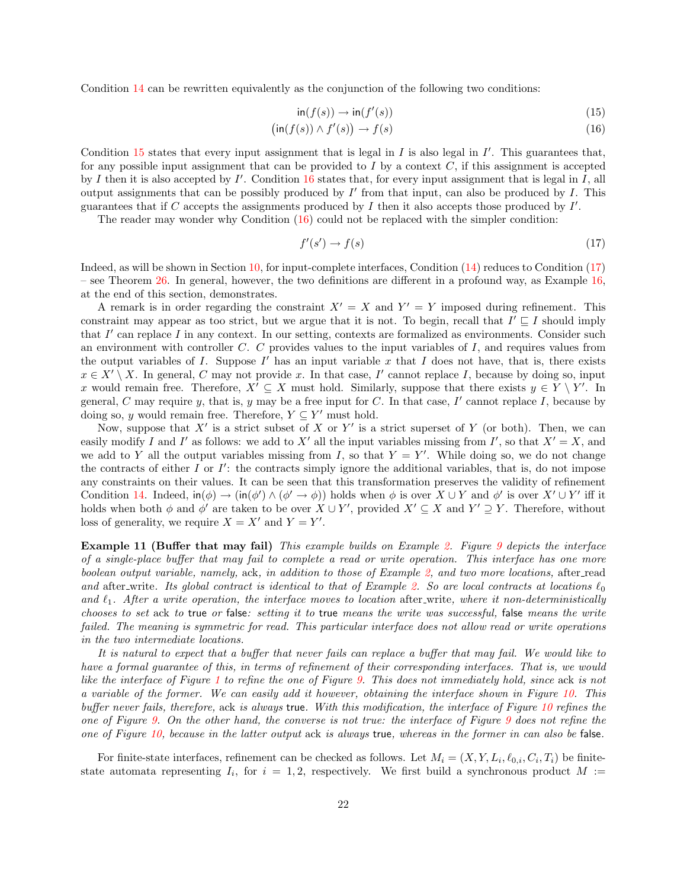Condition [14](#page-20-3) can be rewritten equivalently as the conjunction of the following two conditions:

<span id="page-21-0"></span>
$$
\operatorname{in}(f(s)) \to \operatorname{in}(f'(s))\tag{15}
$$

$$
(\text{in}(f(s)) \land f'(s)) \to f(s) \tag{16}
$$

Condition  $15$  states that every input assignment that is legal in  $I$  is also legal in  $I'$ . This guarantees that, for any possible input assignment that can be provided to  $I$  by a context  $C$ , if this assignment is accepted by I then it is also accepted by  $I'$ . Condition [16](#page-21-0) states that, for every input assignment that is legal in I, all output assignments that can be possibly produced by  $I'$  from that input, can also be produced by  $I$ . This guarantees that if C accepts the assignments produced by  $I$  then it also accepts those produced by  $I'$ .

The reader may wonder why Condition [\(16\)](#page-21-0) could not be replaced with the simpler condition:

<span id="page-21-1"></span>
$$
f'(s') \to f(s) \tag{17}
$$

Indeed, as will be shown in Section [10,](#page-32-0) for input-complete interfaces, Condition [\(14\)](#page-20-3) reduces to Condition [\(17\)](#page-21-1) – see Theorem  $26$ . In general, however, the two definitions are different in a profound way, as Example [16,](#page-28-1) at the end of this section, demonstrates.

A remark is in order regarding the constraint  $X' = X$  and  $Y' = Y$  imposed during refinement. This constraint may appear as too strict, but we argue that it is not. To begin, recall that  $I' \sqsubseteq I$  should imply that  $I'$  can replace  $I$  in any context. In our setting, contexts are formalized as environments. Consider such an environment with controller  $C$ .  $C$  provides values to the input variables of  $I$ , and requires values from the output variables of  $I$ . Suppose  $I'$  has an input variable  $x$  that  $I$  does not have, that is, there exists  $x \in X' \setminus X$ . In general, C may not provide x. In that case, I' cannot replace I, because by doing so, input x would remain free. Therefore,  $X' \subseteq X$  must hold. Similarly, suppose that there exists  $y \in Y \setminus Y'$ . In general, C may require y, that is, y may be a free input for C. In that case,  $I'$  cannot replace I, because by doing so, y would remain free. Therefore,  $Y \subseteq Y'$  must hold.

Now, suppose that  $X'$  is a strict subset of X or Y' is a strict superset of Y (or both). Then, we can easily modify I and I' as follows: we add to X' all the input variables missing from I', so that  $X' = X$ , and we add to Y all the output variables missing from I, so that  $Y = Y'$ . While doing so, we do not change the contracts of either  $I$  or  $I'$ : the contracts simply ignore the additional variables, that is, do not impose any constraints on their values. It can be seen that this transformation preserves the validity of refinement Condition [14.](#page-20-3) Indeed,  $\text{in}(\phi) \to (\text{in}(\phi') \land (\phi' \to \phi))$  holds when  $\phi$  is over  $X \cup Y$  and  $\phi'$  is over  $X' \cup Y'$  iff it holds when both  $\phi$  and  $\phi'$  are taken to be over  $X \cup Y'$ , provided  $X' \subseteq X$  and  $Y' \supseteq Y$ . Therefore, without loss of generality, we require  $X = X'$  and  $Y = Y'$ .

Example 11 (Buffer that may fail) This example builds on Example [2.](#page-6-2) Figure [9](#page-22-0) depicts the interface of a single-place buffer that may fail to complete a read or write operation. This interface has one more boolean output variable, namely, ack, in addition to those of Example [2,](#page-6-2) and two more locations, after read and after write. Its global contract is identical to that of Example [2.](#page-6-2) So are local contracts at locations  $\ell_0$ and  $\ell_1$ . After a write operation, the interface moves to location after write, where it non-deterministically chooses to set ack to true or false: setting it to true means the write was successful, false means the write failed. The meaning is symmetric for read. This particular interface does not allow read or write operations in the two intermediate locations.

It is natural to expect that a buffer that never fails can replace a buffer that may fail. We would like to have a formal guarantee of this, in terms of refinement of their corresponding interfaces. That is, we would like the interface of Figure [1](#page-7-0) to refine the one of Figure [9.](#page-22-0) This does not immediately hold, since ack is not a variable of the former. We can easily add it however, obtaining the interface shown in Figure [10.](#page-22-1) This buffer never fails, therefore, ack is always true. With this modification, the interface of Figure [10](#page-22-1) refines the one of Figure [9.](#page-22-0) On the other hand, the converse is not true: the interface of Figure [9](#page-22-0) does not refine the one of Figure [10,](#page-22-1) because in the latter output ack is always true, whereas in the former in can also be false.

For finite-state interfaces, refinement can be checked as follows. Let  $M_i = (X, Y, L_i, \ell_{0,i}, C_i, T_i)$  be finitestate automata representing  $I_i$ , for  $i = 1, 2$ , respectively. We first build a synchronous product  $M :=$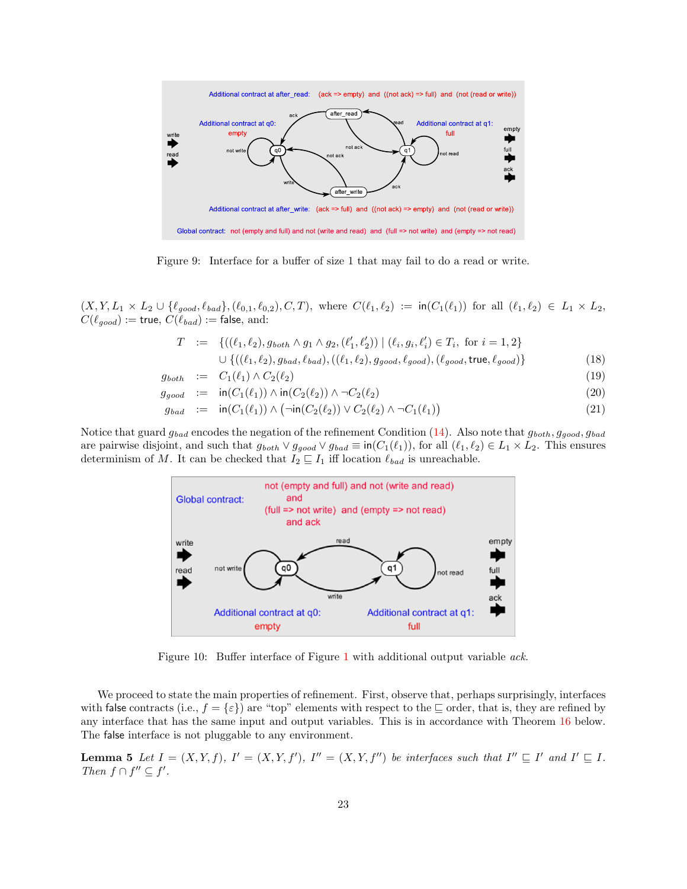

<span id="page-22-0"></span>Figure 9: Interface for a buffer of size 1 that may fail to do a read or write.

 $(X, Y, L_1 \times L_2 \cup \{\ell_{good}, \ell_{bad}\}, (\ell_{0,1}, \ell_{0,2}), C, T)$ , where  $C(\ell_1, \ell_2) := \text{in}(C_1(\ell_1))$  for all  $(\ell_1, \ell_2) \in L_1 \times L_2$ ,  $C(\ell_{good}) :=$  true,  $C(\ell_{bad}) :=$  false, and:

<span id="page-22-3"></span>
$$
T := \{ ((\ell_1, \ell_2), g_{both} \land g_1 \land g_2, (\ell'_1, \ell'_2)) \mid (\ell_i, g_i, \ell'_i) \in T_i, \text{ for } i = 1, 2 \}
$$
  

$$
\cup \{ ((\ell_1, \ell_2), g_{bad}, \ell_{bad}), ((\ell_1, \ell_2), g_{good}, \ell_{good}), (\ell_{good}, \text{true}, \ell_{good}) \}
$$
(18)

$$
g_{both} \quad := \quad C_1(\ell_1) \wedge C_2(\ell_2) \tag{19}
$$

$$
g_{good} := \text{in}(C_1(\ell_1)) \wedge \text{in}(C_2(\ell_2)) \wedge \neg C_2(\ell_2) \tag{20}
$$

$$
g_{bad} := \mathsf{in}(C_1(\ell_1)) \land (\neg \mathsf{in}(C_2(\ell_2)) \lor C_2(\ell_2) \land \neg C_1(\ell_1))
$$
\n
$$
(21)
$$

Notice that guard  $g_{bad}$  encodes the negation of the refinement Condition [\(14\)](#page-20-3). Also note that  $g_{both}, g_{good}, g_{bad}$ are pairwise disjoint, and such that  $g_{both} \vee g_{good} \vee g_{bad} \equiv \text{in}(C_1(\ell_1)),$  for all  $(\ell_1, \ell_2) \in L_1 \times L_2$ . This ensures determinism of M. It can be checked that  $I_2 \sqsubseteq I_1$  iff location  $\ell_{bad}$  is unreachable.



<span id="page-22-1"></span>Figure 10: Buffer interface of Figure [1](#page-7-0) with additional output variable ack.

We proceed to state the main properties of refinement. First, observe that, perhaps surprisingly, interfaces with false contracts (i.e.,  $f = \{\varepsilon\}$ ) are "top" elements with respect to the  $\sqsubseteq$  order, that is, they are refined by any interface that has the same input and output variables. This is in accordance with Theorem [16](#page-27-0) below. The false interface is not pluggable to any environment.

<span id="page-22-2"></span>**Lemma 5** Let  $I = (X, Y, f)$ ,  $I' = (X, Y, f')$ ,  $I'' = (X, Y, f'')$  be interfaces such that  $I'' \sqsubseteq I'$  and  $I' \sqsubseteq I$ . Then  $f \cap f'' \subseteq f'$ .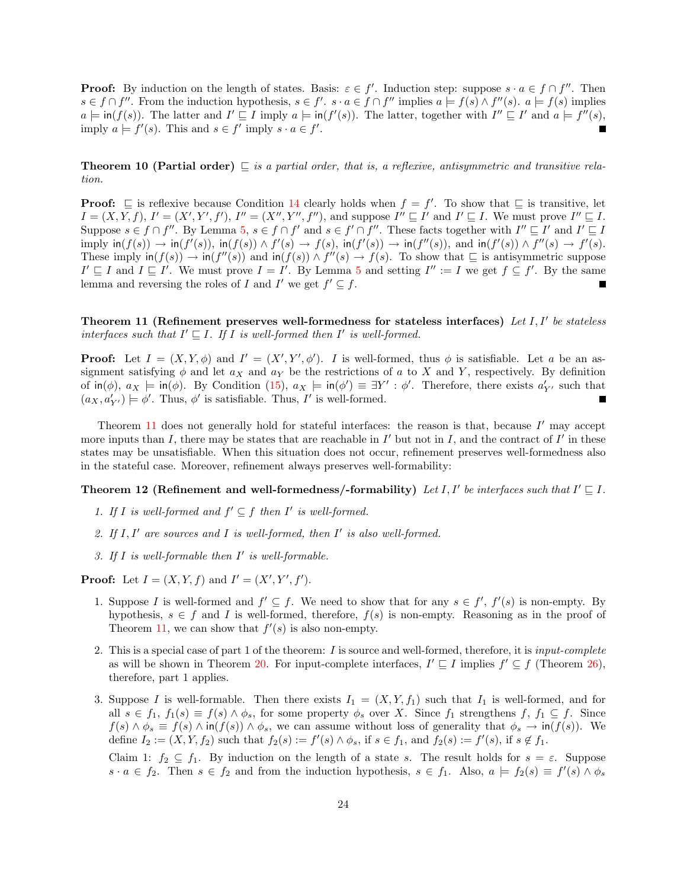**Proof:** By induction on the length of states. Basis:  $\varepsilon \in f'$ . Induction step: suppose  $s \cdot a \in f \cap f''$ . Then  $s \in f \cap f''$ . From the induction hypothesis,  $s \in f'$ .  $s \cdot a \in f \cap f''$  implies  $a \models f(s) \wedge f''(s)$ .  $a \models f(s)$  implies  $a \models \textsf{in}(f(s))$ . The latter and  $I' \sqsubseteq I$  imply  $a \models \textsf{in}(f'(s))$ . The latter, together with  $I'' \sqsubseteq I'$  and  $a \models f''(s)$ , imply  $a \models f'(s)$ . This and  $s \in f'$  imply  $s \cdot a \in f'$ .

<span id="page-23-2"></span>**Theorem 10 (Partial order)**  $\subseteq$  is a partial order, that is, a reflexive, antisymmetric and transitive relation.

**Proof:**  $\subseteq$  is reflexive because Condition [14](#page-20-3) clearly holds when  $f = f'$ . To show that  $\subseteq$  is transitive, let  $I = (X, Y, f), I' = (X', Y', f'), I'' = (X'', Y'', f''),$  and suppose  $I'' \sqsubseteq I'$  and  $I' \sqsubseteq I$ . We must prove  $I'' \sqsubseteq I$ . Suppose  $s \in f \cap f''$ . By Lemma [5,](#page-22-2)  $s \in f \cap f'$  and  $s \in f' \cap f''$ . These facts together with  $I'' \sqsubseteq I'$  and  $I' \sqsubseteq I$  $\text{imply in}(f(s)) \to \text{in}(f'(s)), \text{ in}(f(s)) \land f'(s) \to f(s), \text{ in}(f'(s)) \to \text{in}(f''(s)), \text{ and } \text{in}(f'(s)) \land f''(s) \to f'(s).$ These imply  $\text{in}(f(s)) \to \text{in}(f''(s))$  and  $\text{in}(f(s)) \wedge f''(s) \to f(s)$ . To show that  $\subseteq$  is antisymmetric suppose  $I' \sqsubseteq I$  and  $I \sqsubseteq I'$ . We must prove  $I = I'$ . By Lemma [5](#page-22-2) and setting  $I'' := I$  we get  $f \subseteq f'$ . By the same lemma and reversing the roles of I and I' we get  $f' \subseteq f$ .

<span id="page-23-0"></span>Theorem 11 (Refinement preserves well-formedness for stateless interfaces) Let  $I, I'$  be stateless interfaces such that  $I' \sqsubseteq I$ . If I is well-formed then I' is well-formed.

**Proof:** Let  $I = (X, Y, \phi)$  and  $I' = (X', Y', \phi')$ . I is well-formed, thus  $\phi$  is satisfiable. Let a be an assignment satisfying  $\phi$  and let  $a_X$  and  $a_Y$  be the restrictions of a to X and Y, respectively. By definition of  $\text{in}(\phi)$ ,  $a_X \models \text{in}(\phi)$ . By Condition [\(15\)](#page-21-0),  $a_X \models \text{in}(\phi') \equiv \exists Y' : \phi'$ . Therefore, there exists  $a'_{Y'}$  such that  $(a_X, a'_{Y'}) \models \phi'.$  Thus,  $\phi'$  is satisfiable. Thus, I' is well-formed.

Theorem  $11$  does not generally hold for stateful interfaces: the reason is that, because  $I'$  may accept more inputs than I, there may be states that are reachable in  $I'$  but not in I, and the contract of  $I'$  in these states may be unsatisfiable. When this situation does not occur, refinement preserves well-formedness also in the stateful case. Moreover, refinement always preserves well-formability:

<span id="page-23-1"></span>Theorem 12 (Refinement and well-formedness/-formability) Let I, I' be interfaces such that  $I' \sqsubseteq I$ .

- 1. If I is well-formed and  $f' \subseteq f$  then I' is well-formed.
- 2. If  $I, I'$  are sources and  $I$  is well-formed, then  $I'$  is also well-formed.
- 3. If  $I$  is well-formable then  $I'$  is well-formable.

**Proof:** Let  $I = (X, Y, f)$  and  $I' = (X', Y', f')$ .

- 1. Suppose I is well-formed and  $f' \subseteq f$ . We need to show that for any  $s \in f'$ ,  $f'(s)$  is non-empty. By hypothesis,  $s \in f$  and I is well-formed, therefore,  $f(s)$  is non-empty. Reasoning as in the proof of Theorem [11,](#page-23-0) we can show that  $f'(s)$  is also non-empty.
- 2. This is a special case of part 1 of the theorem: I is source and well-formed, therefore, it is input-complete as will be shown in Theorem [20.](#page-32-1) For input-complete interfaces,  $I' \subseteq I$  implies  $f' \subseteq f$  (Theorem [26\)](#page-34-2), therefore, part 1 applies.
- 3. Suppose I is well-formable. Then there exists  $I_1 = (X, Y, f_1)$  such that  $I_1$  is well-formed, and for all  $s \in f_1, f_1(s) \equiv f(s) \wedge \phi_s$ , for some property  $\phi_s$  over X. Since  $f_1$  strengthens f,  $f_1 \subseteq f$ . Since  $f(s) \wedge \phi_s \equiv f(s) \wedge \text{in}(f(s)) \wedge \phi_s$ , we can assume without loss of generality that  $\phi_s \to \text{in}(f(s))$ . We define  $I_2 := (X, Y, f_2)$  such that  $f_2(s) := f'(s) \wedge \phi_s$ , if  $s \in f_1$ , and  $f_2(s) := f'(s)$ , if  $s \notin f_1$ .

Claim 1:  $f_2 \subseteq f_1$ . By induction on the length of a state s. The result holds for  $s = \varepsilon$ . Suppose  $s \cdot a \in f_2$ . Then  $s \in f_2$  and from the induction hypothesis,  $s \in f_1$ . Also,  $a \models f_2(s) \equiv f'(s) \land \phi_s$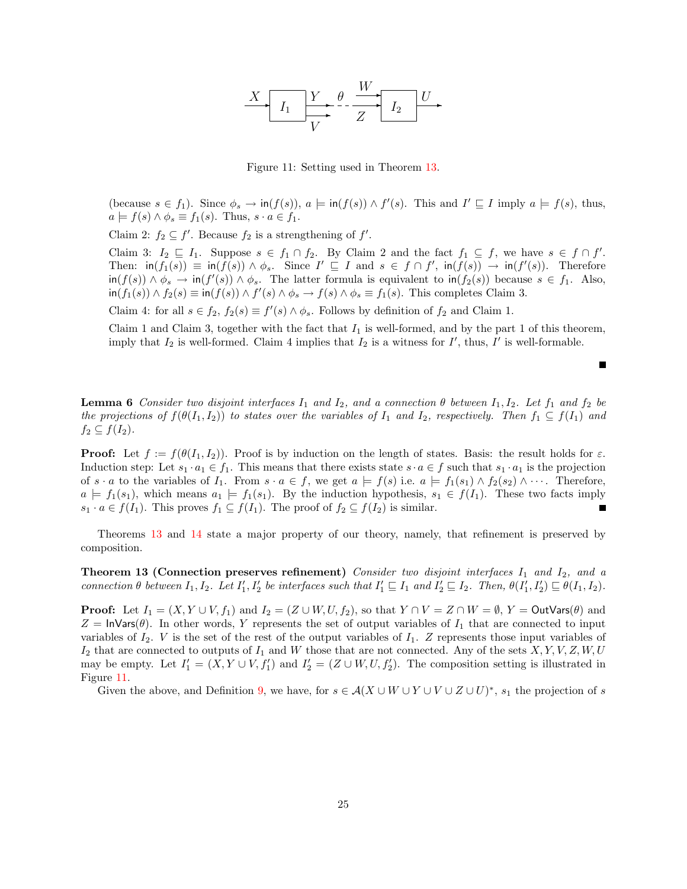

<span id="page-24-1"></span>Figure 11: Setting used in Theorem [13.](#page-24-0)

(because  $s \in f_1$ ). Since  $\phi_s \to \text{in}(f(s))$ ,  $a \models \text{in}(f(s)) \land f'(s)$ . This and  $I' \sqsubseteq I$  imply  $a \models f(s)$ , thus,  $a \models f(s) \land \phi_s \equiv f_1(s)$ . Thus,  $s \cdot a \in f_1$ .

Claim 2:  $f_2 \subseteq f'$ . Because  $f_2$  is a strengthening of  $f'$ .

Claim 3:  $I_2 \subseteq I_1$ . Suppose  $s \in f_1 \cap f_2$ . By Claim 2 and the fact  $f_1 \subseteq f$ , we have  $s \in f \cap f'$ . Then:  $\text{in}(f_1(s)) \equiv \text{in}(f(s)) \land \phi_s$ . Since  $I' \sqsubseteq I$  and  $s \in f \cap f'$ ,  $\text{in}(f(s)) \rightarrow \text{in}(f'(s))$ . Therefore  $\text{in}(f(s)) \land \phi_s \to \text{in}(f'(s)) \land \phi_s$ . The latter formula is equivalent to  $\text{in}(f_2(s))$  because  $s \in f_1$ . Also,  $\text{in}(f_1(s)) \wedge f_2(s) \equiv \text{in}(f(s)) \wedge f'(s) \wedge \phi_s \to f(s) \wedge \phi_s \equiv f_1(s)$ . This completes Claim 3.

Claim 4: for all  $s \in f_2$ ,  $f_2(s) \equiv f'(s) \wedge \phi_s$ . Follows by definition of  $f_2$  and Claim 1.

Claim 1 and Claim 3, together with the fact that  $I_1$  is well-formed, and by the part 1 of this theorem, imply that  $I_2$  is well-formed. Claim 4 implies that  $I_2$  is a witness for  $I'$ , thus,  $I'$  is well-formable.

<span id="page-24-2"></span>**Lemma 6** Consider two disjoint interfaces  $I_1$  and  $I_2$ , and a connection  $\theta$  between  $I_1, I_2$ . Let  $f_1$  and  $f_2$  be the projections of  $f(\theta(I_1, I_2))$  to states over the variables of  $I_1$  and  $I_2$ , respectively. Then  $f_1 \subseteq f(I_1)$  and  $f_2 \subseteq f(I_2)$ .

**Proof:** Let  $f := f(\theta(I_1, I_2))$ . Proof is by induction on the length of states. Basis: the result holds for  $\varepsilon$ . Induction step: Let  $s_1 \cdot a_1 \in f_1$ . This means that there exists state  $s \cdot a \in f$  such that  $s_1 \cdot a_1$  is the projection of  $s \cdot a$  to the variables of  $I_1$ . From  $s \cdot a \in f$ , we get  $a \models f(s)$  i.e.  $a \models f_1(s_1) \land f_2(s_2) \land \cdots$ . Therefore,  $a \models f_1(s_1)$ , which means  $a_1 \models f_1(s_1)$ . By the induction hypothesis,  $s_1 \in f(I_1)$ . These two facts imply  $s_1 \cdot a \in f(I_1)$ . This proves  $f_1 \subseteq f(I_1)$ . The proof of  $f_2 \subseteq f(I_2)$  is similar. П

Theorems [13](#page-24-0) and [14](#page-25-0) state a major property of our theory, namely, that refinement is preserved by composition.

<span id="page-24-0"></span>**Theorem 13 (Connection preserves refinement)** Consider two disjoint interfaces  $I_1$  and  $I_2$ , and a connection  $\theta$  between  $I_1, I_2$ . Let  $I'_1, I'_2$  be interfaces such that  $I'_1 \sqsubseteq I_1$  and  $I'_2 \sqsubseteq I_2$ . Then,  $\theta(I'_1, I'_2) \sqsubseteq \theta(I_1, I_2)$ .

**Proof:** Let  $I_1 = (X, Y \cup V, f_1)$  and  $I_2 = (Z \cup W, U, f_2)$ , so that  $Y \cap V = Z \cap W = \emptyset$ ,  $Y = \text{OutVars}(\theta)$  and  $Z = \ln \text{Vars}(\theta)$ . In other words, Y represents the set of output variables of  $I_1$  that are connected to input variables of  $I_2$ . V is the set of the rest of the output variables of  $I_1$ . Z represents those input variables of  $I_2$  that are connected to outputs of  $I_1$  and  $W$  those that are not connected. Any of the sets  $X,Y,V,Z,W,U$ may be empty. Let  $I'_1 = (X, Y \cup V, f'_1)$  and  $I'_2 = (Z \cup W, U, f'_2)$ . The composition setting is illustrated in Figure [11.](#page-24-1)

Given the above, and Definition [9,](#page-8-2) we have, for  $s \in A(X \cup W \cup Y \cup V \cup Z \cup U)^*$ ,  $s_1$  the projection of s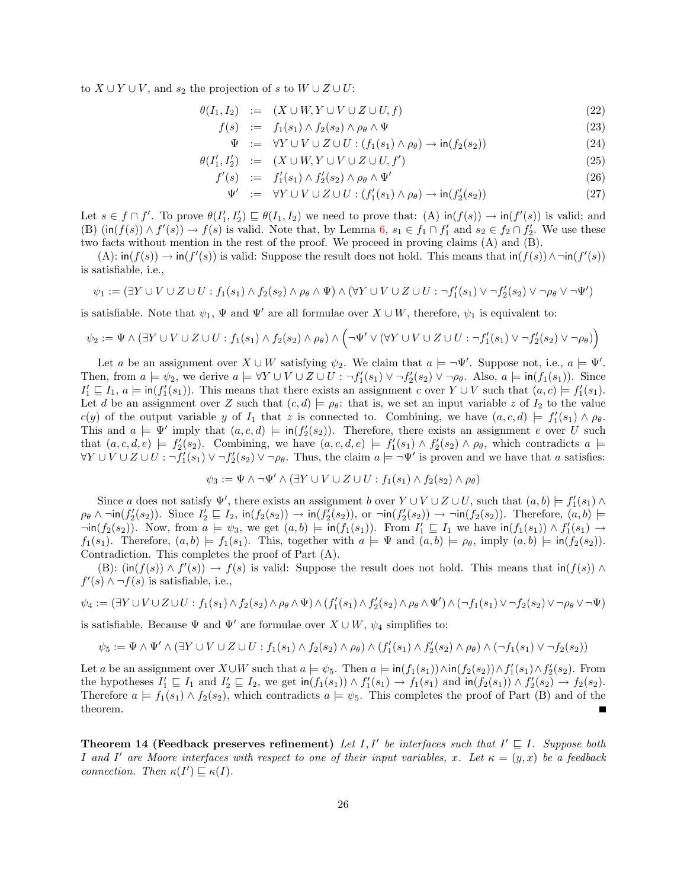to  $X \cup Y \cup V$ , and  $s_2$  the projection of s to  $W \cup Z \cup U$ :

$$
\theta(I_1, I_2) := (X \cup W, Y \cup V \cup Z \cup U, f) \tag{22}
$$

$$
f(s) := f_1(s_1) \wedge f_2(s_2) \wedge \rho_\theta \wedge \Psi \tag{23}
$$

$$
\Psi := \forall Y \cup V \cup Z \cup U : (f_1(s_1) \land \rho_\theta) \to \text{in}(f_2(s_2))
$$
\n
$$
(24)
$$

$$
\theta(I'_1, I'_2) \quad := \quad (X \cup W, Y \cup V \cup Z \cup U, f') \tag{25}
$$

$$
f'(s) := f'_1(s_1) \wedge f'_2(s_2) \wedge \rho_\theta \wedge \Psi'
$$
\n
$$
(26)
$$

$$
\Psi' := \forall Y \cup V \cup Z \cup U : (f'_1(s_1) \land \rho_\theta) \to \text{in}(f'_2(s_2))
$$
\n
$$
(27)
$$

Let  $s \in f \cap f'$ . To prove  $\theta(I'_1, I'_2) \sqsubseteq \theta(I_1, I_2)$  we need to prove that:  $(A)$  in $(f(s)) \to \text{in}(f'(s))$  is valid; and (B)  $(\text{in}(f(s)) \wedge f'(s)) \rightarrow f(s)$  is valid. Note that, by Lemma [6,](#page-24-2)  $s_1 \in f_1 \cap f'_1$  and  $s_2 \in f_2 \cap f'_2$ . We use these two facts without mention in the rest of the proof. We proceed in proving claims (A) and (B).

 $(A)$ :  $\text{in}(f(s)) \rightarrow \text{in}(f'(s))$  is valid: Suppose the result does not hold. This means that  $\text{in}(f(s)) \land \neg \text{in}(f'(s))$ is satisfiable, i.e.,

$$
\psi_1 := (\exists Y \cup V \cup Z \cup U : f_1(s_1) \wedge f_2(s_2) \wedge \rho_\theta \wedge \Psi) \wedge (\forall Y \cup V \cup Z \cup U : \neg f_1'(s_1) \vee \neg f_2'(s_2) \vee \neg \rho_\theta \vee \neg \Psi')
$$

is satisfiable. Note that  $\psi_1$ ,  $\Psi$  and  $\Psi'$  are all formulae over  $X \cup W$ , therefore,  $\psi_1$  is equivalent to:

$$
\psi_2 := \Psi \wedge (\exists Y \cup V \cup Z \cup U : f_1(s_1) \wedge f_2(s_2) \wedge \rho_\theta) \wedge (\neg \Psi' \vee (\forall Y \cup V \cup Z \cup U : \neg f_1'(s_1) \vee \neg f_2'(s_2) \vee \neg \rho_\theta))
$$

Let a be an assignment over  $X \cup W$  satisfying  $\psi_2$ . We claim that  $a \models \neg \Psi'$ . Suppose not, i.e.,  $a \models \Psi'$ . Then, from  $a \models \psi_2$ , we derive  $a \models \forall Y \cup V \cup Z \cup U : \neg f_1'(s_1) \vee \neg f_2'(s_2) \vee \neg \rho_\theta$ . Also,  $a \models \text{in}(f_1(s_1))$ . Since  $I'_1 \sqsubseteq I_1$ ,  $a \models \text{in}(f'_1(s_1))$ . This means that there exists an assignment c over  $Y \cup V$  such that  $(a, c) \models f'_1(s_1)$ . Let d be an assignment over Z such that  $(c, d) \models \rho_{\theta}$ : that is, we set an input variable z of  $I_2$  to the value  $c(y)$  of the output variable y of  $I_1$  that z is connected to. Combining, we have  $(a, c, d) \models f'_1(s_1) \land \rho_\theta$ . This and  $a \models \Psi'$  imply that  $(a, c, d) \models \text{in}(f_2'(s_2))$ . Therefore, there exists an assignment e over U such that  $(a, c, d, e) \models f'_2(s_2)$ . Combining, we have  $(a, c, d, e) \models f'_1(s_1) \wedge f'_2(s_2) \wedge \rho_\theta$ , which contradicts  $a \models$  $\forall Y \cup V \cup Z \cup U : \neg f_1'(s_1) \vee \neg f_2'(s_2) \vee \neg \rho_\theta$ . Thus, the claim  $a \models \neg \Psi'$  is proven and we have that a satisfies:

$$
\psi_3 := \Psi \wedge \neg \Psi' \wedge (\exists Y \cup V \cup Z \cup U : f_1(s_1) \wedge f_2(s_2) \wedge \rho_\theta)
$$

Since a does not satisfy  $\Psi'$ , there exists an assignment b over  $Y \cup V \cup Z \cup U$ , such that  $(a, b) \models f'_1(s_1) \land$  $\rho_{\theta} \wedge \neg \text{in}(f'_{2}(s_{2}))$ . Since  $I'_{2} \sqsubseteq I_{2}$ ,  $\text{in}(f_{2}(s_{2})) \rightarrow \text{in}(f'_{2}(s_{2}))$ , or  $\neg \text{in}(f'_{2}(s_{2})) \rightarrow \neg \text{in}(f_{2}(s_{2}))$ . Therefore,  $(a, b) \models$  $\neg$ in(f<sub>2</sub>(s<sub>2</sub>)). Now, from  $a \models \psi_3$ , we get  $(a, b) \models \text{in}(f_1(s_1))$ . From  $I'_1 \sqsubseteq I_1$  we have  $\text{in}(f_1(s_1)) \wedge f'_1(s_1) \rightarrow f'_1(s_2)$  $f_1(s_1)$ . Therefore,  $(a, b) \models f_1(s_1)$ . This, together with  $a \models \Psi$  and  $(a, b) \models \rho_\theta$ , imply  $(a, b) \models \text{in}(f_2(s_2))$ . Contradiction. This completes the proof of Part (A).

(B):  $(\text{in}(f(s)) \wedge f'(s)) \rightarrow f(s)$  is valid: Suppose the result does not hold. This means that  $\text{in}(f(s)) \wedge f'(s)$  $f'(s) \wedge \neg f(s)$  is satisfiable, i.e.,

$$
\psi_4 := (\exists Y \cup V \cup Z \cup U : f_1(s_1) \wedge f_2(s_2) \wedge \rho_\theta \wedge \Psi) \wedge (f_1'(s_1) \wedge f_2'(s_2) \wedge \rho_\theta \wedge \Psi') \wedge (\neg f_1(s_1) \vee \neg f_2(s_2) \vee \neg \rho_\theta \vee \neg \Psi)
$$

is satisfiable. Because  $\Psi$  and  $\Psi'$  are formulae over  $X \cup W$ ,  $\psi_4$  simplifies to:

$$
\psi_5:=\Psi\wedge\Psi'\wedge(\exists Y\cup V\cup Z\cup U:f_1(s_1)\wedge f_2(s_2)\wedge\rho_\theta)\wedge(f_1'(s_1)\wedge f_2'(s_2)\wedge\rho_\theta)\wedge(\neg f_1(s_1)\vee\neg f_2(s_2))
$$

Let a be an assignment over  $X \cup W$  such that  $a \models \psi_5$ . Then  $a \models \text{in}(f_1(s_1)) \wedge \text{in}(f_2(s_2)) \wedge f'_1(s_1) \wedge f'_2(s_2)$ . From the hypotheses  $I'_1 \sqsubseteq I_1$  and  $I'_2 \sqsubseteq I_2$ , we get  $\operatorname{in}(f_1(s_1)) \wedge f'_1(s_1) \to f_1(s_1)$  and  $\operatorname{in}(f_2(s_1)) \wedge f'_2(s_2) \to f_2(s_2)$ . Therefore  $a \models f_1(s_1) \land f_2(s_2)$ , which contradicts  $a \models \psi_5$ . This completes the proof of Part (B) and of the theorem. П

<span id="page-25-0"></span>**Theorem 14 (Feedback preserves refinement)** Let I, I' be interfaces such that  $I' \subseteq I$ . Suppose both I and I' are Moore interfaces with respect to one of their input variables, x. Let  $\kappa = (y, x)$  be a feedback connection. Then  $\kappa(I') \sqsubseteq \kappa(I)$ .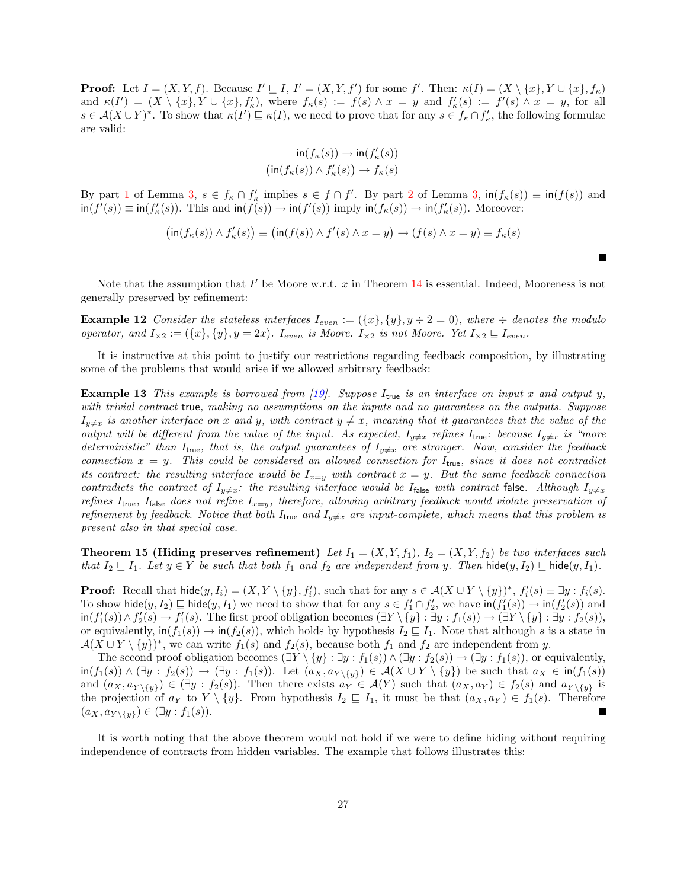**Proof:** Let  $I = (X, Y, f)$ . Because  $I' \sqsubseteq I$ ,  $I' = (X, Y, f')$  for some f'. Then:  $\kappa(I) = (X \setminus \{x\}, Y \cup \{x\}, f_{\kappa})$ and  $\kappa(I') = (X \setminus \{x\}, Y \cup \{x\}, f'_\kappa)$ , where  $f_\kappa(s) := f(s) \wedge x = y$  and  $f'_\kappa(s) := f'(s) \wedge x = y$ , for all  $s \in \mathcal{A}(X \cup Y)^*$ . To show that  $\kappa(I') \sqsubseteq \kappa(I)$ , we need to prove that for any  $s \in f_{\kappa} \cap f'_{\kappa}$ , the following formulae are valid:

$$
\operatorname{in}(f_{\kappa}(s)) \to \operatorname{in}(f'_{\kappa}(s))
$$

$$
\left(\operatorname{in}(f_{\kappa}(s)) \land f'_{\kappa}(s)\right) \to f_{\kappa}(s)
$$

By part [1](#page-16-1) of Lemma [3,](#page-16-2)  $s \in f_{\kappa} \cap f_{\kappa}'$  implies  $s \in f \cap f'$ . By part [2](#page-16-3) of Lemma 3,  $\text{in}(f_{\kappa}(s)) \equiv \text{in}(f(s))$  and  $\text{in}(f'(s)) \equiv \text{in}(f'_{\kappa}(s))$ . This and  $\text{in}(f(s)) \to \text{in}(f'(s))$  imply  $\text{in}(f_{\kappa}(s)) \to \text{in}(f'_{\kappa}(s))$ . Moreover:

$$
\bigl(\operatorname{in}(f_{\kappa}(s)) \wedge f'_{\kappa}(s)\bigr) \equiv \bigl(\operatorname{in}(f(s)) \wedge f'(s) \wedge x = y\bigr) \to (f(s) \wedge x = y) \equiv f_{\kappa}(s)
$$

Note that the assumption that  $I'$  be Moore w.r.t.  $x$  in Theorem [14](#page-25-0) is essential. Indeed, Mooreness is not generally preserved by refinement:

**Example 12** Consider the stateless interfaces  $I_{even} := (\{x\}, \{y\}, y \div 2 = 0)$ , where  $\div$  denotes the modulo operator, and  $I_{\times 2} := (\{x\}, \{y\}, y = 2x)$ .  $I_{even}$  is Moore.  $I_{\times 2}$  is not Moore. Yet  $I_{\times 2} \sqsubseteq I_{even}$ .

It is instructive at this point to justify our restrictions regarding feedback composition, by illustrating some of the problems that would arise if we allowed arbitrary feedback:

<span id="page-26-0"></span>**Example 13** This example is borrowed from [\[19\]](#page-37-4). Suppose  $I_{true}$  is an interface on input x and output y, with trivial contract true, making no assumptions on the inputs and no guarantees on the outputs. Suppose  $I_{y\neq x}$  is another interface on x and y, with contract  $y \neq x$ , meaning that it guarantees that the value of the output will be different from the value of the input. As expected,  $I_{y\neq x}$  refines  $I_{true}$ : because  $I_{y\neq x}$  is "more deterministic" than  $I_{true}$ , that is, the output guarantees of  $I_{y\neq x}$  are stronger. Now, consider the feedback connection  $x = y$ . This could be considered an allowed connection for  $I_{true}$ , since it does not contradict its contract: the resulting interface would be  $I_{x=y}$  with contract  $x = y$ . But the same feedback connection contradicts the contract of  $I_{y\neq x}$ : the resulting interface would be I<sub>false</sub> with contract false. Although  $I_{y\neq x}$ refines I<sub>true</sub>, I<sub>false</sub> does not refine I<sub>x=y</sub>, therefore, allowing arbitrary feedback would violate preservation of refinement by feedback. Notice that both  $I_{true}$  and  $I_{y\neq x}$  are input-complete, which means that this problem is present also in that special case.

**Theorem 15 (Hiding preserves refinement)** Let  $I_1 = (X, Y, f_1)$ ,  $I_2 = (X, Y, f_2)$  be two interfaces such that  $I_2 \sqsubseteq I_1$ . Let  $y \in Y$  be such that both  $f_1$  and  $f_2$  are independent from y. Then hide $(y, I_2) \sqsubseteq$  hide $(y, I_1)$ .

**Proof:** Recall that  $\text{hide}(y, I_i) = (X, Y \setminus \{y\}, f'_i)$ , such that for any  $s \in \mathcal{A}(X \cup Y \setminus \{y\})^*$ ,  $f'_i(s) \equiv \exists y : f_i(s)$ . To show hide $(y, I_2) \sqsubseteq$  hide $(y, I_1)$  we need to show that for any  $s \in f'_1 \cap f'_2$ , we have  $\text{in}(f'_1(s)) \to \text{in}(f'_2(s))$  and  $\text{in}(f'_1(s)) \wedge f'_2(s) \to f'_1(s)$ . The first proof obligation becomes  $(\exists Y \setminus \{y\} : \exists y : f_1(s)) \to (\exists Y \setminus \{y\} : \exists y : f_2(s)),$ or equivalently,  $\text{in}(f_1(s)) \to \text{in}(f_2(s))$ , which holds by hypothesis  $I_2 \sqsubseteq I_1$ . Note that although s is a state in  $\mathcal{A}(X \cup Y \setminus \{y\})^*$ , we can write  $f_1(s)$  and  $f_2(s)$ , because both  $f_1$  and  $f_2$  are independent from y.

The second proof obligation becomes  $(\exists Y \setminus \{y\} : \exists y : f_1(s)) \land (\exists y : f_2(s)) \rightarrow (\exists y : f_1(s))$ , or equivalently,  $\text{in}(f_1(s)) \wedge (\exists y : f_2(s)) \rightarrow (\exists y : f_1(s))$ . Let  $(a_X, a_{Y \setminus \{y\}}) \in \mathcal{A}(X \cup Y \setminus \{y\})$  be such that  $a_X \in \text{in}(f_1(s))$ and  $(a_X, a_{Y\setminus\{y\}}) \in (\exists y : f_2(s))$ . Then there exists  $a_Y \in \mathcal{A}(Y)$  such that  $(a_X, a_Y) \in f_2(s)$  and  $a_{Y\setminus\{y\}}$  is the projection of  $a_Y$  to  $Y \setminus \{y\}$ . From hypothesis  $I_2 \sqsubseteq I_1$ , it must be that  $(a_X, a_Y) \in f_1(s)$ . Therefore  $(a_X, a_{Y \setminus \{y\}}) \in (\exists y : f_1(s)).$ 

<span id="page-26-1"></span>It is worth noting that the above theorem would not hold if we were to define hiding without requiring independence of contracts from hidden variables. The example that follows illustrates this: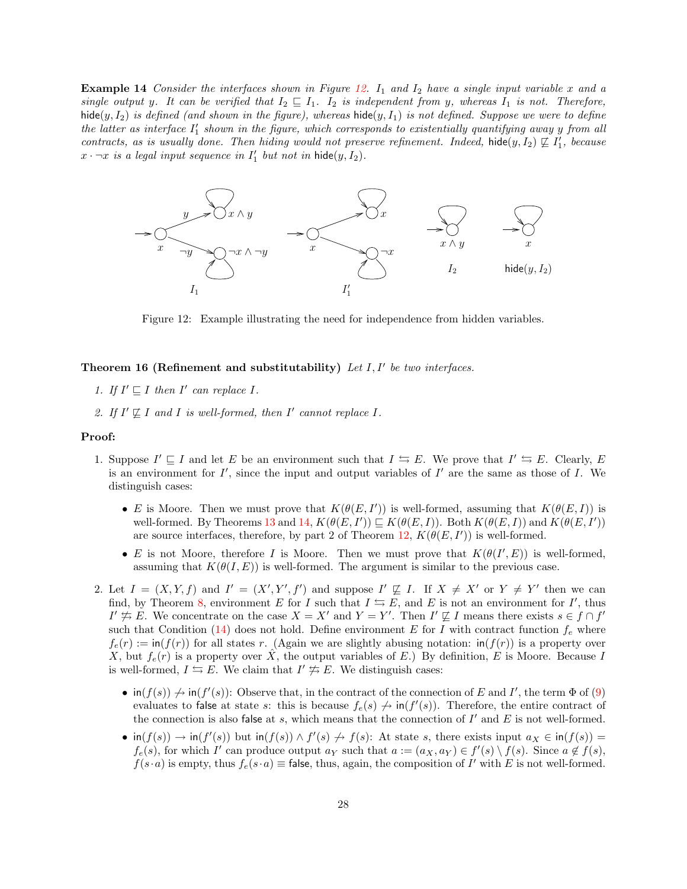**Example 14** Consider the interfaces shown in Figure [12.](#page-27-1)  $I_1$  and  $I_2$  have a single input variable x and a single output y. It can be verified that  $I_2 \sqsubseteq I_1$ .  $I_2$  is independent from y, whereas  $I_1$  is not. Therefore, hide(y,  $I_2$ ) is defined (and shown in the figure), whereas hide(y,  $I_1$ ) is not defined. Suppose we were to define the latter as interface  $I'_1$  shown in the figure, which corresponds to existentially quantifying away y from all contracts, as is usually done. Then hiding would not preserve refinement. Indeed, hide $(y, I_2) \not\sqsubseteq I'_1$ , because  $x \cdot \neg x$  is a legal input sequence in  $I'_1$  but not in hide $(y, I_2)$ .



<span id="page-27-1"></span>Figure 12: Example illustrating the need for independence from hidden variables.

### <span id="page-27-0"></span>Theorem 16 (Refinement and substitutability) Let  $I, I'$  be two interfaces.

- 1. If  $I' \sqsubseteq I$  then  $I'$  can replace I.
- 2. If  $I' \not\sqsubseteq I$  and  $I$  is well-formed, then  $I'$  cannot replace  $I$ .

### Proof:

- 1. Suppose  $I' \sqsubseteq I$  and let E be an environment such that  $I \leftrightarrows E$ . We prove that  $I' \leftrightarrows E$ . Clearly, E is an environment for  $I'$ , since the input and output variables of  $I'$  are the same as those of  $I$ . We distinguish cases:
	- E is Moore. Then we must prove that  $K(\theta(E, I'))$  is well-formed, assuming that  $K(\theta(E, I))$  is well-formed. By Theorems [13](#page-24-0) and [14,](#page-25-0)  $K(\theta(E, I')) \sqsubseteq K(\theta(E, I))$ . Both  $K(\theta(E, I))$  and  $K(\theta(E, I'))$ are source interfaces, therefore, by part 2 of Theorem [12,](#page-23-1)  $K(\theta(E, I'))$  is well-formed.
	- E is not Moore, therefore I is Moore. Then we must prove that  $K(\theta(I', E))$  is well-formed, assuming that  $K(\theta(I, E))$  is well-formed. The argument is similar to the previous case.
- 2. Let  $I = (X, Y, f)$  and  $I' = (X', Y', f')$  and suppose  $I' \not\sqsubseteq I$ . If  $X \neq X'$  or  $Y \neq Y'$  then we can find, by Theorem [8,](#page-19-2) environment E for I such that  $I \subseteq E$ , and E is not an environment for I', thus  $I' \neq E$ . We concentrate on the case  $X = X'$  and  $Y = Y'$ . Then  $I' \not\sqsubseteq I$  means there exists  $s \in f \cap f'$ such that Condition [\(14\)](#page-20-3) does not hold. Define environment E for I with contract function  $f_e$  where  $f_e(r) := \inf(f(r))$  for all states r. (Again we are slightly abusing notation:  $\inf(f(r))$  is a property over X, but  $f_e(r)$  is a property over  $\hat{X}$ , the output variables of E.) By definition, E is Moore. Because I is well-formed,  $I \leftrightarrows E$ . We claim that  $I' \not\equiv E$ . We distinguish cases:
	- $\text{in}(f(s)) \nrightarrow \text{in}(f'(s))$ : Observe that, in the contract of the connection of E and I', the term  $\Phi$  of [\(9\)](#page-9-0) evaluates to false at state s: this is because  $f_e(s) \nightharpoonup \text{in}(f'(s))$ . Therefore, the entire contract of the connection is also false at  $s$ , which means that the connection of  $I'$  and  $E$  is not well-formed.
	- $\text{in}(f(s)) \to \text{in}(f'(s))$  but  $\text{in}(f(s)) \land f'(s) \nightharpoonup f(s)$ : At state s, there exists input  $a_X \in \text{in}(f(s)) =$  $f_e(s)$ , for which I' can produce output  $a_Y$  such that  $a := (a_X, a_Y) \in f'(s) \setminus f(s)$ . Since  $a \notin f(s)$ ,  $f(s \cdot a)$  is empty, thus  $f_e(s \cdot a) \equiv$  false, thus, again, the composition of I' with E is not well-formed.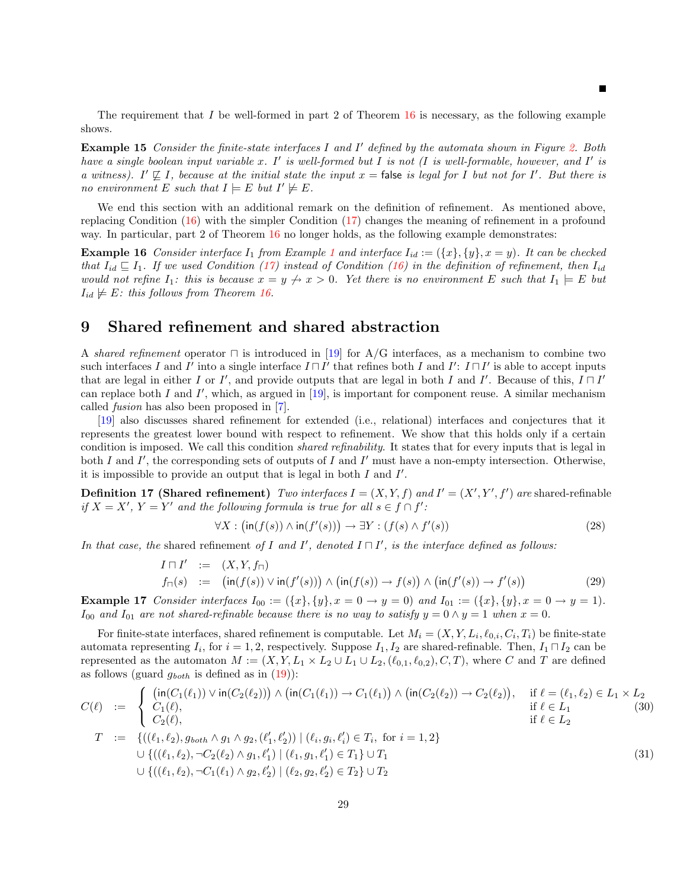The requirement that I be well-formed in part 2 of Theorem  $16$  is necessary, as the following example shows.

**Example 15** Consider the finite-state interfaces I and I' defined by the automata shown in Figure [2.](#page-7-1) Both have a single boolean input variable x.  $I'$  is well-formed but I is not (I is well-formable, however, and  $I'$  is a witness). I'  $\nsubseteq$  I, because at the initial state the input  $x =$  false is legal for I but not for I'. But there is no environment E such that  $I \models E$  but  $I' \not\models E$ .

We end this section with an additional remark on the definition of refinement. As mentioned above, replacing Condition [\(16\)](#page-21-0) with the simpler Condition [\(17\)](#page-21-1) changes the meaning of refinement in a profound way. In particular, part 2 of Theorem [16](#page-27-0) no longer holds, as the following example demonstrates:

**Example [1](#page-5-0)6** Consider interface  $I_1$  from Example 1 and interface  $I_{id} := (\{x\}, \{y\}, x = y)$ . It can be checked that  $I_{id} \sqsubseteq I_1$ . If we used Condition [\(17\)](#page-21-1) instead of Condition [\(16\)](#page-21-0) in the definition of refinement, then  $I_{id}$ would not refine  $I_1$ : this is because  $x = y \nightharpoonup x > 0$ . Yet there is no environment E such that  $I_1 \models E$  but  $I_{id} \not\models E:$  this follows from Theorem [16.](#page-27-0)

### <span id="page-28-0"></span>9 Shared refinement and shared abstraction

A shared refinement operator  $\Box$  is introduced in [\[19\]](#page-37-4) for A/G interfaces, as a mechanism to combine two such interfaces I and I' into a single interface  $I \sqcap I'$  that refines both I and I':  $I \sqcap I'$  is able to accept inputs that are legal in either I or I', and provide outputs that are legal in both I and I'. Because of this,  $I \sqcap I'$ can replace both I and I', which, as argued in  $[19]$ , is important for component reuse. A similar mechanism called fusion has also been proposed in [\[7\]](#page-37-15).

[\[19\]](#page-37-4) also discusses shared refinement for extended (i.e., relational) interfaces and conjectures that it represents the greatest lower bound with respect to refinement. We show that this holds only if a certain condition is imposed. We call this condition shared refinability. It states that for every inputs that is legal in both I and I', the corresponding sets of outputs of I and I' must have a non-empty intersection. Otherwise, it is impossible to provide an output that is legal in both  $I$  and  $I'$ .

<span id="page-28-5"></span>**Definition 17 (Shared refinement)** Two interfaces  $I = (X, Y, f)$  and  $I' = (X', Y', f')$  are shared-refinable if  $X = X'$ ,  $Y = Y'$  and the following formula is true for all  $s \in f \cap f'$ :

<span id="page-28-2"></span><span id="page-28-1"></span>
$$
\forall X : (\text{in}(f(s)) \land \text{in}(f'(s))) \to \exists Y : (f(s) \land f'(s))
$$
\n(28)

In that case, the shared refinement of I and I', denoted  $I \sqcap I'$ , is the interface defined as follows:

<span id="page-28-3"></span>
$$
I \sqcap I' := (X, Y, f_{\sqcap})
$$
  

$$
f_{\sqcap}(s) := (\text{in}(f(s)) \vee \text{in}(f'(s))) \wedge (\text{in}(f(s)) \to f(s)) \wedge (\text{in}(f'(s)) \to f'(s))
$$
 (29)

<span id="page-28-4"></span>**Example 17** Consider interfaces  $I_{00} := (\{x\}, \{y\}, x = 0 \rightarrow y = 0)$  and  $I_{01} := (\{x\}, \{y\}, x = 0 \rightarrow y = 1)$ .  $I_{00}$  and  $I_{01}$  are not shared-refinable because there is no way to satisfy  $y = 0 \land y = 1$  when  $x = 0$ .

For finite-state interfaces, shared refinement is computable. Let  $M_i = (X, Y, L_i, \ell_{0,i}, C_i, T_i)$  be finite-state automata representing  $I_i$ , for  $i = 1, 2$ , respectively. Suppose  $I_1, I_2$  are shared-refinable. Then,  $I_1 \sqcap I_2$  can be represented as the automaton  $M := (X, Y, L_1 \times L_2 \cup L_1 \cup L_2, (\ell_{0,1}, \ell_{0,2}), C, T)$ , where C and T are defined as follows (guard  $g_{both}$  is defined as in [\(19\)](#page-22-3)):

$$
C(\ell) := \begin{cases} (\text{in}(C_1(\ell_1)) \vee \text{in}(C_2(\ell_2))) \wedge (\text{in}(C_1(\ell_1)) \to C_1(\ell_1)) \wedge (\text{in}(C_2(\ell_2)) \to C_2(\ell_2)), & \text{if } \ell = (\ell_1, \ell_2) \in L_1 \times L_2 \\ C_1(\ell), & \text{if } \ell \in L_1 \\ C_2(\ell), & \text{if } \ell \in L_2 \end{cases} (30)
$$
  
\n
$$
T := \{((\ell_1, \ell_2), g_{both} \wedge g_1 \wedge g_2, (\ell'_1, \ell'_2)) \mid (\ell_i, g_i, \ell'_i) \in T_i, \text{ for } i = 1, 2\}
$$
  
\n
$$
\cup \{((\ell_1, \ell_2), \neg C_2(\ell_2) \wedge g_1, \ell'_1) \mid (\ell_1, g_1, \ell'_1) \in T_1\} \cup T_1
$$
  
\n
$$
\cup \{((\ell_1, \ell_2), \neg C_1(\ell_1) \wedge g_2, \ell'_2) \mid (\ell_2, g_2, \ell'_2) \in T_2\} \cup T_2
$$
  
\n(31)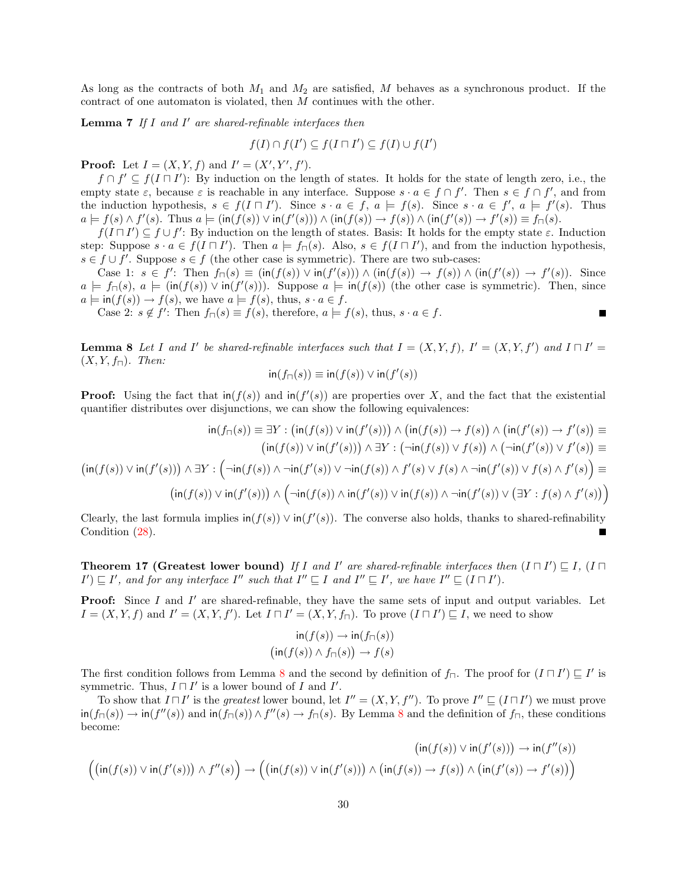As long as the contracts of both  $M_1$  and  $M_2$  are satisfied, M behaves as a synchronous product. If the contract of one automaton is violated, then M continues with the other.

<span id="page-29-1"></span>**Lemma 7** If I and I' are shared-refinable interfaces then

$$
f(I) \cap f(I') \subseteq f(I \sqcap I') \subseteq f(I) \cup f(I')
$$

**Proof:** Let  $I = (X, Y, f)$  and  $I' = (X', Y', f')$ .

 $f \cap f' \subseteq f(I \sqcap I')$ : By induction on the length of states. It holds for the state of length zero, i.e., the empty state  $\varepsilon$ , because  $\varepsilon$  is reachable in any interface. Suppose  $s \cdot a \in f \cap f'$ . Then  $s \in f \cap f'$ , and from the induction hypothesis,  $s \in f(I \sqcap I')$ . Since  $s \cdot a \in f$ ,  $a \models f(s)$ . Since  $s \cdot a \in f'$ ,  $a \models f'(s)$ . Thus  $a \models f(s) \land f'(s)$ . Thus  $a \models (\text{in}(f(s)) \lor \text{in}(f'(s))) \land (\text{in}(f(s)) \rightarrow f(s)) \land (\text{in}(f'(s)) \rightarrow f'(s)) \equiv f_{\sqcap}(s)$ .

 $f(I \sqcap I') \subseteq f \cup f'$ : By induction on the length of states. Basis: It holds for the empty state  $\varepsilon$ . Induction step: Suppose  $s \cdot a \in f(I \cap I')$ . Then  $a \models f_{\sqcap}(s)$ . Also,  $s \in f(I \cap I')$ , and from the induction hypothesis,  $s \in f \cup f'$ . Suppose  $s \in f$  (the other case is symmetric). There are two sub-cases:

Case 1:  $s \in f'$ : Then  $f_{\sqcap}(s) \equiv (\text{in}(f(s)) \vee \text{in}(f'(s))) \wedge (\text{in}(f(s)) \rightarrow f(s)) \wedge (\text{in}(f'(s)) \rightarrow f'(s))$ . Since  $a \models f_{\sqcap}(s), a \models (\text{in}(f(s)) \vee \text{in}(f'(s)))$ . Suppose  $a \models \text{in}(f(s))$  (the other case is symmetric). Then, since  $a \models \textsf{in}(f(s)) \rightarrow f(s)$ , we have  $a \models f(s)$ , thus,  $s \cdot a \in f$ .

Г

Case 2:  $s \notin f'$ : Then  $f_{\sqcap}(s) \equiv f(s)$ , therefore,  $a \models f(s)$ , thus,  $s \cdot a \in f$ .

<span id="page-29-0"></span>**Lemma 8** Let I and I' be shared-refinable interfaces such that  $I = (X, Y, f)$ ,  $I' = (X, Y, f')$  and  $I \sqcap I' = I'$  $(X, Y, f_{\sqcap})$ . Then:

$$
\operatorname{in}(f_{\square}(s)) \equiv \operatorname{in}(f(s)) \vee \operatorname{in}(f'(s))
$$

**Proof:** Using the fact that  $\text{in}(f(s))$  and  $\text{in}(f'(s))$  are properties over X, and the fact that the existential quantifier distributes over disjunctions, we can show the following equivalences:

$$
\operatorname{in}(f_{\sqcap}(s)) \equiv \exists Y : (\operatorname{in}(f(s)) \vee \operatorname{in}(f'(s))) \wedge (\operatorname{in}(f(s)) \to f(s)) \wedge (\operatorname{in}(f'(s)) \to f'(s)) \equiv
$$

$$
(\operatorname{in}(f(s)) \vee \operatorname{in}(f'(s))) \wedge \exists Y : (\neg \operatorname{in}(f(s)) \vee f(s)) \wedge (\neg \operatorname{in}(f'(s)) \vee f'(s)) \equiv
$$

$$
(\operatorname{in}(f(s)) \vee \operatorname{in}(f'(s))) \wedge \exists Y : (\neg \operatorname{in}(f(s)) \wedge \neg \operatorname{in}(f'(s)) \wedge f'(s) \vee f(s) \wedge \neg \operatorname{in}(f'(s)) \vee f(s) \wedge f'(s)) \equiv
$$

$$
(\operatorname{in}(f(s)) \vee \operatorname{in}(f'(s))) \wedge (\neg \operatorname{in}(f(s)) \wedge \operatorname{in}(f'(s)) \vee \operatorname{in}(f(s)) \wedge \neg \operatorname{in}(f'(s)) \vee (\exists Y : f(s) \wedge f'(s))
$$

Clearly, the last formula implies  $\text{in}(f(s)) \vee \text{in}(f'(s))$ . The converse also holds, thanks to shared-refinability Condition [\(28\)](#page-28-2).

**Theorem 17 (Greatest lower bound)** If I and I' are shared-refinable interfaces then  $(I \sqcap I') \sqsubseteq I$ ,  $(I \sqcap I')$  $I' \subseteq I'$ , and for any interface I'' such that  $I'' \subseteq I$  and  $I'' \subseteq I'$ , we have  $I'' \subseteq (I \sqcap I')$ .

**Proof:** Since  $I$  and  $I'$  are shared-refinable, they have the same sets of input and output variables. Let  $I = (X, Y, f)$  and  $I' = (X, Y, f')$ . Let  $I \sqcap I' = (X, Y, f_{\sqcap})$ . To prove  $(I \sqcap I') \sqsubseteq I$ , we need to show

$$
\operatorname{in}(f(s)) \to \operatorname{in}(f_{\sqcap}(s))
$$

$$
(\operatorname{in}(f(s)) \land f_{\sqcap}(s)) \to f(s)
$$

The first condition follows from Lemma [8](#page-29-0) and the second by definition of  $f_{\Box}$ . The proof for  $(I \Box I') \sqsubseteq I'$  is symmetric. Thus,  $I \sqcap I'$  is a lower bound of I and I'.

To show that  $I \sqcap I'$  is the greatest lower bound, let  $I'' = (X, Y, f'')$ . To prove  $I'' \sqsubseteq (I \sqcap I')$  we must prove  $\text{in}(f_{\Pi}(s)) \to \text{in}(f''(s))$  and  $\text{in}(f_{\Pi}(s)) \wedge f''(s) \to f_{\Pi}(s)$ . By Lemma [8](#page-29-0) and the definition of  $f_{\Pi}$ , these conditions become:

$$
\left(\operatorname{in}(f(s)) \vee \operatorname{in}(f'(s))\right) \to \operatorname{in}(f''(s))
$$
  

$$
\left(\left(\operatorname{in}(f(s)) \vee \operatorname{in}(f'(s))\right) \wedge f''(s)\right) \to \left(\left(\operatorname{in}(f(s)) \vee \operatorname{in}(f'(s))\right) \wedge \left(\operatorname{in}(f(s)) \to f(s)\right) \wedge \left(\operatorname{in}(f'(s)) \to f'(s)\right)\right)
$$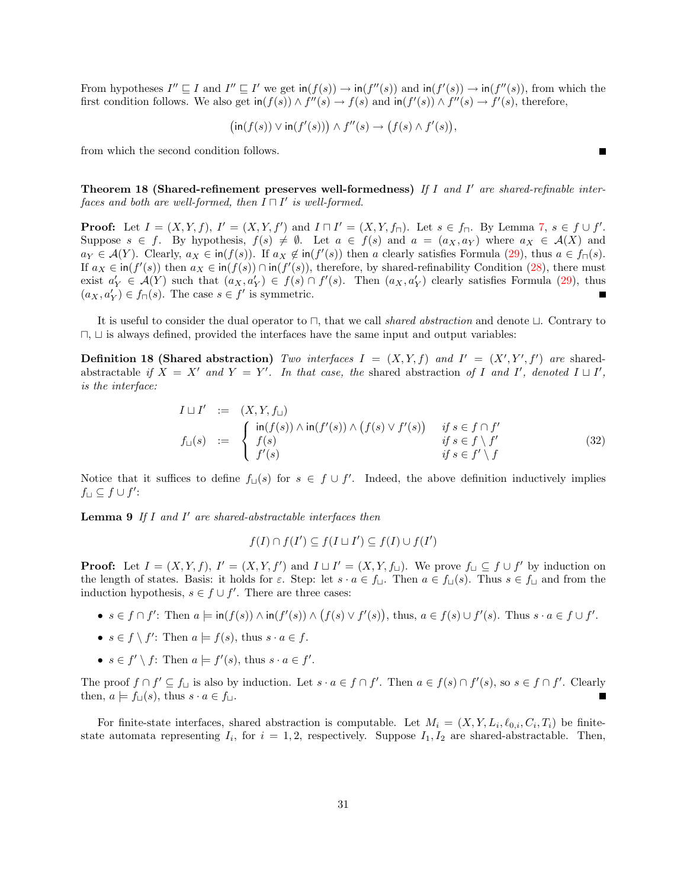From hypotheses  $I'' \sqsubseteq I$  and  $I'' \sqsubseteq I'$  we get  $\text{in}(f(s)) \to \text{in}(f''(s))$  and  $\text{in}(f'(s)) \to \text{in}(f''(s))$ , from which the first condition follows. We also get  $\text{in}(f(s)) \wedge f''(s) \to f(s)$  and  $\text{in}(f'(s)) \wedge f''(s) \to f'(s)$ , therefore,

$$
(\text{in}(f(s)) \vee \text{in}(f'(s))) \wedge f''(s) \rightarrow (f(s) \wedge f'(s)),
$$

from which the second condition follows.

Theorem 18 (Shared-refinement preserves well-formedness) If I and I' are shared-refinable interfaces and both are well-formed, then  $I \sqcap I'$  is well-formed.

**Proof:** Let  $I = (X, Y, f)$ ,  $I' = (X, Y, f')$  and  $I \sqcap I' = (X, Y, f_{\sqcap})$ . Let  $s \in f_{\sqcap}$ . By Lemma [7,](#page-29-1)  $s \in f \cup f'$ . Suppose  $s \in f$ . By hypothesis,  $f(s) \neq \emptyset$ . Let  $a \in f(s)$  and  $a = (a_X, a_Y)$  where  $a_X \in \mathcal{A}(X)$  and  $a_Y \in \mathcal{A}(Y)$ . Clearly,  $a_X \in \text{in}(f(s))$ . If  $a_X \notin \text{in}(f'(s))$  then a clearly satisfies Formula [\(29\)](#page-28-3), thus  $a \in f_{\square}(s)$ . If  $a_X \in \text{in}(f'(s))$  then  $a_X \in \text{in}(f(s)) \cap \text{in}(f'(s))$ , therefore, by shared-refinability Condition [\(28\)](#page-28-2), there must exist  $a'_Y \in \mathcal{A}(Y)$  such that  $(a_X, a'_Y) \in f(s) \cap f'(s)$ . Then  $(a_X, a'_Y)$  clearly satisfies Formula [\(29\)](#page-28-3), thus  $(a_X, a'_Y) \in f_{\sqcap}(s)$ . The case  $s \in f'$  is symmetric.

It is useful to consider the dual operator to  $\Box$ , that we call shared abstraction and denote  $\Box$ . Contrary to  $\Box$ ,  $\Box$  is always defined, provided the interfaces have the same input and output variables:

<span id="page-30-1"></span>**Definition 18 (Shared abstraction)** Two interfaces  $I = (X, Y, f)$  and  $I' = (X', Y', f')$  are sharedabstractable if  $X = X'$  and  $Y = Y'$ . In that case, the shared abstraction of I and I', denoted  $I \sqcup I'$ , is the interface:

$$
I \sqcup I' := (X, Y, f_{\sqcup})
$$
  
\n
$$
f_{\sqcup}(s) := \begin{cases} \operatorname{in}(f(s)) \wedge \operatorname{in}(f'(s)) \wedge (f(s) \vee f'(s)) & \text{if } s \in f \cap f' \\ f(s) & \text{if } s \in f \setminus f' \\ f'(s) & \text{if } s \in f' \setminus f \end{cases}
$$
\n(32)

Notice that it suffices to define  $f_{\Box}(s)$  for  $s \in f \cup f'$ . Indeed, the above definition inductively implies  $f\lrcorner \subseteq f\cup f'$ :

<span id="page-30-0"></span>**Lemma 9** If  $I$  and  $I'$  are shared-abstractable interfaces then

$$
f(I) \cap f(I') \subseteq f(I \sqcup I') \subseteq f(I) \cup f(I')
$$

**Proof:** Let  $I = (X, Y, f)$ ,  $I' = (X, Y, f')$  and  $I \sqcup I' = (X, Y, f_{\sqcup})$ . We prove  $f_{\sqcup} \subseteq f \cup f'$  by induction on the length of states. Basis: it holds for  $\varepsilon$ . Step: let  $s \cdot a \in f_{\square}$ . Then  $a \in f_{\square}(s)$ . Thus  $s \in f_{\square}$  and from the induction hypothesis,  $s \in f \cup f'$ . There are three cases:

- $s \in f \cap f'$ : Then  $a \models \text{in}(f(s)) \land \text{in}(f'(s)) \land (f(s) \lor f'(s))$ , thus,  $a \in f(s) \cup f'(s)$ . Thus  $s \cdot a \in f \cup f'$ .
- $s \in f \setminus f'$ : Then  $a \models f(s)$ , thus  $s \cdot a \in f$ .
- $s \in f' \setminus f$ : Then  $a \models f'(s)$ , thus  $s \cdot a \in f'$ .

The proof  $f \cap f' \subseteq f_{\sqcup}$  is also by induction. Let  $s \cdot a \in f \cap f'$ . Then  $a \in f(s) \cap f'(s)$ , so  $s \in f \cap f'$ . Clearly then,  $a \models f_{\sqcup}(s)$ , thus  $s \cdot a \in f_{\sqcup}$ .

For finite-state interfaces, shared abstraction is computable. Let  $M_i = (X, Y, L_i, \ell_{0,i}, C_i, T_i)$  be finitestate automata representing  $I_i$ , for  $i = 1, 2$ , respectively. Suppose  $I_1, I_2$  are shared-abstractable. Then,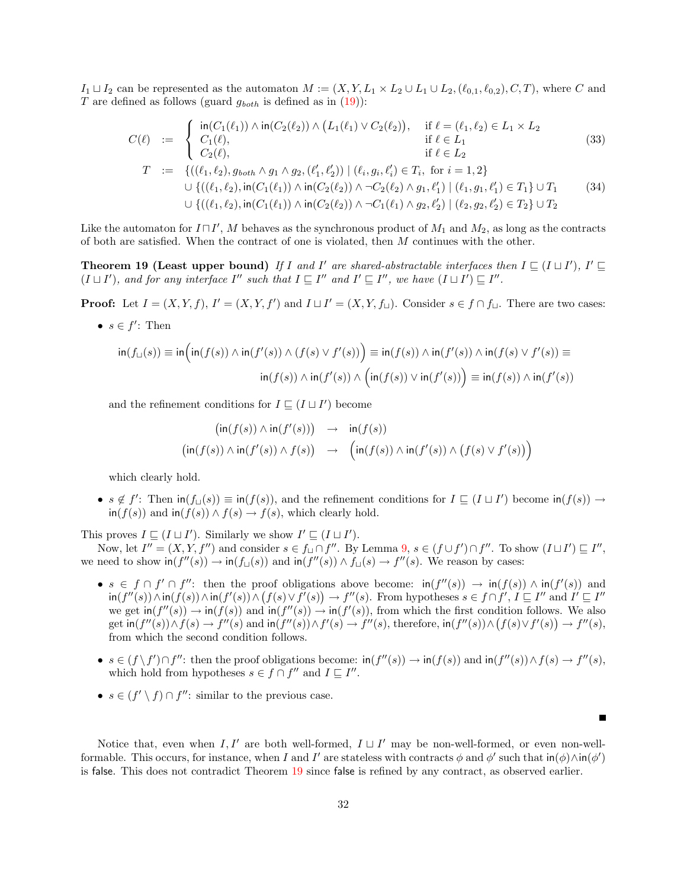$I_1 \sqcup I_2$  can be represented as the automaton  $M := (X, Y, L_1 \times L_2 \cup L_1 \cup L_2, (\ell_{0,1}, \ell_{0,2}), C, T)$ , where C and T are defined as follows (guard  $g_{both}$  is defined as in  $(19)$ ):

$$
C(\ell) := \begin{cases} \n\text{in}(C_1(\ell_1)) \wedge \text{in}(C_2(\ell_2)) \wedge (L_1(\ell_1) \vee C_2(\ell_2)), & \text{if } \ell = (\ell_1, \ell_2) \in L_1 \times L_2 \\
C_1(\ell), & \text{if } \ell \in L_1 \\
C_2(\ell), & \text{if } \ell \in L_2\n\end{cases} \tag{33}
$$
\n
$$
T := \{((\ell_1, \ell_2), g_{both} \wedge g_1 \wedge g_2, (\ell'_1, \ell'_2)) \mid (\ell_i, g_i, \ell'_i) \in T_i, \text{ for } i = 1, 2\}
$$
\n
$$
\cup \{((\ell_1, \ell_2), \text{in}(C_1(\ell_1)) \wedge \text{in}(C_2(\ell_2)) \wedge \neg C_2(\ell_2) \wedge g_1, \ell'_1) \mid (\ell_1, g_1, \ell'_1) \in T_1\} \cup T_1 \tag{34}
$$
\n
$$
\cup \{((\ell_1, \ell_2), \text{in}(C_1(\ell_1)) \wedge \text{in}(C_2(\ell_2)) \wedge \neg C_1(\ell_1) \wedge g_2, \ell'_2) \mid (\ell_2, g_2, \ell'_2) \in T_2\} \cup T_2
$$

Like the automaton for  $I \sqcap I'$ , M behaves as the synchronous product of  $M_1$  and  $M_2$ , as long as the contracts of both are satisfied. When the contract of one is violated, then M continues with the other.

<span id="page-31-0"></span>**Theorem 19 (Least upper bound)** If I and I' are shared-abstractable interfaces then  $I \subseteq (I \sqcup I')$ , I'  $\sqsubseteq$  $(I \sqcup I')$ , and for any interface I'' such that  $I \sqsubseteq I''$  and  $I' \sqsubseteq I''$ , we have  $(I \sqcup I') \sqsubseteq I''$ .

**Proof:** Let  $I = (X, Y, f), I' = (X, Y, f')$  and  $I \sqcup I' = (X, Y, f_{\sqcup}).$  Consider  $s \in f \cap f_{\sqcup}.$  There are two cases:

•  $s \in f'$ : Then

$$
\text{in}(f_{\sqcup}(s)) \equiv \text{in}\Big(\text{in}(f(s)) \land \text{in}(f'(s)) \land (f(s) \lor f'(s))\Big) \equiv \text{in}(f(s)) \land \text{in}(f'(s)) \land \text{in}(f(s) \lor f'(s)) \equiv \text{in}(f(s)) \land \text{in}(f'(s)) \land \text{in}(f'(s)) \land \text{in}(f'(s)) \land \text{in}(f'(s)) \Big)
$$

and the refinement conditions for  $I \subseteq (I \sqcup I')$  become

$$
\begin{array}{rcl} \bigl(\operatorname{in}(f(s))\wedge \operatorname{in}(f'(s))\bigr) & \to & \operatorname{in}(f(s)) \\ \bigl(\operatorname{in}(f(s))\wedge \operatorname{in}(f'(s))\wedge f(s)\bigr) & \to & \Bigl(\operatorname{in}(f(s))\wedge \operatorname{in}(f'(s))\wedge \bigl(f(s)\vee f'(s)\bigr)\Bigr) \end{array}
$$

which clearly hold.

•  $s \notin f'$ : Then  $\text{in}(f(\textbf{s})) \equiv \text{in}(f(s))$ , and the refinement conditions for  $I \sqsubseteq (I \sqcup I')$  become  $\text{in}(f(s)) \rightarrow$  $\text{in}(f(s))$  and  $\text{in}(f(s)) \wedge f(s) \rightarrow f(s)$ , which clearly hold.

This proves  $I \subseteq (I \sqcup I')$ . Similarly we show  $I' \subseteq (I \sqcup I')$ .

Now, let  $I'' = (X, Y, f'')$  and consider  $s \in f_{\sqcup} \cap f''$ . By Lemma  $9, s \in (f \cup f') \cap f''$  $9, s \in (f \cup f') \cap f''$ . To show  $(I \sqcup I') \sqsubseteq I''$ , we need to show  $\text{in}(f''(s)) \to \text{in}(f_{\sqcup}(s))$  and  $\text{in}(f''(s)) \land f_{\sqcup}(s) \to f''(s)$ . We reason by cases:

- $s \in f \cap f' \cap f''$ : then the proof obligations above become:  $\text{in}(f''(s)) \to \text{in}(f(s)) \land \text{in}(f'(s))$  and  $\text{sin}(f''(s)) \wedge \text{sin}(f(s)) \wedge \text{sin}(f'(s)) \wedge (f(s) \vee f'(s)) \rightarrow f''(s)$ . From hypotheses  $s \in f \cap f', I \sqsubseteq I''$  and  $I' \sqsubseteq I''$ we get  $\text{in}(f''(s)) \to \text{in}(f(s))$  and  $\text{in}(f''(s)) \to \text{in}(f'(s))$ , from which the first condition follows. We also get  $\text{in}(f''(s)) \wedge f(s) \to f''(s)$  and  $\text{in}(f''(s)) \wedge f'(s) \to f''(s)$ , therefore,  $\text{in}(f''(s)) \wedge (f(s) \vee f'(s)) \to f''(s)$ , from which the second condition follows.
- $s \in (f \setminus f') \cap f''$ : then the proof obligations become:  $\text{in}(f''(s)) \to \text{in}(f(s))$  and  $\text{in}(f''(s)) \wedge f(s) \to f''(s)$ , which hold from hypotheses  $s \in f \cap f''$  and  $I \sqsubseteq I''$ .

П

•  $s \in (f' \setminus f) \cap f''$ : similar to the previous case.

Notice that, even when  $I, I'$  are both well-formed,  $I \sqcup I'$  may be non-well-formed, or even non-wellformable. This occurs, for instance, when I and I' are stateless with contracts  $\phi$  and  $\phi'$  such that  $\text{in}(\phi) \wedge \text{in}(\phi')$ is false. This does not contradict Theorem [19](#page-31-0) since false is refined by any contract, as observed earlier.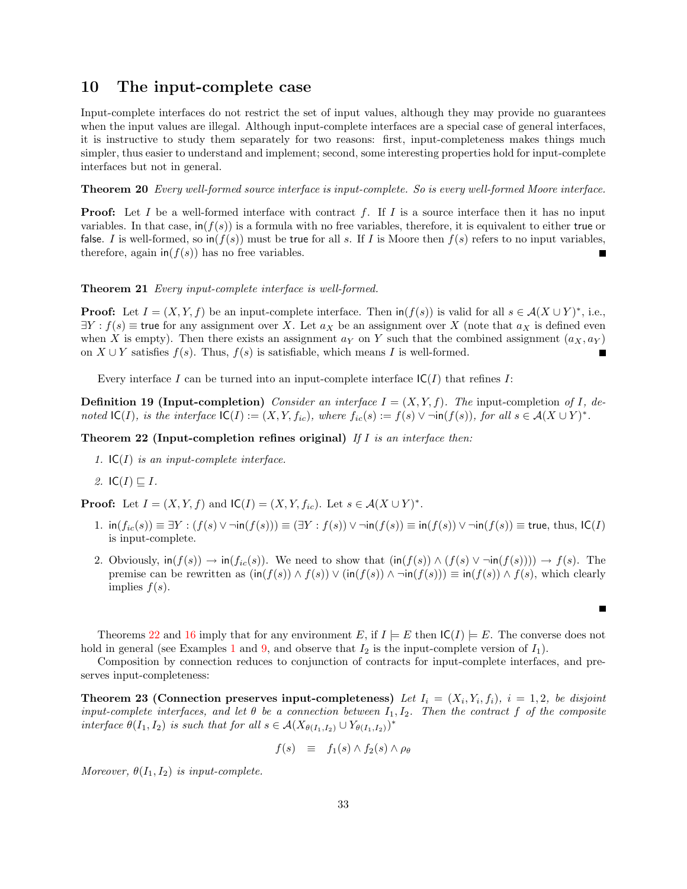### <span id="page-32-0"></span>10 The input-complete case

Input-complete interfaces do not restrict the set of input values, although they may provide no guarantees when the input values are illegal. Although input-complete interfaces are a special case of general interfaces, it is instructive to study them separately for two reasons: first, input-completeness makes things much simpler, thus easier to understand and implement; second, some interesting properties hold for input-complete interfaces but not in general.

<span id="page-32-1"></span>Theorem 20 Every well-formed source interface is input-complete. So is every well-formed Moore interface.

**Proof:** Let I be a well-formed interface with contract f. If I is a source interface then it has no input variables. In that case,  $\text{in}(f(s))$  is a formula with no free variables, therefore, it is equivalent to either true or false. I is well-formed, so  $\ln(f(s))$  must be true for all s. If I is Moore then  $f(s)$  refers to no input variables, therefore, again  $\text{in}(f(s))$  has no free variables.

<span id="page-32-3"></span>Theorem 21 Every input-complete interface is well-formed.

**Proof:** Let  $I = (X, Y, f)$  be an input-complete interface. Then  $\text{in}(f(s))$  is valid for all  $s \in A(X \cup Y)^*$ , i.e.,  $\exists Y : f(s) \equiv$  true for any assignment over X. Let  $a_X$  be an assignment over X (note that  $a_X$  is defined even when X is empty). Then there exists an assignment  $a_Y$  on Y such that the combined assignment  $(a_X, a_Y)$ on  $X \cup Y$  satisfies  $f(s)$ . Thus,  $f(s)$  is satisfiable, which means I is well-formed.

Every interface I can be turned into an input-complete interface  $IC(I)$  that refines I:

**Definition 19 (Input-completion)** Consider an interface  $I = (X, Y, f)$ . The input-completion of I, denoted  $\mathsf{IC}(I)$ , is the interface  $\mathsf{IC}(I) := (X, Y, f_{ic})$ , where  $f_{ic}(s) := f(s) \vee \neg \mathsf{in}(f(s))$ , for all  $s \in \mathcal{A}(X \cup Y)^*$ .

<span id="page-32-2"></span>Theorem 22 (Input-completion refines original) If  $I$  is an interface then:

- 1.  $IC(I)$  is an input-complete interface.
- 2. IC(I)  $\sqsubseteq$  I.

**Proof:** Let  $I = (X, Y, f)$  and  $IC(I) = (X, Y, f_{ic})$ . Let  $s \in \mathcal{A}(X \cup Y)^*$ .

- 1.  $\text{in}(f_{ic}(s)) \equiv \exists Y : (f(s) \vee \neg \text{in}(f(s))) \equiv (\exists Y : f(s)) \vee \neg \text{in}(f(s)) \equiv \text{in}(f(s)) \vee \neg \text{in}(f(s)) \equiv \text{true}, \text{thus}, \text{IC}(I)$ is input-complete.
- 2. Obviously,  $\text{in}(f(s)) \to \text{in}(f_{ic}(s))$ . We need to show that  $(\text{in}(f(s)) \wedge (f(s) \vee \neg \text{in}(f(s)))) \to f(s)$ . The premise can be rewritten as  $(\text{in}(f(s)) \wedge f(s)) \vee (\text{in}(f(s)) \wedge \neg \text{in}(f(s))) \equiv \text{in}(f(s)) \wedge f(s)$ , which clearly implies  $f(s)$ .

Г

Theorems [22](#page-32-2) and [16](#page-27-0) imply that for any environment E, if  $I \models E$  then  $\mathsf{IC}(I) \models E$ . The converse does not hold in general (see Examples [1](#page-5-0) and [9,](#page-19-3) and observe that  $I_2$  is the input-complete version of  $I_1$ ).

Composition by connection reduces to conjunction of contracts for input-complete interfaces, and preserves input-completeness:

<span id="page-32-4"></span>**Theorem 23 (Connection preserves input-completeness)** Let  $I_i = (X_i, Y_i, f_i)$ ,  $i = 1, 2$ , be disjoint input-complete interfaces, and let  $\theta$  be a connection between  $I_1, I_2$ . Then the contract f of the composite interface  $\theta(I_1, I_2)$  is such that for all  $s \in \mathcal{A}(X_{\theta(I_1, I_2)} \cup Y_{\theta(I_1, I_2)})^*$ 

$$
f(s) \equiv f_1(s) \wedge f_2(s) \wedge \rho_\theta
$$

Moreover,  $\theta(I_1, I_2)$  is input-complete.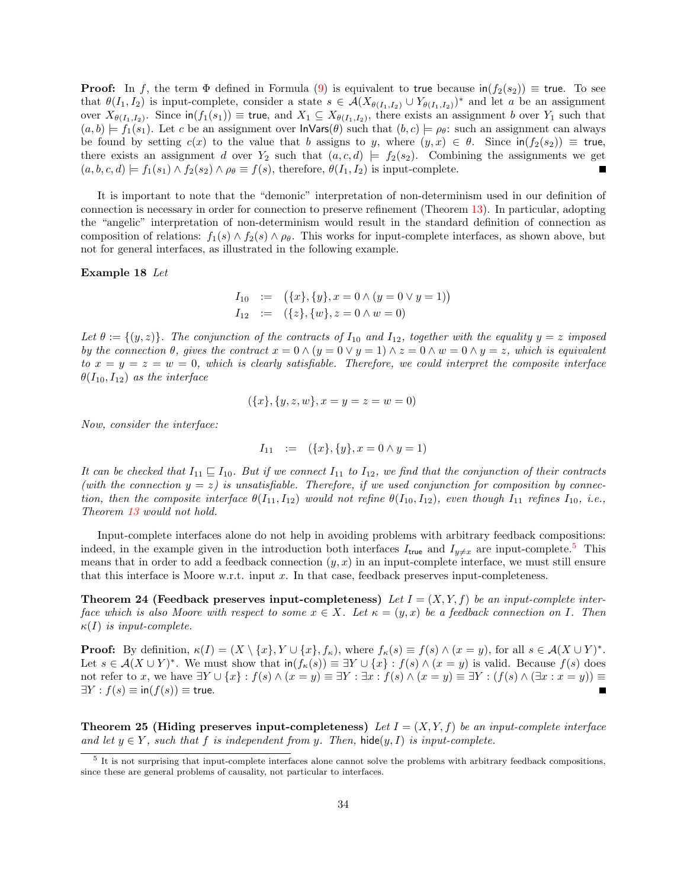**Proof:** In f, the term  $\Phi$  defined in Formula [\(9\)](#page-9-0) is equivalent to true because  $\text{in}(f_2(s_2)) \equiv \text{true}$ . To see that  $\theta(I_1, I_2)$  is input-complete, consider a state  $s \in \mathcal{A}(X_{\theta(I_1,I_2)} \cup Y_{\theta(I_1,I_2)})^*$  and let a be an assignment over  $X_{\theta(I_1,I_2)}$ . Since  $\textsf{in}(f_1(s_1)) \equiv \textsf{true}$ , and  $X_1 \subseteq X_{\theta(I_1,I_2)}$ , there exists an assignment b over  $Y_1$  such that  $(a, b) \models f_1(s_1)$ . Let c be an assignment over  $\textsf{Inv}(\theta)$  such that  $(b, c) \models \rho_\theta$ : such an assignment can always be found by setting  $c(x)$  to the value that b assigns to y, where  $(y, x) \in \theta$ . Since  $\text{in}(f_2(s_2)) \equiv \text{true}$ , there exists an assignment d over  $Y_2$  such that  $(a, c, d) \models f_2(s_2)$ . Combining the assignments we get  $(a, b, c, d) \models f_1(s_1) \land f_2(s_2) \land \rho_\theta \equiv f(s)$ , therefore,  $\theta(I_1, I_2)$  is input-complete. Г

It is important to note that the "demonic" interpretation of non-determinism used in our definition of connection is necessary in order for connection to preserve refinement (Theorem [13\)](#page-24-0). In particular, adopting the "angelic" interpretation of non-determinism would result in the standard definition of connection as composition of relations:  $f_1(s) \wedge f_2(s) \wedge \rho_\theta$ . This works for input-complete interfaces, as shown above, but not for general interfaces, as illustrated in the following example.

### <span id="page-33-0"></span>Example 18 Let

$$
I_{10} := (\{x\}, \{y\}, x = 0 \land (y = 0 \lor y = 1))
$$
  

$$
I_{12} := (\{z\}, \{w\}, z = 0 \land w = 0)
$$

Let  $\theta := \{(y, z)\}\.$  The conjunction of the contracts of  $I_{10}$  and  $I_{12}$ , together with the equality  $y = z$  imposed by the connection  $\theta$ , gives the contract  $x = 0 \wedge (y = 0 \vee y = 1) \wedge z = 0 \wedge w = 0 \wedge y = z$ , which is equivalent to  $x = y = z = w = 0$ , which is clearly satisfiable. Therefore, we could interpret the composite interface  $\theta(I_{10}, I_{12})$  as the interface

$$
(\{x\}, \{y, z, w\}, x = y = z = w = 0)
$$

Now, consider the interface:

$$
I_{11} := (\{x\}, \{y\}, x = 0 \land y = 1)
$$

It can be checked that  $I_{11} \sqsubseteq I_{10}$ . But if we connect  $I_{11}$  to  $I_{12}$ , we find that the conjunction of their contracts (with the connection  $y = z$ ) is unsatisfiable. Therefore, if we used conjunction for composition by connection, then the composite interface  $\theta(I_{11}, I_{12})$  would not refine  $\theta(I_{10}, I_{12})$ , even though  $I_{11}$  refines  $I_{10}$ , i.e., Theorem [13](#page-24-0) would not hold.

Input-complete interfaces alone do not help in avoiding problems with arbitrary feedback compositions: indeed, in the example given in the introduction both interfaces  $I_{true}$  and  $I_{y\neq x}$  are input-complete.<sup>[5](#page-33-1)</sup> This means that in order to add a feedback connection  $(y, x)$  in an input-complete interface, we must still ensure that this interface is Moore w.r.t. input  $x$ . In that case, feedback preserves input-completeness.

<span id="page-33-2"></span>**Theorem 24 (Feedback preserves input-completeness)** Let  $I = (X, Y, f)$  be an input-complete interface which is also Moore with respect to some  $x \in X$ . Let  $\kappa = (y, x)$  be a feedback connection on I. Then  $\kappa(I)$  is input-complete.

**Proof:** By definition,  $\kappa(I) = (X \setminus \{x\}, Y \cup \{x\}, f_{\kappa})$ , where  $f_{\kappa}(s) \equiv f(s) \wedge (x = y)$ , for all  $s \in \mathcal{A}(X \cup Y)^*$ . Let  $s \in A(X \cup Y)^*$ . We must show that  $\text{in}(f_{\kappa}(s)) \equiv \exists Y \cup \{x\} : f(s) \wedge (x = y)$  is valid. Because  $f(s)$  does not refer to x, we have  $\exists Y \cup \{x\} : f(s) \wedge (x = y) \equiv \exists Y : \exists x : f(s) \wedge (x = y) \equiv \exists Y : (f(s) \wedge (\exists x : x = y)) \equiv \exists y : f(s) \wedge (x = y) \equiv \exists y : (f(s) \wedge (\exists x : x = y))$  $\exists Y : f(s) \equiv \text{in}(f(s)) \equiv \text{true}.$ 

**Theorem 25 (Hiding preserves input-completeness)** Let  $I = (X, Y, f)$  be an input-complete interface and let  $y \in Y$ , such that f is independent from y. Then, hide $(y, I)$  is input-complete.

<span id="page-33-1"></span><sup>&</sup>lt;sup>5</sup> It is not surprising that input-complete interfaces alone cannot solve the problems with arbitrary feedback compositions, since these are general problems of causality, not particular to interfaces.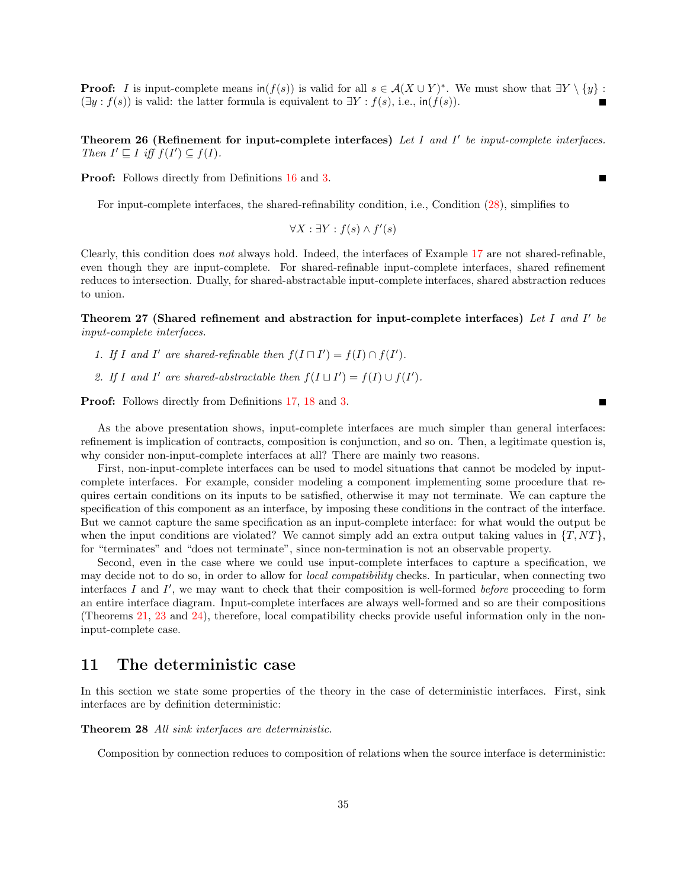**Proof:** I is input-complete means  $\text{in}(f(s))$  is valid for all  $s \in \mathcal{A}(X \cup Y)^*$ . We must show that  $\exists Y \setminus \{y\}$ :  $(\exists y : f(s))$  is valid: the latter formula is equivalent to  $\exists Y : f(s)$ , i.e., in $(f(s))$ .

<span id="page-34-2"></span>Theorem 26 (Refinement for input-complete interfaces) Let I and I' be input-complete interfaces. Then  $I' \sqsubseteq I$  iff  $f(I') \subseteq f(I)$ .

Proof: Follows directly from Definitions [16](#page-20-4) and [3.](#page-5-1)

For input-complete interfaces, the shared-refinability condition, i.e., Condition [\(28\)](#page-28-2), simplifies to

$$
\forall X: \exists Y: f(s) \land f'(s)
$$

Clearly, this condition does not always hold. Indeed, the interfaces of Example [17](#page-28-4) are not shared-refinable, even though they are input-complete. For shared-refinable input-complete interfaces, shared refinement reduces to intersection. Dually, for shared-abstractable input-complete interfaces, shared abstraction reduces to union.

<span id="page-34-4"></span>Theorem 27 (Shared refinement and abstraction for input-complete interfaces) Let I and I' be input-complete interfaces.

- 1. If I and I' are shared-refinable then  $f(I \sqcap I') = f(I) \cap f(I')$ .
- 2. If I and I' are shared-abstractable then  $f(I \sqcup I') = f(I) \cup f(I')$ .

Proof: Follows directly from Definitions [17,](#page-28-5) [18](#page-30-1) and [3.](#page-5-1)

As the above presentation shows, input-complete interfaces are much simpler than general interfaces: refinement is implication of contracts, composition is conjunction, and so on. Then, a legitimate question is, why consider non-input-complete interfaces at all? There are mainly two reasons.

First, non-input-complete interfaces can be used to model situations that cannot be modeled by inputcomplete interfaces. For example, consider modeling a component implementing some procedure that requires certain conditions on its inputs to be satisfied, otherwise it may not terminate. We can capture the specification of this component as an interface, by imposing these conditions in the contract of the interface. But we cannot capture the same specification as an input-complete interface: for what would the output be when the input conditions are violated? We cannot simply add an extra output taking values in  $\{T, NT\}$ , for "terminates" and "does not terminate", since non-termination is not an observable property.

Second, even in the case where we could use input-complete interfaces to capture a specification, we may decide not to do so, in order to allow for local compatibility checks. In particular, when connecting two interfaces  $I$  and  $I'$ , we may want to check that their composition is well-formed before proceeding to form an entire interface diagram. Input-complete interfaces are always well-formed and so are their compositions (Theorems [21,](#page-32-3) [23](#page-32-4) and [24\)](#page-33-2), therefore, local compatibility checks provide useful information only in the noninput-complete case.

# <span id="page-34-0"></span>11 The deterministic case

In this section we state some properties of the theory in the case of deterministic interfaces. First, sink interfaces are by definition deterministic:

<span id="page-34-3"></span>Theorem 28 All sink interfaces are deterministic.

<span id="page-34-1"></span>Composition by connection reduces to composition of relations when the source interface is deterministic:

Е

Е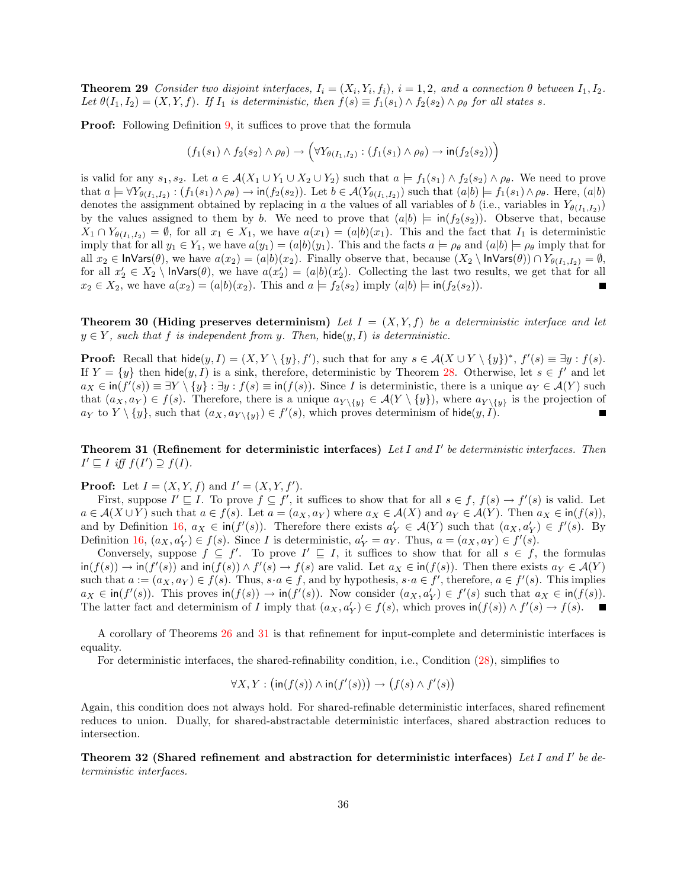**Theorem 29** Consider two disjoint interfaces,  $I_i = (X_i, Y_i, f_i)$ ,  $i = 1, 2$ , and a connection  $\theta$  between  $I_1, I_2$ . Let  $\theta(I_1, I_2) = (X, Y, f)$ . If  $I_1$  is deterministic, then  $f(s) \equiv f_1(s_1) \wedge f_2(s_2) \wedge \rho_{\theta}$  for all states s.

**Proof:** Following Definition [9,](#page-8-2) it suffices to prove that the formula

$$
(f_1(s_1) \wedge f_2(s_2) \wedge \rho_\theta) \rightarrow (\forall Y_{\theta(I_1,I_2)} : (f_1(s_1) \wedge \rho_\theta) \rightarrow \text{in}(f_2(s_2)))
$$

is valid for any  $s_1, s_2$ . Let  $a \in \mathcal{A}(X_1 \cup Y_1 \cup X_2 \cup Y_2)$  such that  $a \models f_1(s_1) \wedge f_2(s_2) \wedge \rho_\theta$ . We need to prove that  $a \models \forall Y_{\theta(I_1,I_2)} : (f_1(s_1) \land \rho_\theta) \rightarrow \text{in}(f_2(s_2))$ . Let  $b \in \mathcal{A}(Y_{\theta(I_1,I_2)})$  such that  $(a|b) \models f_1(s_1) \land \rho_\theta$ . Here,  $(a|b)$ denotes the assignment obtained by replacing in a the values of all variables of b (i.e., variables in  $Y_{\theta(I_1,I_2)}$ ) by the values assigned to them by b. We need to prove that  $(a|b) \models \text{in}(f_2(s_2))$ . Observe that, because  $X_1 \cap Y_{\theta(I_1,I_2)} = \emptyset$ , for all  $x_1 \in X_1$ , we have  $a(x_1) = (a|b)(x_1)$ . This and the fact that  $I_1$  is deterministic imply that for all  $y_1 \in Y_1$ , we have  $a(y_1) = (a|b)(y_1)$ . This and the facts  $a \models \rho_\theta$  and  $(a|b) \models \rho_\theta$  imply that for all  $x_2 \in \text{InVars}(\theta)$ , we have  $a(x_2) = (a|b)(x_2)$ . Finally observe that, because  $(X_2 \setminus \text{InVars}(\theta)) \cap Y_{\theta(I_1,I_2)} = \emptyset$ , for all  $x_2' \in X_2 \setminus \text{InVars}(\theta)$ , we have  $a(x_2') = (a|b)(x_2')$ . Collecting the last two results, we get that for all  $x_2 \in X_2$ , we have  $a(x_2) = (a|b)(x_2)$ . This and  $a \models f_2(s_2)$  imply  $(a|b) \models \text{in}(f_2(s_2))$ . Е

**Theorem 30 (Hiding preserves determinism)** Let  $I = (X, Y, f)$  be a deterministic interface and let  $y \in Y$ , such that f is independent from y. Then, hide $(y, I)$  is deterministic.

**Proof:** Recall that hide $(y, I) = (X, Y \setminus \{y\}, f')$ , such that for any  $s \in \mathcal{A}(X \cup Y \setminus \{y\})^*$ ,  $f'(s) \equiv \exists y : f(s)$ . If  $Y = \{y\}$  then hide $(y, I)$  is a sink, therefore, deterministic by Theorem [28.](#page-34-3) Otherwise, let  $s \in f'$  and let  $a_X \in \text{in}(f'(s)) \equiv \exists Y \setminus \{y\} : \exists y : f(s) \equiv \text{in}(f(s))$ . Since I is deterministic, there is a unique  $a_Y \in \mathcal{A}(Y)$  such that  $(a_X, a_Y) \in f(s)$ . Therefore, there is a unique  $a_{Y \setminus \{y\}} \in \mathcal{A}(Y \setminus \{y\})$ , where  $a_{Y \setminus \{y\}}$  is the projection of  $a_Y$  to  $Y \setminus \{y\}$ , such that  $(a_X, a_{Y \setminus \{y\}}) \in f'(s)$ , which proves determinism of hide $(y, I)$ .

<span id="page-35-0"></span>Theorem 31 (Refinement for deterministic interfaces) Let I and I' be deterministic interfaces. Then  $I' \sqsubseteq I$  iff  $f(I') \supseteq f(I)$ .

**Proof:** Let  $I = (X, Y, f)$  and  $I' = (X, Y, f')$ .

First, suppose  $I' \subseteq I$ . To prove  $f \subseteq f'$ , it suffices to show that for all  $s \in f$ ,  $f(s) \to f'(s)$  is valid. Let  $a \in \mathcal{A}(X \cup Y)$  such that  $a \in f(s)$ . Let  $a = (a_X, a_Y)$  where  $a_X \in \mathcal{A}(X)$  and  $a_Y \in \mathcal{A}(Y)$ . Then  $a_X \in \text{in}(f(s))$ , and by Definition [16,](#page-20-4)  $a_X \in \text{in}(f'(s))$ . Therefore there exists  $a'_Y \in \mathcal{A}(Y)$  such that  $(a_X, a'_Y) \in f'(s)$ . By Definition [16,](#page-20-4)  $(a_X, a'_Y) \in f(s)$ . Since I is deterministic,  $a'_Y = a_Y$ . Thus,  $a = (a_X, a_Y) \in f'(s)$ .

Conversely, suppose  $f \subseteq f'$ . To prove  $I' \subseteq I$ , it suffices to show that for all  $s \in f$ , the formulas  $\text{in}(f(s)) \to \text{in}(f'(s))$  and  $\text{in}(f(s)) \wedge f'(s) \to f(s)$  are valid. Let  $a_X \in \text{in}(f(s))$ . Then there exists  $a_Y \in \mathcal{A}(Y)$ such that  $a := (a_X, a_Y) \in f(s)$ . Thus,  $s \cdot a \in f$ , and by hypothesis,  $s \cdot a \in f'$ , therefore,  $a \in f'(s)$ . This implies  $a_X \in \text{in}(f'(s))$ . This proves  $\text{in}(f(s)) \to \text{in}(f'(s))$ . Now consider  $(a_X, a'_Y) \in f'(s)$  such that  $a_X \in \text{in}(f(s))$ . The latter fact and determinism of I imply that  $(a_X, a_Y') \in f(s)$ , which proves  $\text{in}(f(s)) \wedge f'(s) \to f(s)$ .  $\blacksquare$ 

A corollary of Theorems [26](#page-34-2) and [31](#page-35-0) is that refinement for input-complete and deterministic interfaces is equality.

For deterministic interfaces, the shared-refinability condition, i.e., Condition [\(28\)](#page-28-2), simplifies to

$$
\forall X, Y : (\text{in}(f(s)) \land \text{in}(f'(s))) \rightarrow (f(s) \land f'(s))
$$

Again, this condition does not always hold. For shared-refinable deterministic interfaces, shared refinement reduces to union. Dually, for shared-abstractable deterministic interfaces, shared abstraction reduces to intersection.

<span id="page-35-1"></span>Theorem 32 (Shared refinement and abstraction for deterministic interfaces) Let I and I' be deterministic interfaces.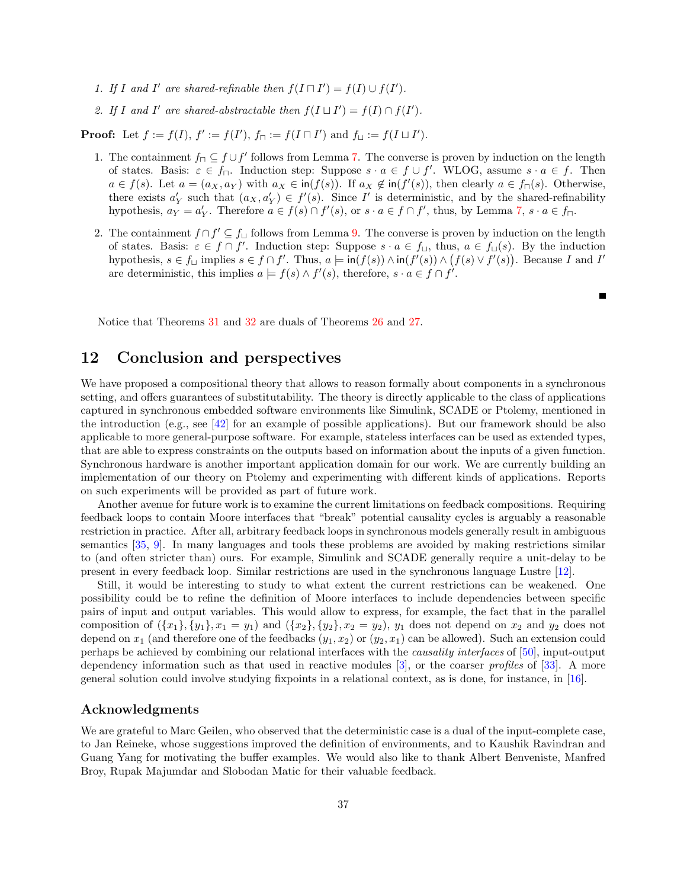- 1. If I and I' are shared-refinable then  $f(I \sqcap I') = f(I) \cup f(I')$ .
- 2. If I and I' are shared-abstractable then  $f(I \sqcup I') = f(I) \cap f(I')$ .

**Proof:** Let  $f := f(I), f' := f(I'), f_{\sqcap} := f(I \sqcap I')$  and  $f_{\sqcup} := f(I \sqcup I').$ 

- 1. The containment  $f_{\square} \subseteq f \cup f'$  follows from Lemma [7.](#page-29-1) The converse is proven by induction on the length of states. Basis:  $\varepsilon \in f_{\square}$ . Induction step: Suppose  $s \cdot a \in f \cup f'$ . WLOG, assume  $s \cdot a \in f$ . Then  $a \in f(s)$ . Let  $a = (a_X, a_Y)$  with  $a_X \in \text{in}(f(s))$ . If  $a_X \notin \text{in}(f'(s))$ , then clearly  $a \in f_{\sqcap}(s)$ . Otherwise, there exists  $a'_Y$  such that  $(a_X, a'_Y) \in f'(s)$ . Since I' is deterministic, and by the shared-refinability hypothesis,  $a_Y = a'_Y$ . Therefore  $a \in f(s) \cap f'(s)$ , or  $s \cdot a \in f \cap f'$ , thus, by Lemma [7,](#page-29-1)  $s \cdot a \in f \cap f'$ .
- 2. The containment  $f \cap f' \subseteq f_{\sqcup}$  follows from Lemma [9.](#page-30-0) The converse is proven by induction on the length of states. Basis:  $\varepsilon \in f \cap f'$ . Induction step: Suppose  $s \cdot a \in f_{\square}$ , thus,  $a \in f_{\square}(s)$ . By the induction hypothesis,  $s \in f_$  implies  $s \in f \cap f'$ . Thus,  $a \models \text{in}(f(s)) \land \text{in}(f'(s)) \land (f(s) \lor f'(s))$ . Because I and I' are deterministic, this implies  $a \models f(s) \land f'(s)$ , therefore,  $s \cdot a \in f \cap f'$ .

Е

Notice that Theorems [31](#page-35-0) and [32](#page-35-1) are duals of Theorems [26](#page-34-2) and [27.](#page-34-4)

# <span id="page-36-0"></span>12 Conclusion and perspectives

We have proposed a compositional theory that allows to reason formally about components in a synchronous setting, and offers guarantees of substitutability. The theory is directly applicable to the class of applications captured in synchronous embedded software environments like Simulink, SCADE or Ptolemy, mentioned in the introduction (e.g., see [\[42\]](#page-39-8) for an example of possible applications). But our framework should be also applicable to more general-purpose software. For example, stateless interfaces can be used as extended types, that are able to express constraints on the outputs based on information about the inputs of a given function. Synchronous hardware is another important application domain for our work. We are currently building an implementation of our theory on Ptolemy and experimenting with different kinds of applications. Reports on such experiments will be provided as part of future work.

Another avenue for future work is to examine the current limitations on feedback compositions. Requiring feedback loops to contain Moore interfaces that "break" potential causality cycles is arguably a reasonable restriction in practice. After all, arbitrary feedback loops in synchronous models generally result in ambiguous semantics [\[35,](#page-38-18) [9\]](#page-37-16). In many languages and tools these problems are avoided by making restrictions similar to (and often stricter than) ours. For example, Simulink and SCADE generally require a unit-delay to be present in every feedback loop. Similar restrictions are used in the synchronous language Lustre [\[12\]](#page-37-17).

Still, it would be interesting to study to what extent the current restrictions can be weakened. One possibility could be to refine the definition of Moore interfaces to include dependencies between specific pairs of input and output variables. This would allow to express, for example, the fact that in the parallel composition of  $({x_1}, {y_1}, {x_1 = y_1})$  and  $({x_2}, {y_2}, {x_2 = y_2})$ ,  $y_1$  does not depend on  $x_2$  and  $y_2$  does not depend on  $x_1$  (and therefore one of the feedbacks  $(y_1, x_2)$  or  $(y_2, x_1)$  can be allowed). Such an extension could perhaps be achieved by combining our relational interfaces with the causality interfaces of [\[50\]](#page-39-9), input-output dependency information such as that used in reactive modules  $[3]$ , or the coarser *profiles* of  $[33]$ . A more general solution could involve studying fixpoints in a relational context, as is done, for instance, in [\[16\]](#page-37-19).

### Acknowledgments

We are grateful to Marc Geilen, who observed that the deterministic case is a dual of the input-complete case, to Jan Reineke, whose suggestions improved the definition of environments, and to Kaushik Ravindran and Guang Yang for motivating the buffer examples. We would also like to thank Albert Benveniste, Manfred Broy, Rupak Majumdar and Slobodan Matic for their valuable feedback.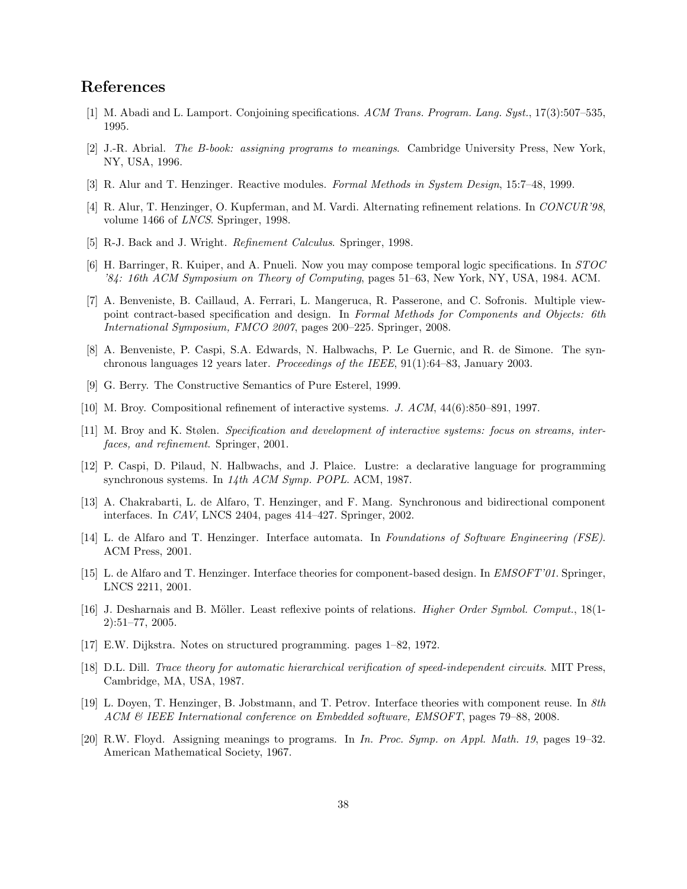# References

- <span id="page-37-13"></span>[1] M. Abadi and L. Lamport. Conjoining specifications. ACM Trans. Program. Lang. Syst., 17(3):507–535, 1995.
- <span id="page-37-7"></span>[2] J.-R. Abrial. The B-book: assigning programs to meanings. Cambridge University Press, New York, NY, USA, 1996.
- <span id="page-37-18"></span>[3] R. Alur and T. Henzinger. Reactive modules. Formal Methods in System Design, 15:7–48, 1999.
- <span id="page-37-3"></span>[4] R. Alur, T. Henzinger, O. Kupferman, and M. Vardi. Alternating refinement relations. In CONCUR'98, volume 1466 of LNCS. Springer, 1998.
- <span id="page-37-8"></span>[5] R-J. Back and J. Wright. *Refinement Calculus*. Springer, 1998.
- <span id="page-37-12"></span>[6] H. Barringer, R. Kuiper, and A. Pnueli. Now you may compose temporal logic specifications. In STOC '84: 16th ACM Symposium on Theory of Computing, pages 51–63, New York, NY, USA, 1984. ACM.
- <span id="page-37-15"></span>[7] A. Benveniste, B. Caillaud, A. Ferrari, L. Mangeruca, R. Passerone, and C. Sofronis. Multiple viewpoint contract-based specification and design. In Formal Methods for Components and Objects: 6th International Symposium, FMCO 2007, pages 200–225. Springer, 2008.
- <span id="page-37-2"></span>[8] A. Benveniste, P. Caspi, S.A. Edwards, N. Halbwachs, P. Le Guernic, and R. de Simone. The synchronous languages 12 years later. Proceedings of the IEEE, 91(1):64–83, January 2003.
- <span id="page-37-16"></span>[9] G. Berry. The Constructive Semantics of Pure Esterel, 1999.
- <span id="page-37-9"></span>[10] M. Broy. Compositional refinement of interactive systems. J. ACM, 44(6):850–891, 1997.
- <span id="page-37-10"></span>[11] M. Broy and K. Stølen. Specification and development of interactive systems: focus on streams, interfaces, and refinement. Springer, 2001.
- <span id="page-37-17"></span>[12] P. Caspi, D. Pilaud, N. Halbwachs, and J. Plaice. Lustre: a declarative language for programming synchronous systems. In 14th ACM Symp. POPL. ACM, 1987.
- <span id="page-37-14"></span>[13] A. Chakrabarti, L. de Alfaro, T. Henzinger, and F. Mang. Synchronous and bidirectional component interfaces. In CAV, LNCS 2404, pages 414–427. Springer, 2002.
- <span id="page-37-0"></span>[14] L. de Alfaro and T. Henzinger. Interface automata. In Foundations of Software Engineering (FSE). ACM Press, 2001.
- <span id="page-37-1"></span>[15] L. de Alfaro and T. Henzinger. Interface theories for component-based design. In EMSOFT'01. Springer, LNCS 2211, 2001.
- <span id="page-37-19"></span>[16] J. Desharnais and B. Möller. Least reflexive points of relations. *Higher Order Symbol. Comput.*, 18(1-2):51–77, 2005.
- <span id="page-37-6"></span>[17] E.W. Dijkstra. Notes on structured programming. pages 1–82, 1972.
- <span id="page-37-11"></span>[18] D.L. Dill. Trace theory for automatic hierarchical verification of speed-independent circuits. MIT Press, Cambridge, MA, USA, 1987.
- <span id="page-37-4"></span>[19] L. Doyen, T. Henzinger, B. Jobstmann, and T. Petrov. Interface theories with component reuse. In 8th ACM & IEEE International conference on Embedded software, EMSOFT, pages 79–88, 2008.
- <span id="page-37-5"></span>[20] R.W. Floyd. Assigning meanings to programs. In In. Proc. Symp. on Appl. Math. 19, pages 19–32. American Mathematical Society, 1967.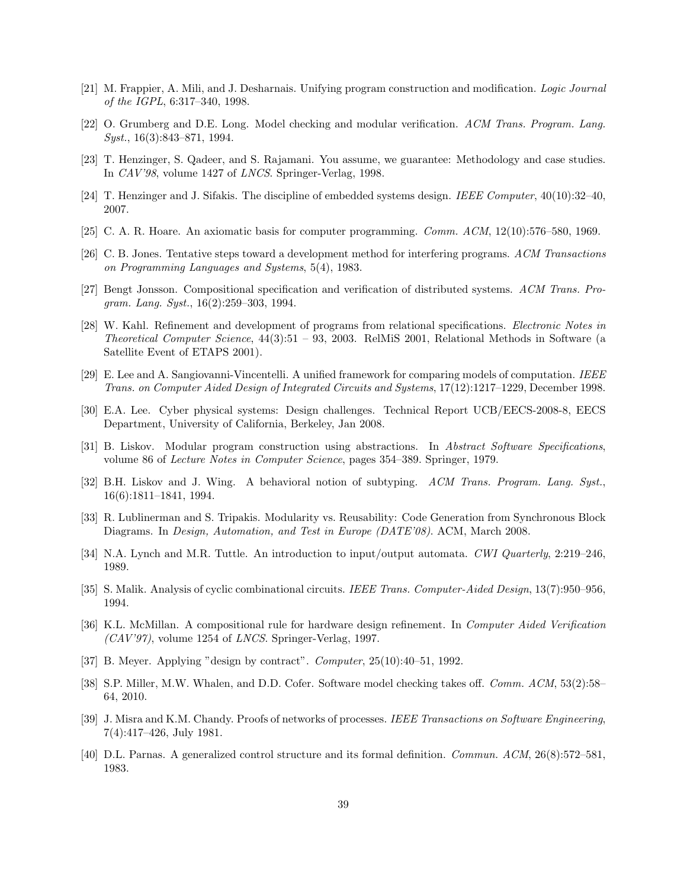- <span id="page-38-9"></span>[21] M. Frappier, A. Mili, and J. Desharnais. Unifying program construction and modification. Logic Journal of the IGPL, 6:317–340, 1998.
- <span id="page-38-13"></span>[22] O. Grumberg and D.E. Long. Model checking and modular verification. ACM Trans. Program. Lang. Syst., 16(3):843–871, 1994.
- <span id="page-38-16"></span>[23] T. Henzinger, S. Qadeer, and S. Rajamani. You assume, we guarantee: Methodology and case studies. In CAV'98, volume 1427 of LNCS. Springer-Verlag, 1998.
- <span id="page-38-0"></span>[24] T. Henzinger and J. Sifakis. The discipline of embedded systems design. IEEE Computer, 40(10):32–40, 2007.
- <span id="page-38-5"></span>[25] C. A. R. Hoare. An axiomatic basis for computer programming. Comm. ACM, 12(10):576–580, 1969.
- <span id="page-38-15"></span>[26] C. B. Jones. Tentative steps toward a development method for interfering programs. ACM Transactions on Programming Languages and Systems, 5(4), 1983.
- <span id="page-38-12"></span>[27] Bengt Jonsson. Compositional specification and verification of distributed systems. ACM Trans. Program. Lang. Syst., 16(2):259–303, 1994.
- <span id="page-38-8"></span>[28] W. Kahl. Refinement and development of programs from relational specifications. Electronic Notes in Theoretical Computer Science, 44(3):51 – 93, 2003. RelMiS 2001, Relational Methods in Software (a Satellite Event of ETAPS 2001).
- <span id="page-38-17"></span>[29] E. Lee and A. Sangiovanni-Vincentelli. A unified framework for comparing models of computation. IEEE Trans. on Computer Aided Design of Integrated Circuits and Systems, 17(12):1217–1229, December 1998.
- <span id="page-38-1"></span>[30] E.A. Lee. Cyber physical systems: Design challenges. Technical Report UCB/EECS-2008-8, EECS Department, University of California, Berkeley, Jan 2008.
- <span id="page-38-6"></span>[31] B. Liskov. Modular program construction using abstractions. In Abstract Software Specifications, volume 86 of Lecture Notes in Computer Science, pages 354–389. Springer, 1979.
- <span id="page-38-4"></span>[32] B.H. Liskov and J. Wing. A behavioral notion of subtyping. ACM Trans. Program. Lang. Syst., 16(6):1811–1841, 1994.
- <span id="page-38-19"></span>[33] R. Lublinerman and S. Tripakis. Modularity vs. Reusability: Code Generation from Synchronous Block Diagrams. In Design, Automation, and Test in Europe (DATE'08). ACM, March 2008.
- <span id="page-38-10"></span>[34] N.A. Lynch and M.R. Tuttle. An introduction to input/output automata. CWI Quarterly, 2:219–246. 1989.
- <span id="page-38-18"></span>[35] S. Malik. Analysis of cyclic combinational circuits. IEEE Trans. Computer-Aided Design, 13(7):950–956, 1994.
- <span id="page-38-14"></span>[36] K.L. McMillan. A compositional rule for hardware design refinement. In Computer Aided Verification  $(CAV'97)$ , volume 1254 of *LNCS*. Springer-Verlag, 1997.
- <span id="page-38-3"></span>[37] B. Meyer. Applying "design by contract". *Computer*, 25(10):40–51, 1992.
- <span id="page-38-2"></span>[38] S.P. Miller, M.W. Whalen, and D.D. Cofer. Software model checking takes off. Comm. ACM, 53(2):58– 64, 2010.
- <span id="page-38-11"></span>[39] J. Misra and K.M. Chandy. Proofs of networks of processes. IEEE Transactions on Software Engineering, 7(4):417–426, July 1981.
- <span id="page-38-7"></span>[40] D.L. Parnas. A generalized control structure and its formal definition. Commun. ACM, 26(8):572–581, 1983.